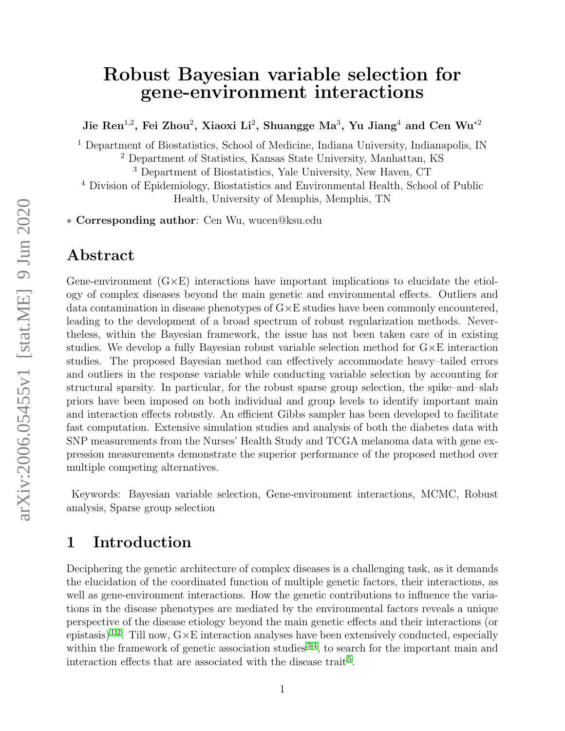# Robust Bayesian variable selection for gene-environment interactions

Jie Ren<sup>1,2</sup>, Fei Zhou<sup>2</sup>, Xiaoxi Li<sup>2</sup>, Shuangge Ma<sup>3</sup>, Yu Jiang<sup>4</sup> and Cen Wu<sup>\*2</sup>

<sup>1</sup> Department of Biostatistics, School of Medicine, Indiana University, Indianapolis, IN

<sup>2</sup> Department of Statistics, Kansas State University, Manhattan, KS

<sup>3</sup> Department of Biostatistics, Yale University, New Haven, CT

<sup>4</sup> Division of Epidemiology, Biostatistics and Environmental Health, School of Public Health, University of Memphis, Memphis, TN

∗ Corresponding author: Cen Wu, wucen@ksu.edu

## Abstract

Gene-environment  $(G \times E)$  interactions have important implications to elucidate the etiology of complex diseases beyond the main genetic and environmental effects. Outliers and data contamination in disease phenotypes of  $G \times E$  studies have been commonly encountered. leading to the development of a broad spectrum of robust regularization methods. Nevertheless, within the Bayesian framework, the issue has not been taken care of in existing studies. We develop a fully Bayesian robust variable selection method for  $G \times E$  interaction studies. The proposed Bayesian method can effectively accommodate heavy–tailed errors and outliers in the response variable while conducting variable selection by accounting for structural sparsity. In particular, for the robust sparse group selection, the spike–and–slab priors have been imposed on both individual and group levels to identify important main and interaction effects robustly. An efficient Gibbs sampler has been developed to facilitate fast computation. Extensive simulation studies and analysis of both the diabetes data with SNP measurements from the Nurses' Health Study and TCGA melanoma data with gene expression measurements demonstrate the superior performance of the proposed method over multiple competing alternatives.

Keywords: Bayesian variable selection, Gene-environment interactions, MCMC, Robust analysis, Sparse group selection

## 1 Introduction

Deciphering the genetic architecture of complex diseases is a challenging task, as it demands the elucidation of the coordinated function of multiple genetic factors, their interactions, as well as gene-environment interactions. How the genetic contributions to influence the variations in the disease phenotypes are mediated by the environmental factors reveals a unique perspective of the disease etiology beyond the main genetic effects and their interactions (or epistasis)<sup>[1;](#page-16-0)[2](#page-16-1)</sup>. Till now,  $G \times E$  interaction analyses have been extensively conducted, especially within the framework of genetic association studies<sup>[3](#page-16-2)[;4](#page-16-3)</sup>, to search for the important main and interaction effects that are associated with the disease trait<sup>[5](#page-16-4)</sup>.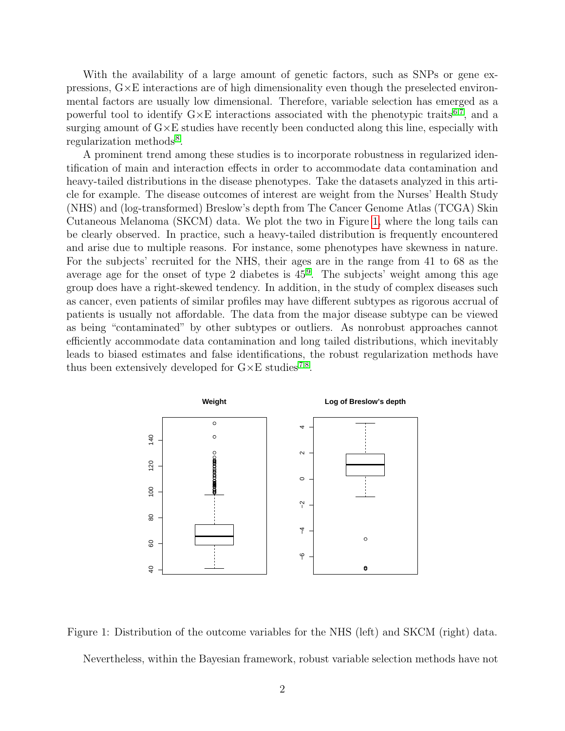With the availability of a large amount of genetic factors, such as SNPs or gene expressions,  $G \times E$  interactions are of high dimensionality even though the preselected environmental factors are usually low dimensional. Therefore, variable selection has emerged as a powerful tool to identify  $G \times E$  interactions associated with the phenotypic traits<sup>[6;](#page-17-0)[7](#page-17-1)</sup>, and a surging amount of  $G \times E$  studies have recently been conducted along this line, especially with regularization methods<sup>[8](#page-17-2)</sup>.

A prominent trend among these studies is to incorporate robustness in regularized identification of main and interaction effects in order to accommodate data contamination and heavy-tailed distributions in the disease phenotypes. Take the datasets analyzed in this article for example. The disease outcomes of interest are weight from the Nurses' Health Study (NHS) and (log-transformed) Breslow's depth from The Cancer Genome Atlas (TCGA) Skin Cutaneous Melanoma (SKCM) data. We plot the two in Figure [1,](#page-1-0) where the long tails can be clearly observed. In practice, such a heavy-tailed distribution is frequently encountered and arise due to multiple reasons. For instance, some phenotypes have skewness in nature. For the subjects' recruited for the NHS, their ages are in the range from 41 to 68 as the average age for the onset of type 2 diabetes is  $45<sup>9</sup>$  $45<sup>9</sup>$  $45<sup>9</sup>$ . The subjects' weight among this age group does have a right-skewed tendency. In addition, in the study of complex diseases such as cancer, even patients of similar profiles may have different subtypes as rigorous accrual of patients is usually not affordable. The data from the major disease subtype can be viewed as being "contaminated" by other subtypes or outliers. As nonrobust approaches cannot efficiently accommodate data contamination and long tailed distributions, which inevitably leads to biased estimates and false identifications, the robust regularization methods have thus been extensively developed for  $G \times E$  studies<sup>[7;](#page-17-1)[8](#page-17-2)</sup>.



<span id="page-1-0"></span>Figure 1: Distribution of the outcome variables for the NHS (left) and SKCM (right) data. Nevertheless, within the Bayesian framework, robust variable selection methods have not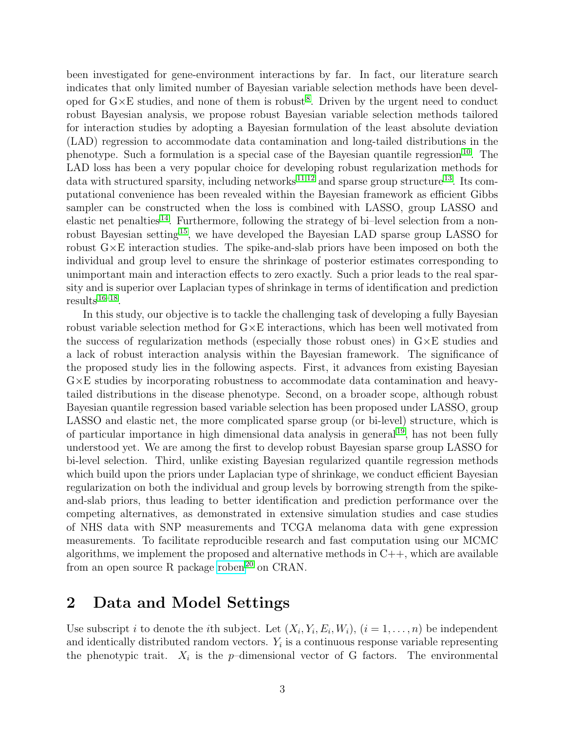been investigated for gene-environment interactions by far. In fact, our literature search indicates that only limited number of Bayesian variable selection methods have been developed for  $G \times E$  studies, and none of them is robust<sup>[8](#page-17-2)</sup>. Driven by the urgent need to conduct robust Bayesian analysis, we propose robust Bayesian variable selection methods tailored for interaction studies by adopting a Bayesian formulation of the least absolute deviation (LAD) regression to accommodate data contamination and long-tailed distributions in the phenotype. Such a formulation is a special case of the Bayesian quantile regression<sup>[10](#page-17-4)</sup>. The LAD loss has been a very popular choice for developing robust regularization methods for data with structured sparsity, including networks  $^{11;12}$  $^{11;12}$  $^{11;12}$  $^{11;12}$  and sparse group structure <sup>[13](#page-17-7)</sup>. Its computational convenience has been revealed within the Bayesian framework as efficient Gibbs sampler can be constructed when the loss is combined with LASSO, group LASSO and elastic net penalties<sup>[14](#page-17-8)</sup>. Furthermore, following the strategy of bi-level selection from a non-robust Bayesian setting<sup>[15](#page-17-9)</sup>, we have developed the Bayesian LAD sparse group LASSO for robust G×E interaction studies. The spike-and-slab priors have been imposed on both the individual and group level to ensure the shrinkage of posterior estimates corresponding to unimportant main and interaction effects to zero exactly. Such a prior leads to the real sparsity and is superior over Laplacian types of shrinkage in terms of identification and prediction  $results^{16-18}.$  $results^{16-18}.$  $results^{16-18}.$ 

In this study, our objective is to tackle the challenging task of developing a fully Bayesian robust variable selection method for  $G \times E$  interactions, which has been well motivated from the success of regularization methods (especially those robust ones) in G×E studies and a lack of robust interaction analysis within the Bayesian framework. The significance of the proposed study lies in the following aspects. First, it advances from existing Bayesian  $G \times E$  studies by incorporating robustness to accommodate data contamination and heavytailed distributions in the disease phenotype. Second, on a broader scope, although robust Bayesian quantile regression based variable selection has been proposed under LASSO, group LASSO and elastic net, the more complicated sparse group (or bi-level) structure, which is of particular importance in high dimensional data analysis in general [19](#page-17-12), has not been fully understood yet. We are among the first to develop robust Bayesian sparse group LASSO for bi-level selection. Third, unlike existing Bayesian regularized quantile regression methods which build upon the priors under Laplacian type of shrinkage, we conduct efficient Bayesian regularization on both the individual and group levels by borrowing strength from the spikeand-slab priors, thus leading to better identification and prediction performance over the competing alternatives, as demonstrated in extensive simulation studies and case studies of NHS data with SNP measurements and TCGA melanoma data with gene expression measurements. To facilitate reproducible research and fast computation using our MCMC algorithms, we implement the proposed and alternative methods in  $C_{++}$ , which are available from an open source R package [roben](http://CRAN.R-project.org/package=roben)<sup>[20](#page-18-0)</sup> on CRAN.

## 2 Data and Model Settings

Use subscript *i* to denote the *i*th subject. Let  $(X_i, Y_i, E_i, W_i)$ ,  $(i = 1, ..., n)$  be independent and identically distributed random vectors.  $Y_i$  is a continuous response variable representing the phenotypic trait.  $X_i$  is the p-dimensional vector of G factors. The environmental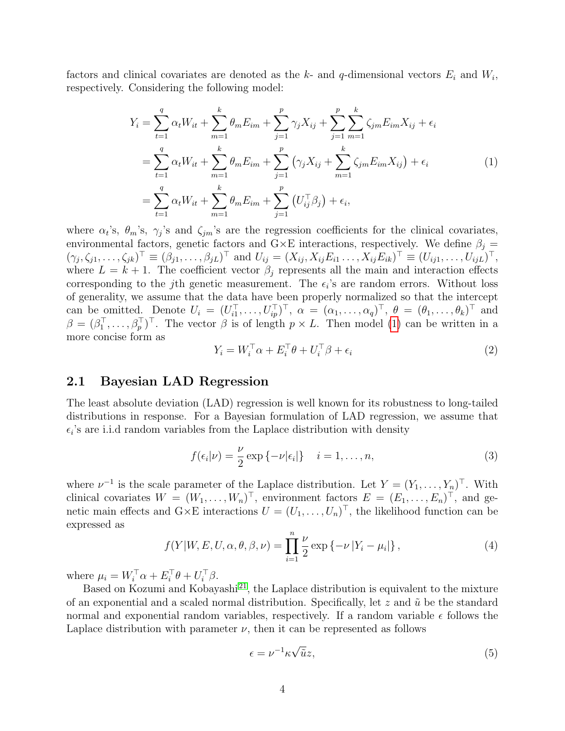factors and clinical covariates are denoted as the k- and q-dimensional vectors  $E_i$  and  $W_i$ , respectively. Considering the following model:

<span id="page-3-0"></span>
$$
Y_{i} = \sum_{t=1}^{q} \alpha_{t} W_{it} + \sum_{m=1}^{k} \theta_{m} E_{im} + \sum_{j=1}^{p} \gamma_{j} X_{ij} + \sum_{j=1}^{p} \sum_{m=1}^{k} \zeta_{jm} E_{im} X_{ij} + \epsilon_{i}
$$
  

$$
= \sum_{t=1}^{q} \alpha_{t} W_{it} + \sum_{m=1}^{k} \theta_{m} E_{im} + \sum_{j=1}^{p} (\gamma_{j} X_{ij} + \sum_{m=1}^{k} \zeta_{jm} E_{im} X_{ij}) + \epsilon_{i}
$$
  

$$
= \sum_{t=1}^{q} \alpha_{t} W_{it} + \sum_{m=1}^{k} \theta_{m} E_{im} + \sum_{j=1}^{p} (U_{ij}^{\top} \beta_{j}) + \epsilon_{i},
$$
 (1)

where  $\alpha_t$ 's,  $\theta_m$ 's,  $\gamma_j$ 's and  $\zeta_{jm}$ 's are the regression coefficients for the clinical covariates, environmental factors, genetic factors and  $G \times E$  interactions, respectively. We define  $\beta_i =$  $(\gamma_j, \zeta_{j1}, \ldots, \zeta_{jk})^{\top} \equiv (\beta_{j1}, \ldots, \beta_{jL})^{\top}$  and  $U_{ij} = (X_{ij}, X_{ij} E_{i1} \ldots, X_{ij} E_{ik})^{\top} \equiv (U_{ij1}, \ldots, U_{ijL})^{\top}$ , where  $L = k + 1$ . The coefficient vector  $\beta_i$  represents all the main and interaction effects corresponding to the *j*th genetic measurement. The  $\epsilon_i$ 's are random errors. Without loss of generality, we assume that the data have been properly normalized so that the intercept can be omitted. Denote  $U_i = (U_{i1}^\top, \ldots, U_{ip}^\top)^\top, \ \alpha = (\alpha_1, \ldots, \alpha_q)^\top, \ \theta = (\theta_1, \ldots, \theta_k)^\top$  and  $\beta = (\beta_1^{\top}, \ldots, \beta_p^{\top})^{\top}$ . The vector  $\beta$  is of length  $p \times L$ . Then model [\(1\)](#page-3-0) can be written in a more concise form as

$$
Y_i = W_i^{\top} \alpha + E_i^{\top} \theta + U_i^{\top} \beta + \epsilon_i
$$
\n<sup>(2)</sup>

#### 2.1 Bayesian LAD Regression

The least absolute deviation (LAD) regression is well known for its robustness to long-tailed distributions in response. For a Bayesian formulation of LAD regression, we assume that  $\epsilon_i$ 's are i.i.d random variables from the Laplace distribution with density

<span id="page-3-1"></span>
$$
f(\epsilon_i|\nu) = \frac{\nu}{2} \exp\{-\nu|\epsilon_i|\} \quad i = 1, \dots, n,
$$
\n(3)

where  $\nu^{-1}$  is the scale parameter of the Laplace distribution. Let  $Y = (Y_1, \ldots, Y_n)^\top$ . With clinical covariates  $W = (W_1, \ldots, W_n)^{\top}$ , environment factors  $E = (E_1, \ldots, E_n)^{\top}$ , and genetic main effects and  $G \times E$  interactions  $U = (U_1, \ldots, U_n)^\top$ , the likelihood function can be expressed as

$$
f(Y|W, E, U, \alpha, \theta, \beta, \nu) = \prod_{i=1}^{n} \frac{\nu}{2} \exp \{-\nu |Y_i - \mu_i|\},
$$
\n(4)

where  $\mu_i = W_i^{\top} \alpha + E_i^{\top} \theta + U_i^{\top} \beta$ .

Based on Kozumi and Kobayashi<sup>[21](#page-18-1)</sup>, the Laplace distribution is equivalent to the mixture of an exponential and a scaled normal distribution. Specifically, let  $z$  and  $\tilde{u}$  be the standard normal and exponential random variables, respectively. If a random variable  $\epsilon$  follows the Laplace distribution with parameter  $\nu$ , then it can be represented as follows

<span id="page-3-2"></span>
$$
\epsilon = \nu^{-1} \kappa \sqrt{\tilde{u}} z,\tag{5}
$$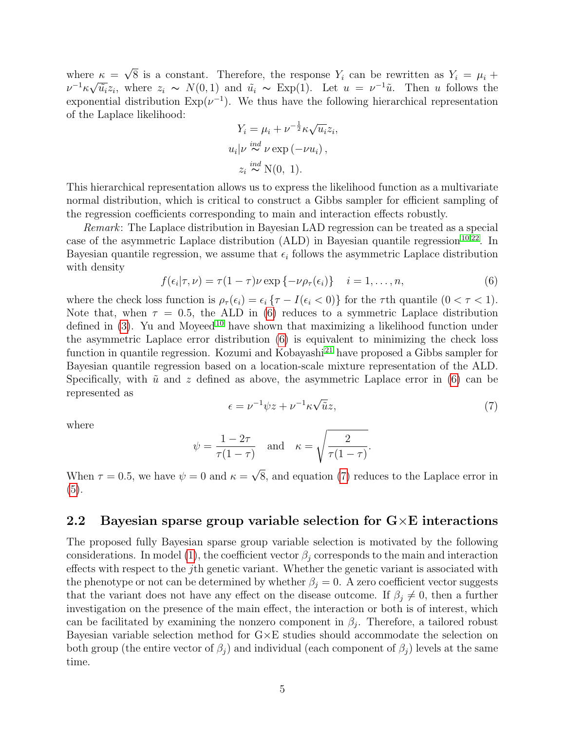where  $\kappa =$ √  $e \kappa = \sqrt{8}$  is a constant. Therefore, the response  $Y_i$  can be rewritten as  $Y_i = \mu_i + \sqrt{2}$  $\nu^{-1} \kappa \sqrt{\tilde{u}_i} z_i$ , where  $z_i \sim N(0, 1)$  and  $\tilde{u}_i \sim \text{Exp}(1)$ . Let  $u = \nu^{-1} \tilde{u}$ . Then u follows the exponential distribution  $Exp(\nu^{-1})$ . We thus have the following hierarchical representation of the Laplace likelihood:

$$
Y_i = \mu_i + \nu^{-\frac{1}{2}} \kappa \sqrt{u_i} z_i,
$$
  
\n
$$
u_i | \nu \stackrel{ind}{\sim} \nu \exp(-\nu u_i),
$$
  
\n
$$
z_i \stackrel{ind}{\sim} \mathcal{N}(0, 1).
$$

This hierarchical representation allows us to express the likelihood function as a multivariate normal distribution, which is critical to construct a Gibbs sampler for efficient sampling of the regression coefficients corresponding to main and interaction effects robustly.

Remark: The Laplace distribution in Bayesian LAD regression can be treated as a special case of the asymmetric Laplace distribution (ALD) in Bayesian quantile regression<sup>[10;](#page-17-4)[22](#page-18-2)</sup>. In Bayesian quantile regression, we assume that  $\epsilon_i$  follows the asymmetric Laplace distribution with density

<span id="page-4-0"></span>
$$
f(\epsilon_i|\tau,\nu) = \tau(1-\tau)\nu \exp\{-\nu\rho_\tau(\epsilon_i)\} \quad i=1,\ldots,n,
$$
\n(6)

where the check loss function is  $\rho_{\tau}(\epsilon_i) = \epsilon_i \{ \tau - I(\epsilon_i < 0) \}$  for the  $\tau$ th quantile  $(0 < \tau < 1)$ . Note that, when  $\tau = 0.5$ , the ALD in [\(6\)](#page-4-0) reduces to a symmetric Laplace distribution defined in  $(3)$ . Yu and Moyeed<sup>[10](#page-17-4)</sup> have shown that maximizing a likelihood function under the asymmetric Laplace error distribution [\(6\)](#page-4-0) is equivalent to minimizing the check loss function in quantile regression. Kozumi and Kobayashi<sup>[21](#page-18-1)</sup> have proposed a Gibbs sampler for Bayesian quantile regression based on a location-scale mixture representation of the ALD. Specifically, with  $\tilde{u}$  and z defined as above, the asymmetric Laplace error in [\(6\)](#page-4-0) can be represented as √

<span id="page-4-1"></span>
$$
\epsilon = \nu^{-1} \psi z + \nu^{-1} \kappa \sqrt{\tilde{u}} z,\tag{7}
$$

where

$$
\psi = \frac{1 - 2\tau}{\tau(1 - \tau)} \quad \text{and} \quad \kappa = \sqrt{\frac{2}{\tau(1 - \tau)}}.
$$

When  $\tau = 0.5$ , we have  $\psi = 0$  and  $\kappa =$ 8, and equation [\(7\)](#page-4-1) reduces to the Laplace error in [\(5\)](#page-3-2).

### 2.2 Bayesian sparse group variable selection for  $G \times E$  interactions

The proposed fully Bayesian sparse group variable selection is motivated by the following considerations. In model [\(1\)](#page-3-0), the coefficient vector  $\beta_i$  corresponds to the main and interaction effects with respect to the jth genetic variant. Whether the genetic variant is associated with the phenotype or not can be determined by whether  $\beta_j = 0$ . A zero coefficient vector suggests that the variant does not have any effect on the disease outcome. If  $\beta_i \neq 0$ , then a further investigation on the presence of the main effect, the interaction or both is of interest, which can be facilitated by examining the nonzero component in  $\beta_j$ . Therefore, a tailored robust Bayesian variable selection method for  $G \times E$  studies should accommodate the selection on both group (the entire vector of  $\beta_j$ ) and individual (each component of  $\beta_j$ ) levels at the same time.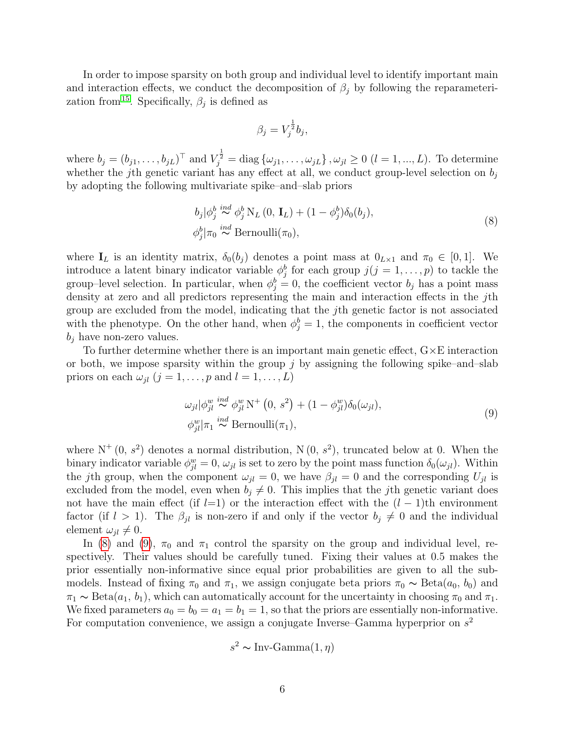In order to impose sparsity on both group and individual level to identify important main and interaction effects, we conduct the decomposition of  $\beta_i$  by following the reparameteri-zation from<sup>[15](#page-17-9)</sup>. Specifically,  $\beta_j$  is defined as

$$
\beta_j = V_j^{\frac{1}{2}} b_j,
$$

where  $b_j = (b_{j1}, \ldots, b_{jL})^\top$  and  $V_j^{\frac{1}{2}} = \text{diag} \{\omega_{j1}, \ldots, \omega_{jL}\}, \omega_{jl} \ge 0 \ (l = 1, \ldots, L)$ . To determine whether the jth genetic variant has any effect at all, we conduct group-level selection on  $b_j$ by adopting the following multivariate spike–and–slab priors

<span id="page-5-0"></span>
$$
b_j|\phi_j^b \stackrel{ind}{\sim} \phi_j^b N_L(0, \mathbf{I}_L) + (1 - \phi_j^b)\delta_0(b_j),
$$
  
\n
$$
\phi_j^b|\pi_0 \stackrel{ind}{\sim} \text{Bernoulli}(\pi_0),
$$
\n(8)

where  $I_L$  is an identity matrix,  $\delta_0(b_j)$  denotes a point mass at  $0_{L\times 1}$  and  $\pi_0 \in [0,1]$ . We introduce a latent binary indicator variable  $\phi_j^b$  for each group  $j(j = 1, \ldots, p)$  to tackle the group–level selection. In particular, when  $\phi_j^b = 0$ , the coefficient vector  $b_j$  has a point mass density at zero and all predictors representing the main and interaction effects in the jth group are excluded from the model, indicating that the jth genetic factor is not associated with the phenotype. On the other hand, when  $\phi_j^b = 1$ , the components in coefficient vector  $b_i$  have non-zero values.

To further determine whether there is an important main genetic effect,  $G \times E$  interaction or both, we impose sparsity within the group  $j$  by assigning the following spike–and–slab priors on each  $\omega_{jl}$   $(j = 1, \ldots, p$  and  $l = 1, \ldots, L)$ 

<span id="page-5-1"></span>
$$
\omega_{jl}|\phi_{jl}^w \stackrel{ind}{\sim} \phi_{jl}^w \mathcal{N}^+ (0, s^2) + (1 - \phi_{jl}^w)\delta_0(\omega_{jl}),
$$
  
\n
$$
\phi_{jl}^w|\pi_1 \stackrel{ind}{\sim} \text{Bernoulli}(\pi_1),
$$
\n(9)

where  $N^+(0, s^2)$  denotes a normal distribution,  $N(0, s^2)$ , truncated below at 0. When the binary indicator variable  $\phi_{jl}^w = 0$ ,  $\omega_{jl}$  is set to zero by the point mass function  $\delta_0(\omega_{jl})$ . Within the jth group, when the component  $\omega_{jl} = 0$ , we have  $\beta_{jl} = 0$  and the corresponding  $U_{jl}$  is excluded from the model, even when  $b_i \neq 0$ . This implies that the jth genetic variant does not have the main effect (if  $l=1$ ) or the interaction effect with the  $(l-1)$ th environment factor (if  $l > 1$ ). The  $\beta_{jl}$  is non-zero if and only if the vector  $b_j \neq 0$  and the individual element  $\omega_{il} \neq 0$ .

In [\(8\)](#page-5-0) and [\(9\)](#page-5-1),  $\pi_0$  and  $\pi_1$  control the sparsity on the group and individual level, respectively. Their values should be carefully tuned. Fixing their values at 0.5 makes the prior essentially non-informative since equal prior probabilities are given to all the submodels. Instead of fixing  $\pi_0$  and  $\pi_1$ , we assign conjugate beta priors  $\pi_0 \sim \text{Beta}(a_0, b_0)$  and  $\pi_1 \sim \text{Beta}(a_1, b_1)$ , which can automatically account for the uncertainty in choosing  $\pi_0$  and  $\pi_1$ . We fixed parameters  $a_0 = b_0 = a_1 = b_1 = 1$ , so that the priors are essentially non-informative. For computation convenience, we assign a conjugate Inverse–Gamma hyperprior on  $s^2$ 

$$
s^2 \sim Inv\text{-}Gamma(1, \eta)
$$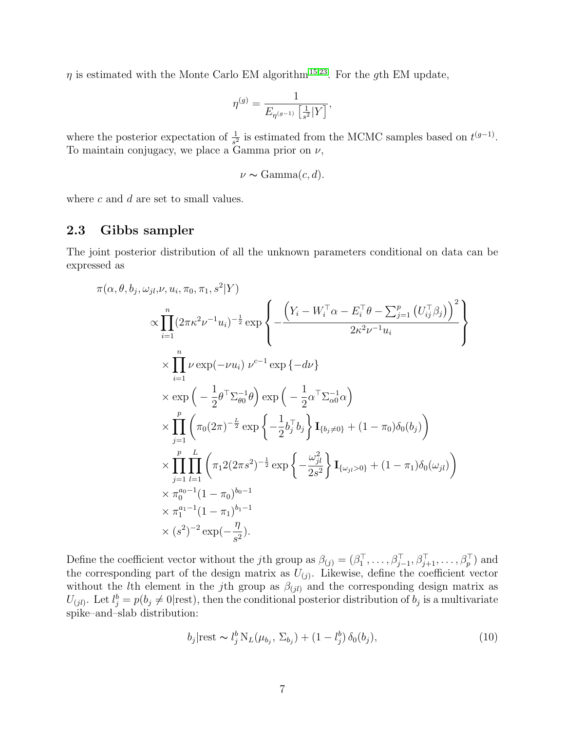$\eta$  is estimated with the Monte Carlo EM algorithm<sup>[15](#page-17-9)[;23](#page-18-3)</sup>. For the gth EM update,

$$
\eta^{(g)} = \frac{1}{E_{\eta^{(g-1)}}\left[\frac{1}{s^2}|Y\right]},
$$

where the posterior expectation of  $\frac{1}{s^2}$  is estimated from the MCMC samples based on  $t^{(g-1)}$ . To maintain conjugacy, we place a Gamma prior on  $\nu$ ,

$$
\nu \sim \text{Gamma}(c, d).
$$

where  $c$  and  $d$  are set to small values.

#### 2.3 Gibbs sampler

The joint posterior distribution of all the unknown parameters conditional on data can be expressed as

 $9 + 10$ 

$$
\pi(\alpha, \theta, b_j, \omega_{jl}, \nu, u_i, \pi_0, \pi_1, s^2 | Y)
$$
\n
$$
\propto \prod_{i=1}^n (2\pi \kappa^2 \nu^{-1} u_i)^{-\frac{1}{2}} \exp \left\{ -\frac{\left(Y_i - W_i^\top \alpha - E_i^\top \theta - \sum_{j=1}^p (U_{ij}^\top \beta_j)\right)^2}{2\kappa^2 \nu^{-1} u_i} \right\}
$$
\n
$$
\times \prod_{i=1}^n \nu \exp(-\nu u_i) \nu^{c-1} \exp \{-d\nu\}
$$
\n
$$
\times \exp \left(-\frac{1}{2} \theta^\top \sum_{\theta}^{-1} \theta\right) \exp \left(-\frac{1}{2} \alpha^\top \sum_{\alpha}^{-1} \alpha\right)
$$
\n
$$
\times \prod_{j=1}^p \left(\pi_0(2\pi)^{-\frac{L}{2}} \exp \left\{-\frac{1}{2} b_j^\top b_j \right\} \mathbf{I}_{\{b_j \neq 0\}} + (1 - \pi_0) \delta_0(b_j) \right)
$$
\n
$$
\times \prod_{j=1}^p \prod_{l=1}^L \left(\pi_1 2(2\pi s^2)^{-\frac{1}{2}} \exp \left\{-\frac{\omega_{jl}^2}{2s^2}\right\} \mathbf{I}_{\{\omega_{jl} > 0\}} + (1 - \pi_1) \delta_0(\omega_{jl}) \right)
$$
\n
$$
\times \pi_0^{a_0 - 1} (1 - \pi_0)^{b_0 - 1}
$$
\n
$$
\times \pi_1^{a_1 - 1} (1 - \pi_1)^{b_1 - 1}
$$
\n
$$
\times (s^2)^{-2} \exp(-\frac{\eta}{s^2}).
$$

Define the coefficient vector without the *j*th group as  $\beta_{(j)} = (\beta_1^\top, \ldots, \beta_{j-1}^\top, \beta_{j+1}^\top, \ldots, \beta_p^\top)$  and the corresponding part of the design matrix as  $U_{(j)}$ . Likewise, define the coefficient vector without the *l*th element in the *j*th group as  $\beta_{(jl)}$  and the corresponding design matrix as  $U_{(jl)}$ . Let  $l_j^b = p(b_j \neq 0 | \text{rest})$ , then the conditional posterior distribution of  $b_j$  is a multivariate spike–and–slab distribution:

<span id="page-6-0"></span>
$$
b_j|\text{rest} \sim l_j^b \, \mathrm{N}_L(\mu_{b_j}, \, \Sigma_{b_j}) + (1 - l_j^b) \, \delta_0(b_j),\tag{10}
$$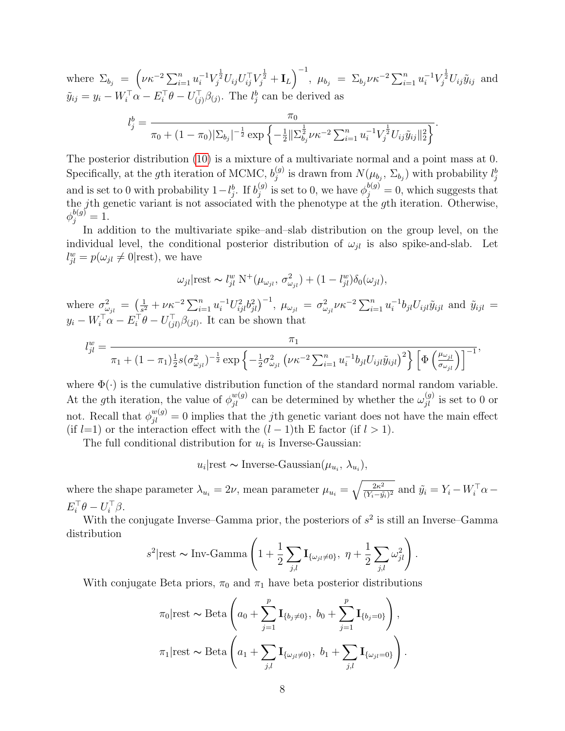where  $\Sigma_{b_j} = \left(\nu \kappa^{-2} \sum_{i=1}^n u_i^{-1} V_j^{\frac{1}{2}} U_{ij} U_{ij}^\top V_j^{\frac{1}{2}} + \mathbf{I}_L\right)^{-1}$ ,  $\mu_{b_j} = \Sigma_{b_j} \nu \kappa^{-2} \sum_{i=1}^n u_i^{-1} V_j^{\frac{1}{2}} U_{ij} \tilde{y}_{ij}$  and  $\tilde{y}_{ij} = y_i - W_i^{\top} \alpha - E_i^{\top} \theta - U_{(j)}^{\top} \beta_{(j)}$ . The  $l_j^b$  can be derived as

$$
l_j^b = \frac{\pi_0}{\pi_0 + (1 - \pi_0)|\Sigma_{b_j}|^{-\frac{1}{2}} \exp\left\{-\frac{1}{2} \|\Sigma_{b_j}^{\frac{1}{2}} \nu \kappa^{-2} \sum_{i=1}^n u_i^{-1} V_j^{\frac{1}{2}} U_{ij} \tilde{y}_{ij} \|_2^2\right\}}.
$$

The posterior distribution [\(10\)](#page-6-0) is a mixture of a multivariate normal and a point mass at 0. Specifically, at the gth iteration of MCMC,  $b_i^{(g)}$  $j_j^{(g)}$  is drawn from  $N(\mu_{b_j}, \Sigma_{b_j})$  with probability  $l_j^b$ and is set to 0 with probability  $1-l_j^b$ . If  $b_j^{(g)}$  $j^{(g)}_j$  is set to 0, we have  $\phi_j^{b(g)} = 0$ , which suggests that the j<sup>th</sup> genetic variant is not associated with the phenotype at the gth iteration. Otherwise,  $\phi_j^{b(g)} = 1.$ 

In addition to the multivariate spike–and–slab distribution on the group level, on the individual level, the conditional posterior distribution of  $\omega_{il}$  is also spike-and-slab. Let  $l_{jl}^w = p(\omega_{jl} \neq 0 | \text{rest}),$  we have

$$
\omega_{jl}|\text{rest} \sim l_{jl}^w \text{ N}^+(\mu_{\omega_{jl}}, \sigma_{\omega_{jl}}^2) + (1 - l_{jl}^w)\delta_0(\omega_{jl}),
$$

where  $\sigma_{\omega_{jl}}^2 = \left(\frac{1}{s^2}\right)$  $\frac{1}{s^2} + \nu \kappa^{-2} \sum_{i=1}^n u_i^{-1} U_{ijl}^2 b_{jl}^2 \big)^{-1}, \ \mu_{\omega_{jl}} \ = \ \sigma_{\omega_{jl}}^2 \nu \kappa^{-2} \sum_{i=1}^n u_i^{-1}$  $i^{-1}b_{jl}U_{ijl}\tilde{y}_{ijl}$  and  $\tilde{y}_{ijl} =$  $y_i - W_i^{\top} \alpha - E_i^{\top} \theta - U_{(jl)}^{\top} \beta_{(jl)}$ . It can be shown that

$$
l_{jl}^{w} = \frac{\pi_1}{\pi_1 + (1 - \pi_1) \frac{1}{2} s (\sigma_{\omega_{jl}}^2)^{-\frac{1}{2}} \exp \left\{-\frac{1}{2} \sigma_{\omega_{jl}}^2 \left(\nu \kappa^{-2} \sum_{i=1}^n u_i^{-1} b_{jl} U_{ijl} \tilde{y}_{ijl}\right)^2\right\} \left[\Phi \left(\frac{\mu_{\omega_{jl}}}{\sigma_{\omega_{jl}}}\right)\right]^{-1}},
$$

where  $\Phi(\cdot)$  is the cumulative distribution function of the standard normal random variable. At the gth iteration, the value of  $\phi_{jl}^{w(g)}$  can be determined by whether the  $\omega_{jl}^{(g)}$  is set to 0 or not. Recall that  $\phi_{jl}^{w(g)} = 0$  implies that the *j*th genetic variant does not have the main effect (if  $l=1$ ) or the interaction effect with the  $(l-1)$ th E factor (if  $l > 1$ ).

The full conditional distribution for  $u_i$  is Inverse-Gaussian:

 $u_i$ |rest ~ Inverse-Gaussian $(\mu_{u_i}, \lambda_{u_i}),$ 

where the shape parameter  $\lambda_{u_i} = 2\nu$ , mean parameter  $\mu_{u_i} = \sqrt{\frac{2\kappa^2}{(Y_i - \tilde{u})^2}}$  $\frac{2\kappa^2}{(Y_i-\tilde{y_i})^2}$  and  $\tilde{y_i} = Y_i - W_i^{\top} \alpha E_i^{\top} \theta - U_i^{\top} \beta.$ 

With the conjugate Inverse–Gamma prior, the posteriors of  $s^2$  is still an Inverse–Gamma distribution

$$
s^2
$$
|rest ~ Inv-Gamma  $\left(1 + \frac{1}{2} \sum_{j,l} \mathbf{I}_{\{\omega_{jl}\neq 0\}}, \eta + \frac{1}{2} \sum_{j,l} \omega_{jl}^2\right)$ .

With conjugate Beta priors,  $\pi_0$  and  $\pi_1$  have beta posterior distributions

$$
\pi_0|\text{rest} \sim \text{Beta}\left(a_0 + \sum_{j=1}^p \mathbf{I}_{\{b_j \neq 0\}}, b_0 + \sum_{j=1}^p \mathbf{I}_{\{b_j = 0\}}\right),\
$$

$$
\pi_1|\text{rest} \sim \text{Beta}\left(a_1 + \sum_{j,l} \mathbf{I}_{\{\omega_{jl} \neq 0\}}, b_1 + \sum_{j,l} \mathbf{I}_{\{\omega_{jl} = 0\}}\right).
$$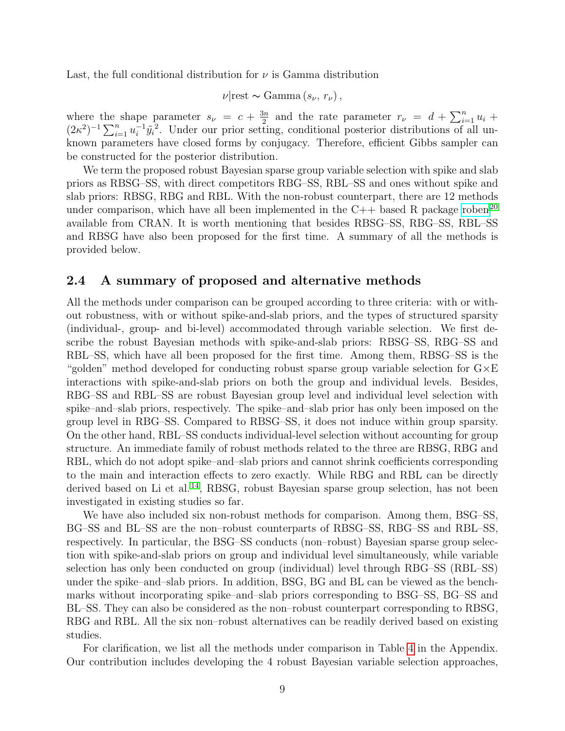Last, the full conditional distribution for  $\nu$  is Gamma distribution

$$
\nu|\text{rest} \sim \text{Gamma}(s_{\nu}, r_{\nu}),
$$

where the shape parameter  $s_{\nu} = c + \frac{3n}{2}$  $\frac{3n}{2}$  and the rate parameter  $r_{\nu} = d + \sum_{i=1}^{n} u_i +$  $(2\kappa^2)^{-1} \sum_{i=1}^n u_i^{-1}$  $i^{\text{-}1}\tilde{y}_i^{\text{-}2}$ . Under our prior setting, conditional posterior distributions of all unknown parameters have closed forms by conjugacy. Therefore, efficient Gibbs sampler can be constructed for the posterior distribution.

We term the proposed robust Bayesian sparse group variable selection with spike and slab priors as RBSG–SS, with direct competitors RBG–SS, RBL–SS and ones without spike and slab priors: RBSG, RBG and RBL. With the non-robust counterpart, there are 12 methods under comparison, which have all been implemented in the  $C++$  based R package [roben](http://CRAN.R-project.org/package=roben)<sup>[20](#page-18-0)</sup> available from CRAN. It is worth mentioning that besides RBSG–SS, RBG–SS, RBL–SS and RBSG have also been proposed for the first time. A summary of all the methods is provided below.

### 2.4 A summary of proposed and alternative methods

All the methods under comparison can be grouped according to three criteria: with or without robustness, with or without spike-and-slab priors, and the types of structured sparsity (individual-, group- and bi-level) accommodated through variable selection. We first describe the robust Bayesian methods with spike-and-slab priors: RBSG–SS, RBG–SS and RBL–SS, which have all been proposed for the first time. Among them, RBSG–SS is the "golden" method developed for conducting robust sparse group variable selection for G×E interactions with spike-and-slab priors on both the group and individual levels. Besides, RBG–SS and RBL–SS are robust Bayesian group level and individual level selection with spike–and–slab priors, respectively. The spike–and–slab prior has only been imposed on the group level in RBG–SS. Compared to RBSG–SS, it does not induce within group sparsity. On the other hand, RBL–SS conducts individual-level selection without accounting for group structure. An immediate family of robust methods related to the three are RBSG, RBG and RBL, which do not adopt spike–and–slab priors and cannot shrink coefficients corresponding to the main and interaction effects to zero exactly. While RBG and RBL can be directly derived based on Li et al.<sup>[14](#page-17-8)</sup>, RBSG, robust Bayesian sparse group selection, has not been investigated in existing studies so far.

We have also included six non-robust methods for comparison. Among them, BSG–SS, BG–SS and BL–SS are the non–robust counterparts of RBSG–SS, RBG–SS and RBL–SS, respectively. In particular, the BSG–SS conducts (non–robust) Bayesian sparse group selection with spike-and-slab priors on group and individual level simultaneously, while variable selection has only been conducted on group (individual) level through RBG–SS (RBL–SS) under the spike–and–slab priors. In addition, BSG, BG and BL can be viewed as the benchmarks without incorporating spike–and–slab priors corresponding to BSG–SS, BG–SS and BL–SS. They can also be considered as the non–robust counterpart corresponding to RBSG, RBG and RBL. All the six non–robust alternatives can be readily derived based on existing studies.

For clarification, we list all the methods under comparison in Table [4](#page-22-0) in the Appendix. Our contribution includes developing the 4 robust Bayesian variable selection approaches,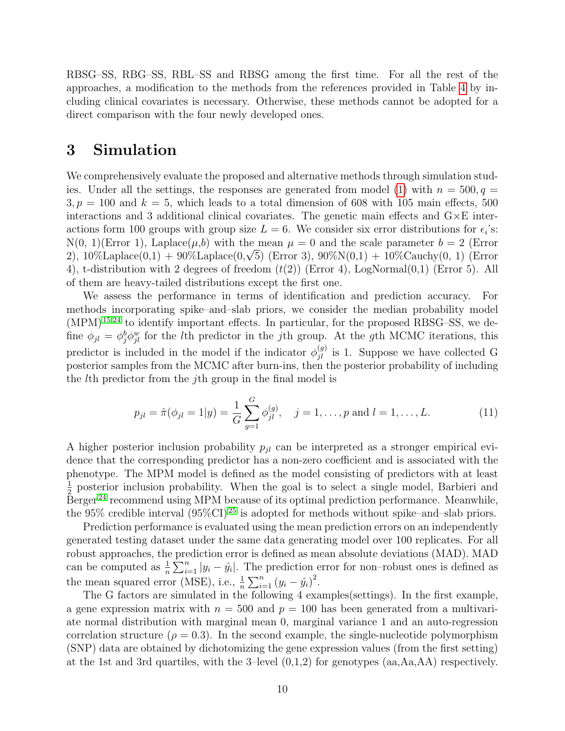RBSG–SS, RBG–SS, RBL–SS and RBSG among the first time. For all the rest of the approaches, a modification to the methods from the references provided in Table [4](#page-22-0) by including clinical covariates is necessary. Otherwise, these methods cannot be adopted for a direct comparison with the four newly developed ones.

## 3 Simulation

We comprehensively evaluate the proposed and alternative methods through simulation stud-ies. Under all the settings, the responses are generated from model [\(1\)](#page-3-0) with  $n = 500, q =$  $3, p = 100$  and  $k = 5$ , which leads to a total dimension of 608 with 105 main effects, 500 interactions and 3 additional clinical covariates. The genetic main effects and  $G \times E$  interactions form 100 groups with group size  $L = 6$ . We consider six error distributions for  $\epsilon_i$ 's:  $N(0, 1)$ (Error 1), Laplace( $\mu$ ,b) with the mean  $\mu = 0$  and the scale parameter  $b = 2$  (Error  $N(0, 1)$ (Error 1), Laplace( $\mu$ ,0) with the mean  $\mu = 0$  and the scale parameter  $\sigma = 2$  (Error 2), 10%Laplace(0,1) + 90%Laplace(0, $\sqrt{5}$ ) (Error 3), 90% $N(0,1)$  + 10%Cauchy(0, 1) (Error 4), t-distribution with 2 degrees of freedom  $(t(2))$  (Error 4), LogNormal $(0,1)$  (Error 5). All of them are heavy-tailed distributions except the first one.

We assess the performance in terms of identification and prediction accuracy. For methods incorporating spike–and–slab priors, we consider the median probability model  $(MPM)^{15;24}$  $(MPM)^{15;24}$  $(MPM)^{15;24}$  $(MPM)^{15;24}$  to identify important effects. In particular, for the proposed RBSG–SS, we define  $\phi_{jl} = \phi_j^b \phi_{jl}^w$  for the *l*th predictor in the *j*th group. At the *g*th MCMC iterations, this predictor is included in the model if the indicator  $\phi_{jl}^{(g)}$  is 1. Suppose we have collected G posterior samples from the MCMC after burn-ins, then the posterior probability of including the lth predictor from the jth group in the final model is

$$
p_{jl} = \hat{\pi}(\phi_{jl} = 1|y) = \frac{1}{G} \sum_{g=1}^{G} \phi_{jl}^{(g)}, \quad j = 1, \dots, p \text{ and } l = 1, \dots, L.
$$
 (11)

A higher posterior inclusion probability  $p_{jl}$  can be interpreted as a stronger empirical evidence that the corresponding predictor has a non-zero coefficient and is associated with the phenotype. The MPM model is defined as the model consisting of predictors with at least 1  $\frac{1}{2}$  posterior inclusion probability. When the goal is to select a single model, Barbieri and  $\overline{B}$  recommend using MPM because of its optimal prediction performance. Meanwhile, the 95% credible interval  $(95\% \text{CI})^{25}$  $(95\% \text{CI})^{25}$  $(95\% \text{CI})^{25}$  is adopted for methods without spike–and–slab priors.

Prediction performance is evaluated using the mean prediction errors on an independently generated testing dataset under the same data generating model over 100 replicates. For all robust approaches, the prediction error is defined as mean absolute deviations (MAD). MAD can be computed as  $\frac{1}{n} \sum_{i=1}^{n} |y_i - \hat{y}_i|$ . The prediction error for non-robust ones is defined as the mean squared error (MSE), i.e.,  $\frac{1}{n} \sum_{i=1}^{n} (y_i - \hat{y}_i)^2$ .

The G factors are simulated in the following 4 examples(settings). In the first example, a gene expression matrix with  $n = 500$  and  $p = 100$  has been generated from a multivariate normal distribution with marginal mean 0, marginal variance 1 and an auto-regression correlation structure ( $\rho = 0.3$ ). In the second example, the single-nucleotide polymorphism (SNP) data are obtained by dichotomizing the gene expression values (from the first setting) at the 1st and 3rd quartiles, with the 3–level  $(0,1,2)$  for genotypes  $(aa, Aa, AA)$  respectively.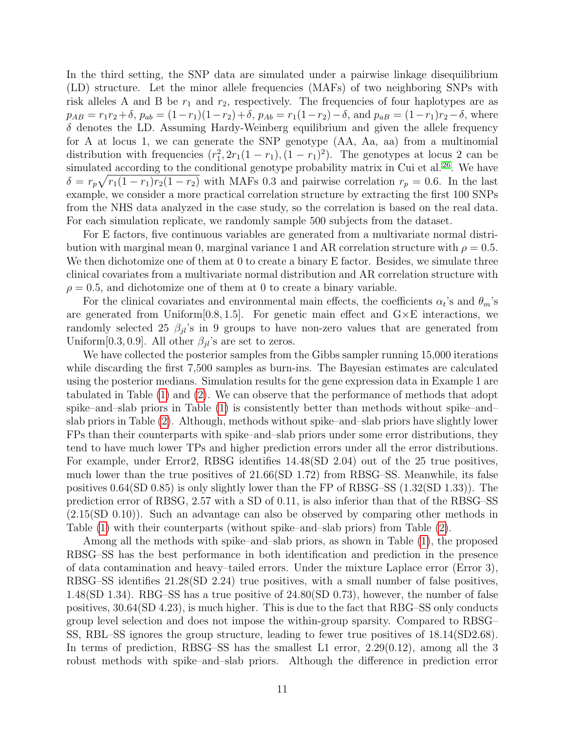In the third setting, the SNP data are simulated under a pairwise linkage disequilibrium (LD) structure. Let the minor allele frequencies (MAFs) of two neighboring SNPs with risk alleles A and B be  $r_1$  and  $r_2$ , respectively. The frequencies of four haplotypes are as  $p_{AB} = r_1r_2 + \delta$ ,  $p_{ab} = (1 - r_1)(1 - r_2) + \delta$ ,  $p_{Ab} = r_1(1 - r_2) - \delta$ , and  $p_{aB} = (1 - r_1)r_2 - \delta$ , where  $\delta$  denotes the LD. Assuming Hardy-Weinberg equilibrium and given the allele frequency for A at locus 1, we can generate the SNP genotype (AA, Aa, aa) from a multinomial distribution with frequencies  $(r_1^2, 2r_1(1 - r_1), (1 - r_1)^2)$ . The genotypes at locus 2 can be simulated according to the conditional genotype probability matrix in Cui et al.<sup>[26](#page-18-6)</sup>. We have  $\delta = r_p \sqrt{r_1(1-r_1)r_2(1-r_2)}$  with MAFs 0.3 and pairwise correlation  $r_p = 0.6$ . In the last example, we consider a more practical correlation structure by extracting the first 100 SNPs from the NHS data analyzed in the case study, so the correlation is based on the real data. For each simulation replicate, we randomly sample 500 subjects from the dataset.

For E factors, five continuous variables are generated from a multivariate normal distribution with marginal mean 0, marginal variance 1 and AR correlation structure with  $\rho = 0.5$ . We then dichotomize one of them at 0 to create a binary E factor. Besides, we simulate three clinical covariates from a multivariate normal distribution and AR correlation structure with  $\rho = 0.5$ , and dichotomize one of them at 0 to create a binary variable.

For the clinical covariates and environmental main effects, the coefficients  $\alpha_t$ 's and  $\theta_m$ 's are generated from Uniform $[0.8, 1.5]$ . For genetic main effect and  $G \times E$  interactions, we randomly selected 25  $\beta_{jl}$ 's in 9 groups to have non-zero values that are generated from Uniform[0.3, 0.9]. All other  $\beta_{jl}$ 's are set to zeros.

We have collected the posterior samples from the Gibbs sampler running 15,000 iterations while discarding the first 7,500 samples as burn-ins. The Bayesian estimates are calculated using the posterior medians. Simulation results for the gene expression data in Example 1 are tabulated in Table [\(1\)](#page-11-0) and [\(2\)](#page-12-0). We can observe that the performance of methods that adopt spike–and–slab priors in Table [\(1\)](#page-11-0) is consistently better than methods without spike–and– slab priors in Table [\(2\)](#page-12-0). Although, methods without spike–and–slab priors have slightly lower FPs than their counterparts with spike–and–slab priors under some error distributions, they tend to have much lower TPs and higher prediction errors under all the error distributions. For example, under Error2, RBSG identifies 14.48(SD 2.04) out of the 25 true positives, much lower than the true positives of 21.66(SD 1.72) from RBSG–SS. Meanwhile, its false positives 0.64(SD 0.85) is only slightly lower than the FP of RBSG–SS (1.32(SD 1.33)). The prediction error of RBSG, 2.57 with a SD of 0.11, is also inferior than that of the RBSG–SS (2.15(SD 0.10)). Such an advantage can also be observed by comparing other methods in Table [\(1\)](#page-11-0) with their counterparts (without spike–and–slab priors) from Table [\(2\)](#page-12-0).

Among all the methods with spike–and–slab priors, as shown in Table [\(1\)](#page-11-0), the proposed RBSG–SS has the best performance in both identification and prediction in the presence of data contamination and heavy–tailed errors. Under the mixture Laplace error (Error 3), RBSG–SS identifies 21.28(SD 2.24) true positives, with a small number of false positives, 1.48(SD 1.34). RBG–SS has a true positive of 24.80(SD 0.73), however, the number of false positives, 30.64(SD 4.23), is much higher. This is due to the fact that RBG–SS only conducts group level selection and does not impose the within-group sparsity. Compared to RBSG– SS, RBL–SS ignores the group structure, leading to fewer true positives of 18.14(SD2.68). In terms of prediction, RBSG–SS has the smallest L1 error, 2.29(0.12), among all the 3 robust methods with spike–and–slab priors. Although the difference in prediction error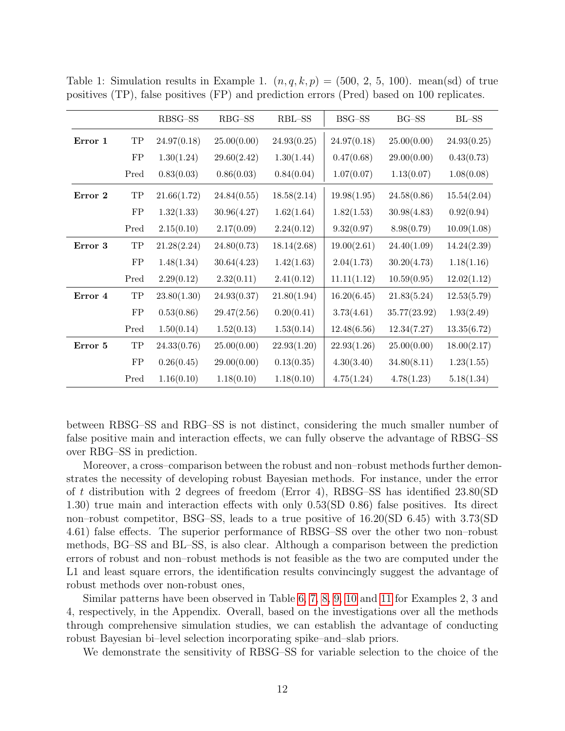|         |            | RBSG-SS     | $RBG-SS$    | RBL-SS      | BSG-SS      | $BG-SS$      | $BL-SS$     |
|---------|------------|-------------|-------------|-------------|-------------|--------------|-------------|
| Error 1 | ${\rm TP}$ | 24.97(0.18) | 25.00(0.00) | 24.93(0.25) | 24.97(0.18) | 25.00(0.00)  | 24.93(0.25) |
|         | ${\rm FP}$ | 1.30(1.24)  | 29.60(2.42) | 1.30(1.44)  | 0.47(0.68)  | 29.00(0.00)  | 0.43(0.73)  |
|         | Pred       | 0.83(0.03)  | 0.86(0.03)  | 0.84(0.04)  | 1.07(0.07)  | 1.13(0.07)   | 1.08(0.08)  |
| Error 2 | ${\rm TP}$ | 21.66(1.72) | 24.84(0.55) | 18.58(2.14) | 19.98(1.95) | 24.58(0.86)  | 15.54(2.04) |
|         | FP         | 1.32(1.33)  | 30.96(4.27) | 1.62(1.64)  | 1.82(1.53)  | 30.98(4.83)  | 0.92(0.94)  |
|         | Pred       | 2.15(0.10)  | 2.17(0.09)  | 2.24(0.12)  | 9.32(0.97)  | 8.98(0.79)   | 10.09(1.08) |
| Error 3 | ${\rm TP}$ | 21.28(2.24) | 24.80(0.73) | 18.14(2.68) | 19.00(2.61) | 24.40(1.09)  | 14.24(2.39) |
|         | ${\rm FP}$ | 1.48(1.34)  | 30.64(4.23) | 1.42(1.63)  | 2.04(1.73)  | 30.20(4.73)  | 1.18(1.16)  |
|         | Pred       | 2.29(0.12)  | 2.32(0.11)  | 2.41(0.12)  | 11.11(1.12) | 10.59(0.95)  | 12.02(1.12) |
| Error 4 | ${\rm TP}$ | 23.80(1.30) | 24.93(0.37) | 21.80(1.94) | 16.20(6.45) | 21.83(5.24)  | 12.53(5.79) |
|         | ${\rm FP}$ | 0.53(0.86)  | 29.47(2.56) | 0.20(0.41)  | 3.73(4.61)  | 35.77(23.92) | 1.93(2.49)  |
|         | Pred       | 1.50(0.14)  | 1.52(0.13)  | 1.53(0.14)  | 12.48(6.56) | 12.34(7.27)  | 13.35(6.72) |
| Error 5 | ${\rm TP}$ | 24.33(0.76) | 25.00(0.00) | 22.93(1.20) | 22.93(1.26) | 25.00(0.00)  | 18.00(2.17) |
|         | ${\rm FP}$ | 0.26(0.45)  | 29.00(0.00) | 0.13(0.35)  | 4.30(3.40)  | 34.80(8.11)  | 1.23(1.55)  |
|         | Pred       | 1.16(0.10)  | 1.18(0.10)  | 1.18(0.10)  | 4.75(1.24)  | 4.78(1.23)   | 5.18(1.34)  |

<span id="page-11-0"></span>Table 1: Simulation results in Example 1.  $(n, q, k, p) = (500, 2, 5, 100)$ . mean(sd) of true positives (TP), false positives (FP) and prediction errors (Pred) based on 100 replicates.

between RBSG–SS and RBG–SS is not distinct, considering the much smaller number of false positive main and interaction effects, we can fully observe the advantage of RBSG–SS over RBG–SS in prediction.

Moreover, a cross–comparison between the robust and non–robust methods further demonstrates the necessity of developing robust Bayesian methods. For instance, under the error of t distribution with 2 degrees of freedom (Error 4), RBSG–SS has identified 23.80(SD 1.30) true main and interaction effects with only 0.53(SD 0.86) false positives. Its direct non–robust competitor, BSG–SS, leads to a true positive of 16.20(SD 6.45) with 3.73(SD 4.61) false effects. The superior performance of RBSG–SS over the other two non–robust methods, BG–SS and BL–SS, is also clear. Although a comparison between the prediction errors of robust and non–robust methods is not feasible as the two are computed under the L1 and least square errors, the identification results convincingly suggest the advantage of robust methods over non-robust ones,

Similar patterns have been observed in Table [6,](#page-25-0) [7,](#page-26-0) [8,](#page-27-0) [9,](#page-28-0) [10](#page-29-0) and [11](#page-30-0) for Examples 2, 3 and 4, respectively, in the Appendix. Overall, based on the investigations over all the methods through comprehensive simulation studies, we can establish the advantage of conducting robust Bayesian bi–level selection incorporating spike–and–slab priors.

We demonstrate the sensitivity of RBSG–SS for variable selection to the choice of the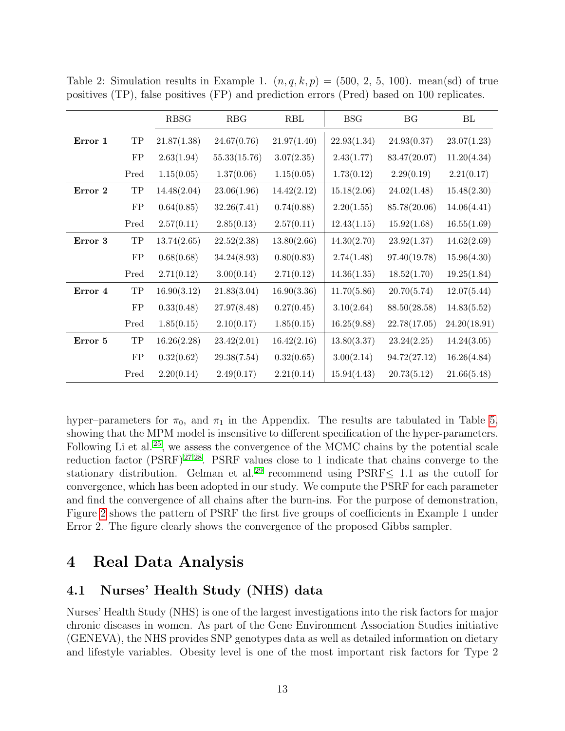|         |             | <b>RBSG</b> | RBG          | RBL         | <b>BSG</b>  | BG           | BL           |
|---------|-------------|-------------|--------------|-------------|-------------|--------------|--------------|
| Error 1 | ${\rm TP}$  | 21.87(1.38) | 24.67(0.76)  | 21.97(1.40) | 22.93(1.34) | 24.93(0.37)  | 23.07(1.23)  |
|         | ${\rm FP}$  | 2.63(1.94)  | 55.33(15.76) | 3.07(2.35)  | 2.43(1.77)  | 83.47(20.07) | 11.20(4.34)  |
|         | Pred        | 1.15(0.05)  | 1.37(0.06)   | 1.15(0.05)  | 1.73(0.12)  | 2.29(0.19)   | 2.21(0.17)   |
| Error 2 | $_{\rm TP}$ | 14.48(2.04) | 23.06(1.96)  | 14.42(2.12) | 15.18(2.06) | 24.02(1.48)  | 15.48(2.30)  |
|         | ${\rm FP}$  | 0.64(0.85)  | 32.26(7.41)  | 0.74(0.88)  | 2.20(1.55)  | 85.78(20.06) | 14.06(4.41)  |
|         | Pred        | 2.57(0.11)  | 2.85(0.13)   | 2.57(0.11)  | 12.43(1.15) | 15.92(1.68)  | 16.55(1.69)  |
| Error 3 | ${\rm TP}$  | 13.74(2.65) | 22.52(2.38)  | 13.80(2.66) | 14.30(2.70) | 23.92(1.37)  | 14.62(2.69)  |
|         | ${\rm FP}$  | 0.68(0.68)  | 34.24(8.93)  | 0.80(0.83)  | 2.74(1.48)  | 97.40(19.78) | 15.96(4.30)  |
|         | Pred        | 2.71(0.12)  | 3.00(0.14)   | 2.71(0.12)  | 14.36(1.35) | 18.52(1.70)  | 19.25(1.84)  |
| Error 4 | $_{\rm TP}$ | 16.90(3.12) | 21.83(3.04)  | 16.90(3.36) | 11.70(5.86) | 20.70(5.74)  | 12.07(5.44)  |
|         | ${\rm FP}$  | 0.33(0.48)  | 27.97(8.48)  | 0.27(0.45)  | 3.10(2.64)  | 88.50(28.58) | 14.83(5.52)  |
|         | Pred        | 1.85(0.15)  | 2.10(0.17)   | 1.85(0.15)  | 16.25(9.88) | 22.78(17.05) | 24.20(18.91) |
| Error 5 | ${\rm TP}$  | 16.26(2.28) | 23.42(2.01)  | 16.42(2.16) | 13.80(3.37) | 23.24(2.25)  | 14.24(3.05)  |
|         | ${\rm FP}$  | 0.32(0.62)  | 29.38(7.54)  | 0.32(0.65)  | 3.00(2.14)  | 94.72(27.12) | 16.26(4.84)  |
|         | Pred        | 2.20(0.14)  | 2.49(0.17)   | 2.21(0.14)  | 15.94(4.43) | 20.73(5.12)  | 21.66(5.48)  |

<span id="page-12-0"></span>Table 2: Simulation results in Example 1.  $(n, q, k, p) = (500, 2, 5, 100)$ . mean(sd) of true positives (TP), false positives (FP) and prediction errors (Pred) based on 100 replicates.

hyper–parameters for  $\pi_0$ , and  $\pi_1$  in the Appendix. The results are tabulated in Table [5,](#page-23-0) showing that the MPM model is insensitive to different specification of the hyper-parameters. Following Li et al.<sup>[25](#page-18-5)</sup>, we assess the convergence of the MCMC chains by the potential scale reduction factor  $(PSRF)^{27;28}$  $(PSRF)^{27;28}$  $(PSRF)^{27;28}$  $(PSRF)^{27;28}$ . PSRF values close to 1 indicate that chains converge to the stationary distribution. Gelman et al. [29](#page-18-9) recommend using PSRF≤ 1.1 as the cutoff for convergence, which has been adopted in our study. We compute the PSRF for each parameter and find the convergence of all chains after the burn-ins. For the purpose of demonstration, Figure [2](#page-24-0) shows the pattern of PSRF the first five groups of coefficients in Example 1 under Error 2. The figure clearly shows the convergence of the proposed Gibbs sampler.

## 4 Real Data Analysis

## 4.1 Nurses' Health Study (NHS) data

Nurses' Health Study (NHS) is one of the largest investigations into the risk factors for major chronic diseases in women. As part of the Gene Environment Association Studies initiative (GENEVA), the NHS provides SNP genotypes data as well as detailed information on dietary and lifestyle variables. Obesity level is one of the most important risk factors for Type 2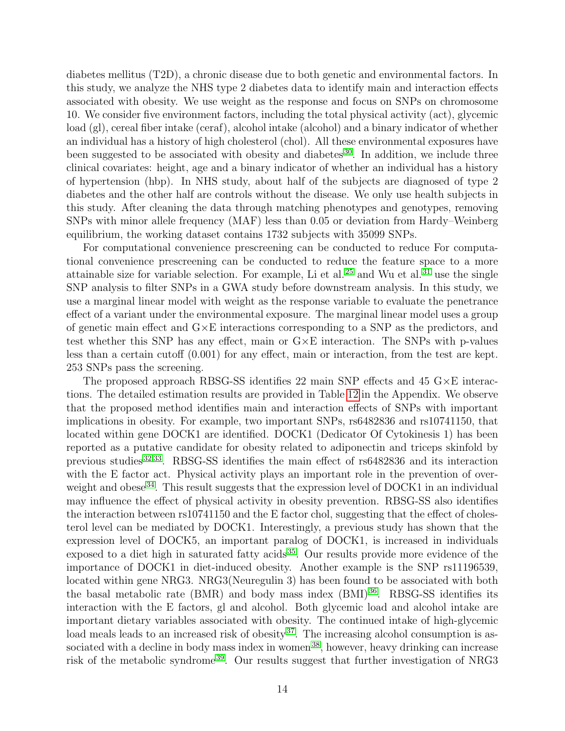diabetes mellitus (T2D), a chronic disease due to both genetic and environmental factors. In this study, we analyze the NHS type 2 diabetes data to identify main and interaction effects associated with obesity. We use weight as the response and focus on SNPs on chromosome 10. We consider five environment factors, including the total physical activity (act), glycemic load (gl), cereal fiber intake (ceraf), alcohol intake (alcohol) and a binary indicator of whether an individual has a history of high cholesterol (chol). All these environmental exposures have been suggested to be associated with obesity and diabetes  $30$ . In addition, we include three clinical covariates: height, age and a binary indicator of whether an individual has a history of hypertension (hbp). In NHS study, about half of the subjects are diagnosed of type 2 diabetes and the other half are controls without the disease. We only use health subjects in this study. After cleaning the data through matching phenotypes and genotypes, removing SNPs with minor allele frequency (MAF) less than 0.05 or deviation from Hardy–Weinberg equilibrium, the working dataset contains 1732 subjects with 35099 SNPs.

For computational convenience prescreening can be conducted to reduce For computational convenience prescreening can be conducted to reduce the feature space to a more attainable size for variable selection. For example, Li et al.<sup>[25](#page-18-5)</sup> and Wu et al.<sup>[31](#page-18-11)</sup> use the single SNP analysis to filter SNPs in a GWA study before downstream analysis. In this study, we use a marginal linear model with weight as the response variable to evaluate the penetrance effect of a variant under the environmental exposure. The marginal linear model uses a group of genetic main effect and G×E interactions corresponding to a SNP as the predictors, and test whether this SNP has any effect, main or  $G \times E$  interaction. The SNPs with p-values less than a certain cutoff (0.001) for any effect, main or interaction, from the test are kept. 253 SNPs pass the screening.

The proposed approach RBSG-SS identifies 22 main SNP effects and 45  $G \times E$  interactions. The detailed estimation results are provided in Table [12](#page-31-0) in the Appendix. We observe that the proposed method identifies main and interaction effects of SNPs with important implications in obesity. For example, two important SNPs, rs6482836 and rs10741150, that located within gene DOCK1 are identified. DOCK1 (Dedicator Of Cytokinesis 1) has been reported as a putative candidate for obesity related to adiponectin and triceps skinfold by previous studies<sup>[32;](#page-19-0)[33](#page-19-1)</sup>. RBSG-SS identifies the main effect of rs6482836 and its interaction with the E factor act. Physical activity plays an important role in the prevention of over-weight and obese<sup>[34](#page-19-2)</sup>. This result suggests that the expression level of DOCK1 in an individual may influence the effect of physical activity in obesity prevention. RBSG-SS also identifies the interaction between rs10741150 and the E factor chol, suggesting that the effect of cholesterol level can be mediated by DOCK1. Interestingly, a previous study has shown that the expression level of DOCK5, an important paralog of DOCK1, is increased in individuals exposed to a diet high in saturated fatty acids [35](#page-19-3). Our results provide more evidence of the importance of DOCK1 in diet-induced obesity. Another example is the SNP rs11196539, located within gene NRG3. NRG3(Neuregulin 3) has been found to be associated with both the basal metabolic rate (BMR) and body mass index (BMI) [36](#page-19-4). RBSG-SS identifies its interaction with the E factors, gl and alcohol. Both glycemic load and alcohol intake are important dietary variables associated with obesity. The continued intake of high-glycemic load meals leads to an increased risk of obesity<sup>[37](#page-19-5)</sup>. The increasing alcohol consumption is as-sociated with a decline in body mass index in women<sup>[38](#page-19-6)</sup>, however, heavy drinking can increase risk of the metabolic syndrome<sup>[39](#page-19-7)</sup>. Our results suggest that further investigation of NRG3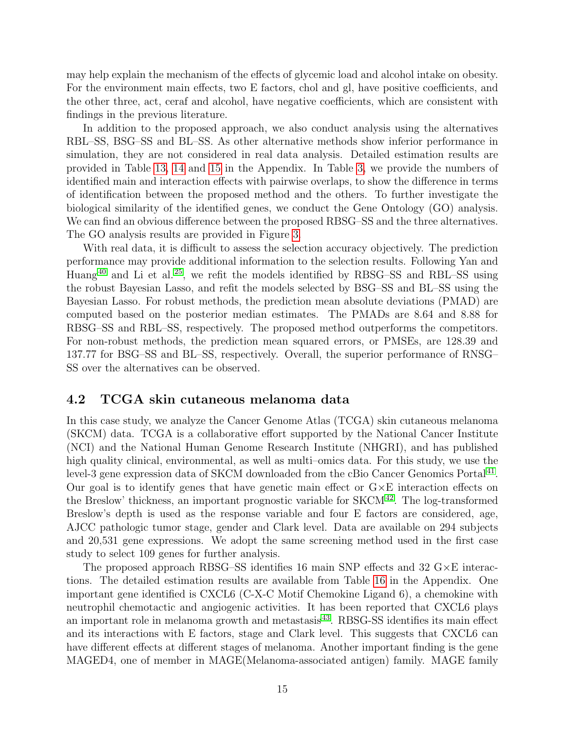may help explain the mechanism of the effects of glycemic load and alcohol intake on obesity. For the environment main effects, two E factors, chol and gl, have positive coefficients, and the other three, act, ceraf and alcohol, have negative coefficients, which are consistent with findings in the previous literature.

In addition to the proposed approach, we also conduct analysis using the alternatives RBL–SS, BSG–SS and BL–SS. As other alternative methods show inferior performance in simulation, they are not considered in real data analysis. Detailed estimation results are provided in Table [13,](#page-32-0) [14](#page-33-0) and [15](#page-35-0) in the Appendix. In Table [3,](#page-15-0) we provide the numbers of identified main and interaction effects with pairwise overlaps, to show the difference in terms of identification between the proposed method and the others. To further investigate the biological similarity of the identified genes, we conduct the Gene Ontology (GO) analysis. We can find an obvious difference between the proposed RBSG–SS and the three alternatives. The GO analysis results are provided in Figure [3.](#page-41-0)

With real data, it is difficult to assess the selection accuracy objectively. The prediction performance may provide additional information to the selection results. Following Yan and Huang<sup>[40](#page-19-8)</sup> and Li et al.<sup>[25](#page-18-5)</sup>, we refit the models identified by RBSG–SS and RBL–SS using the robust Bayesian Lasso, and refit the models selected by BSG–SS and BL–SS using the Bayesian Lasso. For robust methods, the prediction mean absolute deviations (PMAD) are computed based on the posterior median estimates. The PMADs are 8.64 and 8.88 for RBSG–SS and RBL–SS, respectively. The proposed method outperforms the competitors. For non-robust methods, the prediction mean squared errors, or PMSEs, are 128.39 and 137.77 for BSG–SS and BL–SS, respectively. Overall, the superior performance of RNSG– SS over the alternatives can be observed.

#### 4.2 TCGA skin cutaneous melanoma data

In this case study, we analyze the Cancer Genome Atlas (TCGA) skin cutaneous melanoma (SKCM) data. TCGA is a collaborative effort supported by the National Cancer Institute (NCI) and the National Human Genome Research Institute (NHGRI), and has published high quality clinical, environmental, as well as multi–omics data. For this study, we use the level-3 gene expression data of SKCM downloaded from the cBio Cancer Genomics Portal<sup>[41](#page-19-9)</sup>. Our goal is to identify genes that have genetic main effect or  $G \times E$  interaction effects on the Breslow' thickness, an important prognostic variable for  $SKCM<sup>42</sup>$  $SKCM<sup>42</sup>$  $SKCM<sup>42</sup>$ . The log-transformed Breslow's depth is used as the response variable and four E factors are considered, age, AJCC pathologic tumor stage, gender and Clark level. Data are available on 294 subjects and 20,531 gene expressions. We adopt the same screening method used in the first case study to select 109 genes for further analysis.

The proposed approach RBSG–SS identifies 16 main SNP effects and 32 G×E interactions. The detailed estimation results are available from Table [16](#page-36-0) in the Appendix. One important gene identified is CXCL6 (C-X-C Motif Chemokine Ligand 6), a chemokine with neutrophil chemotactic and angiogenic activities. It has been reported that CXCL6 plays an important role in melanoma growth and metastasis [43](#page-20-1). RBSG-SS identifies its main effect and its interactions with E factors, stage and Clark level. This suggests that CXCL6 can have different effects at different stages of melanoma. Another important finding is the gene MAGED4, one of member in MAGE(Melanoma-associated antigen) family. MAGE family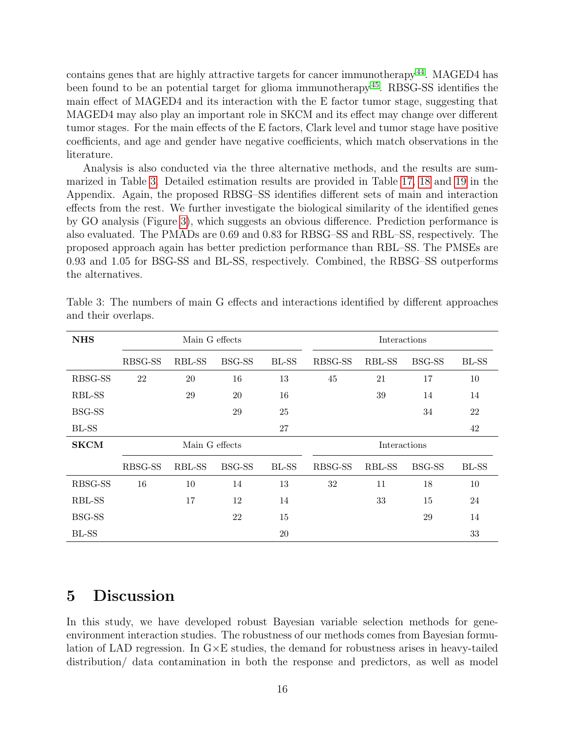contains genes that are highly attractive targets for cancer immunotherapy [44](#page-20-2). MAGED4 has been found to be an potential target for glioma immunotherapy [45](#page-20-3). RBSG-SS identifies the main effect of MAGED4 and its interaction with the E factor tumor stage, suggesting that MAGED4 may also play an important role in SKCM and its effect may change over different tumor stages. For the main effects of the E factors, Clark level and tumor stage have positive coefficients, and age and gender have negative coefficients, which match observations in the literature.

Analysis is also conducted via the three alternative methods, and the results are summarized in Table [3.](#page-15-0) Detailed estimation results are provided in Table [17,](#page-37-0) [18](#page-38-0) and [19](#page-39-0) in the Appendix. Again, the proposed RBSG–SS identifies different sets of main and interaction effects from the rest. We further investigate the biological similarity of the identified genes by GO analysis (Figure [3\)](#page-41-0), which suggests an obvious difference. Prediction performance is also evaluated. The PMADs are 0.69 and 0.83 for RBSG–SS and RBL–SS, respectively. The proposed approach again has better prediction performance than RBL–SS. The PMSEs are 0.93 and 1.05 for BSG-SS and BL-SS, respectively. Combined, the RBSG–SS outperforms the alternatives.

| <b>NHS</b>  |         | Main G effects |               |        |              | Interactions |               |              |  |  |
|-------------|---------|----------------|---------------|--------|--------------|--------------|---------------|--------------|--|--|
|             | RBSG-SS | RBL-SS         | <b>BSG-SS</b> | BL-SS  | RBSG-SS      | RBL-SS       | BSG-SS        | <b>BL-SS</b> |  |  |
| RBSG-SS     | 22      | 20             | 16            | 13     | 45           | 21           | 17            | 10           |  |  |
| RBL-SS      |         | 29             | 20            | 16     |              | 39           | 14            | 14           |  |  |
| BSG-SS      |         |                | 29            | 25     |              |              | 34            | 22           |  |  |
| BL-SS       |         |                |               | 27     |              |              |               | 42           |  |  |
| <b>SKCM</b> |         | Main G effects |               |        | Interactions |              |               |              |  |  |
|             | RBSG-SS | RBL-SS         | <b>BSG-SS</b> | BL-SS  | RBSG-SS      | RBL-SS       | <b>BSG-SS</b> | <b>BL-SS</b> |  |  |
| RBSG-SS     | 16      | 10             | 14            | 13     | 32           | 11           | 18            | 10           |  |  |
| RBL-SS      |         | 17             | 12            | 14     |              | 33           | 15            | 24           |  |  |
| BSG-SS      |         |                | 22            | 15     |              |              | 29            | 14           |  |  |
| BL-SS       |         |                |               | $20\,$ |              |              |               | 33           |  |  |

<span id="page-15-0"></span>Table 3: The numbers of main G effects and interactions identified by different approaches and their overlaps.

## 5 Discussion

In this study, we have developed robust Bayesian variable selection methods for geneenvironment interaction studies. The robustness of our methods comes from Bayesian formulation of LAD regression. In  $G \times E$  studies, the demand for robustness arises in heavy-tailed distribution/ data contamination in both the response and predictors, as well as model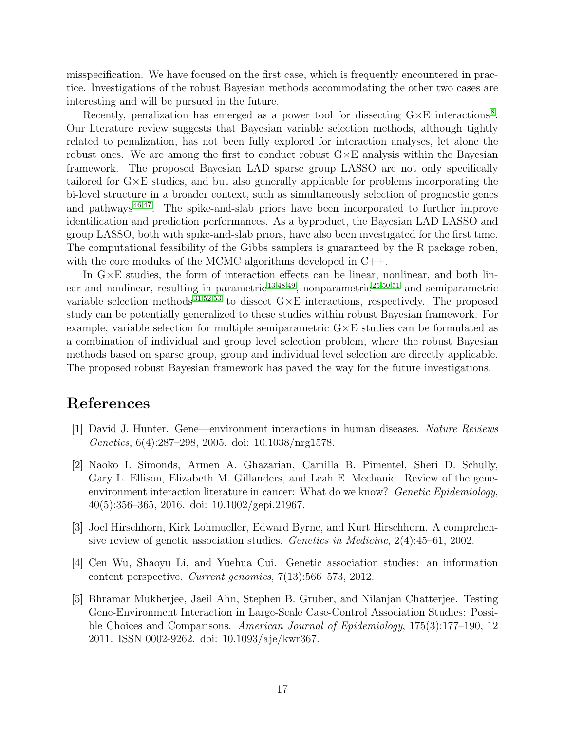misspecification. We have focused on the first case, which is frequently encountered in practice. Investigations of the robust Bayesian methods accommodating the other two cases are interesting and will be pursued in the future.

Recently, penalization has emerged as a power tool for dissecting  $G \times E$  interactions<sup>[8](#page-17-2)</sup>. Our literature review suggests that Bayesian variable selection methods, although tightly related to penalization, has not been fully explored for interaction analyses, let alone the robust ones. We are among the first to conduct robust  $G \times E$  analysis within the Bayesian framework. The proposed Bayesian LAD sparse group LASSO are not only specifically tailored for G×E studies, and but also generally applicable for problems incorporating the bi-level structure in a broader context, such as simultaneously selection of prognostic genes and pathways<sup>[46;](#page-20-4)[47](#page-20-5)</sup>. The spike-and-slab priors have been incorporated to further improve identification and prediction performances. As a byproduct, the Bayesian LAD LASSO and group LASSO, both with spike-and-slab priors, have also been investigated for the first time. The computational feasibility of the Gibbs samplers is guaranteed by the R package roben, with the core modules of the MCMC algorithms developed in C++.

In  $G \times E$  studies, the form of interaction effects can be linear, nonlinear, and both linear and nonlinear, resulting in parametric  $^{13;48;49}$  $^{13;48;49}$  $^{13;48;49}$  $^{13;48;49}$  $^{13;48;49}$ , nonparametric  $^{25;50;51}$  $^{25;50;51}$  $^{25;50;51}$  $^{25;50;51}$  $^{25;50;51}$  and semiparametric variable selection methods<sup>[31;](#page-18-11)[52](#page-21-0)[;53](#page-21-1)</sup> to dissect  $G \times E$  interactions, respectively. The proposed study can be potentially generalized to these studies within robust Bayesian framework. For example, variable selection for multiple semiparametric  $G \times E$  studies can be formulated as a combination of individual and group level selection problem, where the robust Bayesian methods based on sparse group, group and individual level selection are directly applicable. The proposed robust Bayesian framework has paved the way for the future investigations.

## References

- <span id="page-16-0"></span>[1] David J. Hunter. Gene—environment interactions in human diseases. Nature Reviews Genetics, 6(4):287–298, 2005. doi: 10.1038/nrg1578.
- <span id="page-16-1"></span>[2] Naoko I. Simonds, Armen A. Ghazarian, Camilla B. Pimentel, Sheri D. Schully, Gary L. Ellison, Elizabeth M. Gillanders, and Leah E. Mechanic. Review of the geneenvironment interaction literature in cancer: What do we know? Genetic Epidemiology, 40(5):356–365, 2016. doi: 10.1002/gepi.21967.
- <span id="page-16-2"></span>[3] Joel Hirschhorn, Kirk Lohmueller, Edward Byrne, and Kurt Hirschhorn. A comprehensive review of genetic association studies. Genetics in Medicine, 2(4):45–61, 2002.
- <span id="page-16-3"></span>[4] Cen Wu, Shaoyu Li, and Yuehua Cui. Genetic association studies: an information content perspective. Current genomics, 7(13):566–573, 2012.
- <span id="page-16-4"></span>[5] Bhramar Mukherjee, Jaeil Ahn, Stephen B. Gruber, and Nilanjan Chatterjee. Testing Gene-Environment Interaction in Large-Scale Case-Control Association Studies: Possible Choices and Comparisons. American Journal of Epidemiology, 175(3):177–190, 12 2011. ISSN 0002-9262. doi: 10.1093/aje/kwr367.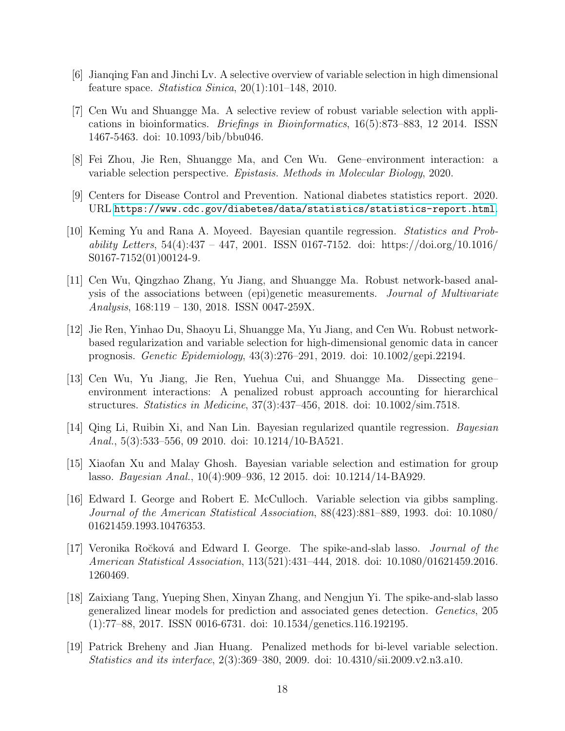- <span id="page-17-0"></span>[6] Jianqing Fan and Jinchi Lv. A selective overview of variable selection in high dimensional feature space. Statistica Sinica,  $20(1):101-148$ ,  $2010$ .
- <span id="page-17-1"></span>[7] Cen Wu and Shuangge Ma. A selective review of robust variable selection with applications in bioinformatics. Briefings in Bioinformatics, 16(5):873–883, 12 2014. ISSN 1467-5463. doi: 10.1093/bib/bbu046.
- <span id="page-17-2"></span>[8] Fei Zhou, Jie Ren, Shuangge Ma, and Cen Wu. Gene–environment interaction: a variable selection perspective. Epistasis. Methods in Molecular Biology, 2020.
- <span id="page-17-3"></span>[9] Centers for Disease Control and Prevention. National diabetes statistics report. 2020. URL <https://www.cdc.gov/diabetes/data/statistics/statistics-report.html>.
- <span id="page-17-4"></span>[10] Keming Yu and Rana A. Moyeed. Bayesian quantile regression. Statistics and Probability Letters,  $54(4):337 - 447$ , 2001. ISSN 0167-7152. doi: https://doi.org/10.1016/ S0167-7152(01)00124-9.
- <span id="page-17-5"></span>[11] Cen Wu, Qingzhao Zhang, Yu Jiang, and Shuangge Ma. Robust network-based analysis of the associations between (epi)genetic measurements. Journal of Multivariate Analysis, 168:119 – 130, 2018. ISSN 0047-259X.
- <span id="page-17-6"></span>[12] Jie Ren, Yinhao Du, Shaoyu Li, Shuangge Ma, Yu Jiang, and Cen Wu. Robust networkbased regularization and variable selection for high-dimensional genomic data in cancer prognosis. Genetic Epidemiology, 43(3):276–291, 2019. doi: 10.1002/gepi.22194.
- <span id="page-17-7"></span>[13] Cen Wu, Yu Jiang, Jie Ren, Yuehua Cui, and Shuangge Ma. Dissecting gene– environment interactions: A penalized robust approach accounting for hierarchical structures. Statistics in Medicine, 37(3):437–456, 2018. doi: 10.1002/sim.7518.
- <span id="page-17-8"></span>[14] Qing Li, Ruibin Xi, and Nan Lin. Bayesian regularized quantile regression. Bayesian Anal., 5(3):533–556, 09 2010. doi: 10.1214/10-BA521.
- <span id="page-17-9"></span>[15] Xiaofan Xu and Malay Ghosh. Bayesian variable selection and estimation for group lasso. Bayesian Anal., 10(4):909–936, 12 2015. doi: 10.1214/14-BA929.
- <span id="page-17-10"></span>[16] Edward I. George and Robert E. McCulloch. Variable selection via gibbs sampling. Journal of the American Statistical Association, 88(423):881–889, 1993. doi: 10.1080/ 01621459.1993.10476353.
- [17] Veronika Ročková and Edward I. George. The spike-and-slab lasso. *Journal of the* American Statistical Association, 113(521):431–444, 2018. doi: 10.1080/01621459.2016. 1260469.
- <span id="page-17-11"></span>[18] Zaixiang Tang, Yueping Shen, Xinyan Zhang, and Nengjun Yi. The spike-and-slab lasso generalized linear models for prediction and associated genes detection. Genetics, 205 (1):77–88, 2017. ISSN 0016-6731. doi: 10.1534/genetics.116.192195.
- <span id="page-17-12"></span>[19] Patrick Breheny and Jian Huang. Penalized methods for bi-level variable selection. Statistics and its interface, 2(3):369–380, 2009. doi: 10.4310/sii.2009.v2.n3.a10.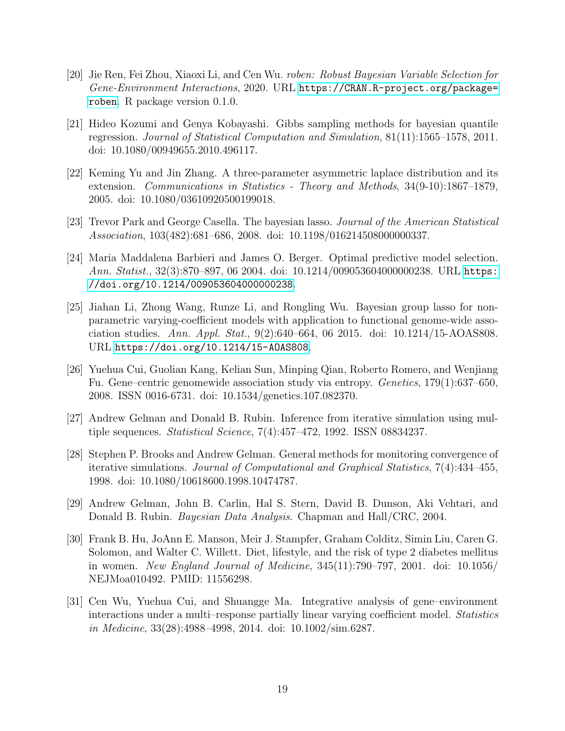- <span id="page-18-0"></span>[20] Jie Ren, Fei Zhou, Xiaoxi Li, and Cen Wu. roben: Robust Bayesian Variable Selection for Gene-Environment Interactions, 2020. URL [https://CRAN.R-project.org/package=](https://CRAN.R-project.org/package=roben) [roben](https://CRAN.R-project.org/package=roben). R package version 0.1.0.
- <span id="page-18-1"></span>[21] Hideo Kozumi and Genya Kobayashi. Gibbs sampling methods for bayesian quantile regression. Journal of Statistical Computation and Simulation, 81(11):1565–1578, 2011. doi: 10.1080/00949655.2010.496117.
- <span id="page-18-2"></span>[22] Keming Yu and Jin Zhang. A three-parameter asymmetric laplace distribution and its extension. Communications in Statistics - Theory and Methods, 34(9-10):1867–1879, 2005. doi: 10.1080/03610920500199018.
- <span id="page-18-3"></span>[23] Trevor Park and George Casella. The bayesian lasso. Journal of the American Statistical Association, 103(482):681–686, 2008. doi: 10.1198/016214508000000337.
- <span id="page-18-4"></span>[24] Maria Maddalena Barbieri and James O. Berger. Optimal predictive model selection. Ann. Statist., 32(3):870–897, 06 2004. doi: 10.1214/009053604000000238. URL [https:](https://doi.org/10.1214/009053604000000238) [//doi.org/10.1214/009053604000000238](https://doi.org/10.1214/009053604000000238).
- <span id="page-18-5"></span>[25] Jiahan Li, Zhong Wang, Runze Li, and Rongling Wu. Bayesian group lasso for nonparametric varying-coefficient models with application to functional genome-wide association studies. Ann. Appl. Stat., 9(2):640–664, 06 2015. doi:  $10.1214/15$ -AOAS808. URL <https://doi.org/10.1214/15-AOAS808>.
- <span id="page-18-6"></span>[26] Yuehua Cui, Guolian Kang, Kelian Sun, Minping Qian, Roberto Romero, and Wenjiang Fu. Gene–centric genomewide association study via entropy. Genetics, 179(1):637–650, 2008. ISSN 0016-6731. doi: 10.1534/genetics.107.082370.
- <span id="page-18-7"></span>[27] Andrew Gelman and Donald B. Rubin. Inference from iterative simulation using multiple sequences. Statistical Science, 7(4):457–472, 1992. ISSN 08834237.
- <span id="page-18-8"></span>[28] Stephen P. Brooks and Andrew Gelman. General methods for monitoring convergence of iterative simulations. Journal of Computational and Graphical Statistics, 7(4):434–455, 1998. doi: 10.1080/10618600.1998.10474787.
- <span id="page-18-9"></span>[29] Andrew Gelman, John B. Carlin, Hal S. Stern, David B. Dunson, Aki Vehtari, and Donald B. Rubin. *Bayesian Data Analysis*. Chapman and Hall/CRC, 2004.
- <span id="page-18-10"></span>[30] Frank B. Hu, JoAnn E. Manson, Meir J. Stampfer, Graham Colditz, Simin Liu, Caren G. Solomon, and Walter C. Willett. Diet, lifestyle, and the risk of type 2 diabetes mellitus in women. New England Journal of Medicine, 345(11):790–797, 2001. doi: 10.1056/ NEJMoa010492. PMID: 11556298.
- <span id="page-18-11"></span>[31] Cen Wu, Yuehua Cui, and Shuangge Ma. Integrative analysis of gene–environment interactions under a multi–response partially linear varying coefficient model. Statistics in Medicine, 33(28):4988–4998, 2014. doi: 10.1002/sim.6287.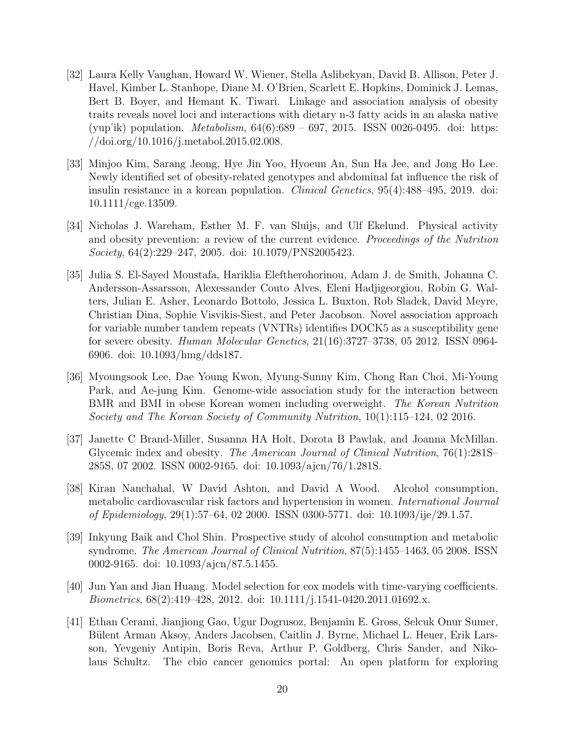- <span id="page-19-0"></span>[32] Laura Kelly Vaughan, Howard W. Wiener, Stella Aslibekyan, David B. Allison, Peter J. Havel, Kimber L. Stanhope, Diane M. O'Brien, Scarlett E. Hopkins, Dominick J. Lemas, Bert B. Boyer, and Hemant K. Tiwari. Linkage and association analysis of obesity traits reveals novel loci and interactions with dietary n-3 fatty acids in an alaska native (yup'ik) population. *Metabolism*,  $64(6):689 - 697$ , 2015. ISSN 0026-0495. doi: https: //doi.org/10.1016/j.metabol.2015.02.008.
- <span id="page-19-1"></span>[33] Minjoo Kim, Sarang Jeong, Hye Jin Yoo, Hyoeun An, Sun Ha Jee, and Jong Ho Lee. Newly identified set of obesity-related genotypes and abdominal fat influence the risk of insulin resistance in a korean population. *Clinical Genetics*, 95(4):488–495, 2019. doi: 10.1111/cge.13509.
- <span id="page-19-2"></span>[34] Nicholas J. Wareham, Esther M. F. van Sluijs, and Ulf Ekelund. Physical activity and obesity prevention: a review of the current evidence. Proceedings of the Nutrition Society, 64(2):229–247, 2005. doi: 10.1079/PNS2005423.
- <span id="page-19-3"></span>[35] Julia S. El-Sayed Moustafa, Hariklia Eleftherohorinou, Adam J. de Smith, Johanna C. Andersson-Assarsson, Alexessander Couto Alves, Eleni Hadjigeorgiou, Robin G. Walters, Julian E. Asher, Leonardo Bottolo, Jessica L. Buxton, Rob Sladek, David Meyre, Christian Dina, Sophie Visvikis-Siest, and Peter Jacobson. Novel association approach for variable number tandem repeats (VNTRs) identifies DOCK5 as a susceptibility gene for severe obesity. Human Molecular Genetics, 21(16):3727–3738, 05 2012. ISSN 0964- 6906. doi: 10.1093/hmg/dds187.
- <span id="page-19-4"></span>[36] Myoungsook Lee, Dae Young Kwon, Myung-Sunny Kim, Chong Ran Choi, Mi-Young Park, and Ae-jung Kim. Genome-wide association study for the interaction between BMR and BMI in obese Korean women including overweight. The Korean Nutrition Society and The Korean Society of Community Nutrition, 10(1):115–124, 02 2016.
- <span id="page-19-5"></span>[37] Janette C Brand-Miller, Susanna HA Holt, Dorota B Pawlak, and Joanna McMillan. Glycemic index and obesity. The American Journal of Clinical Nutrition, 76(1):281S– 285S, 07 2002. ISSN 0002-9165. doi: 10.1093/ajcn/76/1.281S.
- <span id="page-19-6"></span>[38] Kiran Nanchahal, W David Ashton, and David A Wood. Alcohol consumption, metabolic cardiovascular risk factors and hypertension in women. International Journal of Epidemiology, 29(1):57–64, 02 2000. ISSN 0300-5771. doi: 10.1093/ije/29.1.57.
- <span id="page-19-7"></span>[39] Inkyung Baik and Chol Shin. Prospective study of alcohol consumption and metabolic syndrome. The American Journal of Clinical Nutrition, 87(5):1455–1463, 05 2008. ISSN 0002-9165. doi: 10.1093/ajcn/87.5.1455.
- <span id="page-19-8"></span>[40] Jun Yan and Jian Huang. Model selection for cox models with time-varying coefficients. Biometrics, 68(2):419–428, 2012. doi: 10.1111/j.1541-0420.2011.01692.x.
- <span id="page-19-9"></span>[41] Ethan Cerami, Jianjiong Gao, Ugur Dogrusoz, Benjamin E. Gross, Selcuk Onur Sumer, Bülent Arman Aksoy, Anders Jacobsen, Caitlin J. Byrne, Michael L. Heuer, Erik Larsson, Yevgeniy Antipin, Boris Reva, Arthur P. Goldberg, Chris Sander, and Nikolaus Schultz. The cbio cancer genomics portal: An open platform for exploring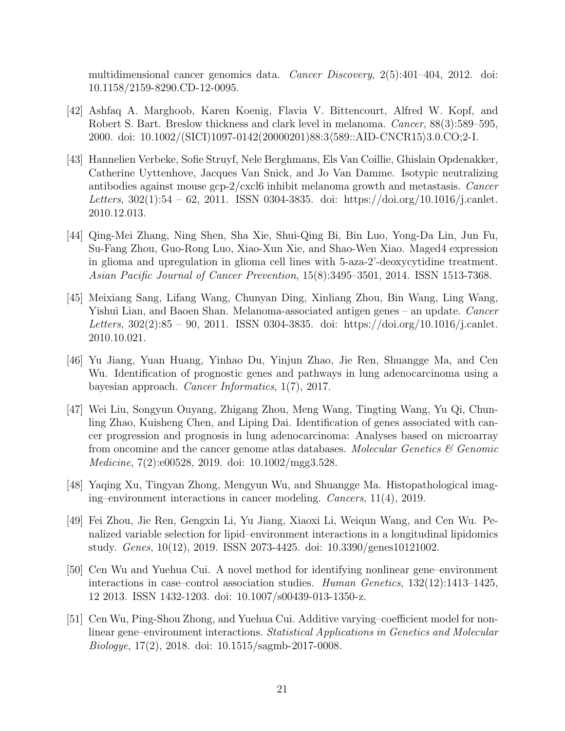multidimensional cancer genomics data. Cancer Discovery, 2(5):401–404, 2012. doi: 10.1158/2159-8290.CD-12-0095.

- <span id="page-20-0"></span>[42] Ashfaq A. Marghoob, Karen Koenig, Flavia V. Bittencourt, Alfred W. Kopf, and Robert S. Bart. Breslow thickness and clark level in melanoma. Cancer, 88(3):589–595, 2000. doi: 10.1002/(SICI)1097-0142(20000201)88:3\589::AID-CNCR15\3.0.CO;2-I.
- <span id="page-20-1"></span>[43] Hannelien Verbeke, Sofie Struyf, Nele Berghmans, Els Van Coillie, Ghislain Opdenakker, Catherine Uyttenhove, Jacques Van Snick, and Jo Van Damme. Isotypic neutralizing antibodies against mouse gcp-2/cxcl6 inhibit melanoma growth and metastasis. Cancer Letters,  $302(1):54 - 62$ , 2011. ISSN 0304-3835. doi: https://doi.org/10.1016/j.canlet. 2010.12.013.
- <span id="page-20-2"></span>[44] Qing-Mei Zhang, Ning Shen, Sha Xie, Shui-Qing Bi, Bin Luo, Yong-Da Lin, Jun Fu, Su-Fang Zhou, Guo-Rong Luo, Xiao-Xun Xie, and Shao-Wen Xiao. Maged4 expression in glioma and upregulation in glioma cell lines with 5-aza-2'-deoxycytidine treatment. Asian Pacific Journal of Cancer Prevention, 15(8):3495–3501, 2014. ISSN 1513-7368.
- <span id="page-20-3"></span>[45] Meixiang Sang, Lifang Wang, Chunyan Ding, Xinliang Zhou, Bin Wang, Ling Wang, Yishui Lian, and Baoen Shan. Melanoma-associated antigen genes – an update. Cancer Letters, 302(2):85 – 90, 2011. ISSN 0304-3835. doi: https://doi.org/10.1016/j.canlet. 2010.10.021.
- <span id="page-20-4"></span>[46] Yu Jiang, Yuan Huang, Yinhao Du, Yinjun Zhao, Jie Ren, Shuangge Ma, and Cen Wu. Identification of prognostic genes and pathways in lung adenocarcinoma using a bayesian approach. Cancer Informatics, 1(7), 2017.
- <span id="page-20-5"></span>[47] Wei Liu, Songyun Ouyang, Zhigang Zhou, Meng Wang, Tingting Wang, Yu Qi, Chunling Zhao, Kuisheng Chen, and Liping Dai. Identification of genes associated with cancer progression and prognosis in lung adenocarcinoma: Analyses based on microarray from oncomine and the cancer genome atlas databases. Molecular Genetics  $\mathcal{C}$  Genomic Medicine, 7(2):e00528, 2019. doi: 10.1002/mgg3.528.
- <span id="page-20-6"></span>[48] Yaqing Xu, Tingyan Zhong, Mengyun Wu, and Shuangge Ma. Histopathological imaging–environment interactions in cancer modeling. Cancers, 11(4), 2019.
- <span id="page-20-7"></span>[49] Fei Zhou, Jie Ren, Gengxin Li, Yu Jiang, Xiaoxi Li, Weiqun Wang, and Cen Wu. Penalized variable selection for lipid–environment interactions in a longitudinal lipidomics study. Genes, 10(12), 2019. ISSN 2073-4425. doi: 10.3390/genes10121002.
- <span id="page-20-8"></span>[50] Cen Wu and Yuehua Cui. A novel method for identifying nonlinear gene–environment interactions in case–control association studies. Human Genetics, 132(12):1413–1425, 12 2013. ISSN 1432-1203. doi: 10.1007/s00439-013-1350-z.
- <span id="page-20-9"></span>[51] Cen Wu, Ping-Shou Zhong, and Yuehua Cui. Additive varying–coefficient model for nonlinear gene–environment interactions. Statistical Applications in Genetics and Molecular Biologye, 17(2), 2018. doi: 10.1515/sagmb-2017-0008.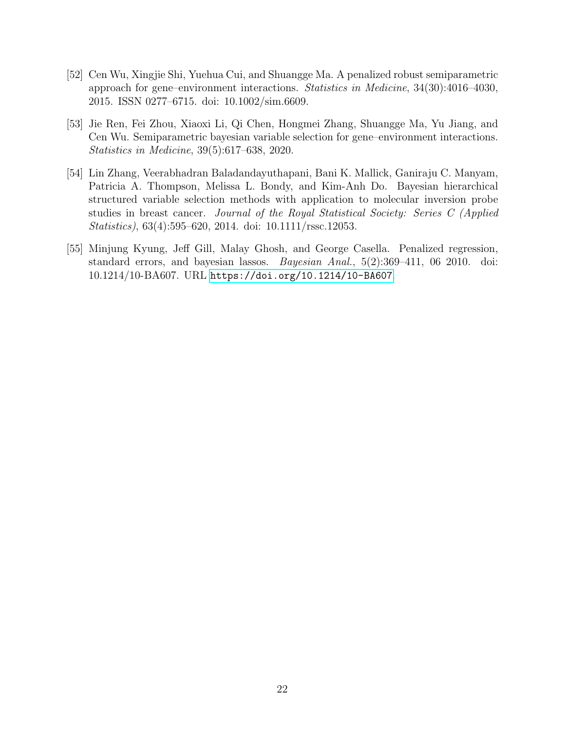- <span id="page-21-0"></span>[52] Cen Wu, Xingjie Shi, Yuehua Cui, and Shuangge Ma. A penalized robust semiparametric approach for gene–environment interactions. Statistics in Medicine, 34(30):4016–4030, 2015. ISSN 0277–6715. doi: 10.1002/sim.6609.
- <span id="page-21-1"></span>[53] Jie Ren, Fei Zhou, Xiaoxi Li, Qi Chen, Hongmei Zhang, Shuangge Ma, Yu Jiang, and Cen Wu. Semiparametric bayesian variable selection for gene–environment interactions. Statistics in Medicine, 39(5):617–638, 2020.
- <span id="page-21-2"></span>[54] Lin Zhang, Veerabhadran Baladandayuthapani, Bani K. Mallick, Ganiraju C. Manyam, Patricia A. Thompson, Melissa L. Bondy, and Kim-Anh Do. Bayesian hierarchical structured variable selection methods with application to molecular inversion probe studies in breast cancer. Journal of the Royal Statistical Society: Series C (Applied Statistics), 63(4):595–620, 2014. doi: 10.1111/rssc.12053.
- <span id="page-21-3"></span>[55] Minjung Kyung, Jeff Gill, Malay Ghosh, and George Casella. Penalized regression, standard errors, and bayesian lassos. *Bayesian Anal.*, 5(2):369–411, 06 2010. doi: 10.1214/10-BA607. URL <https://doi.org/10.1214/10-BA607>.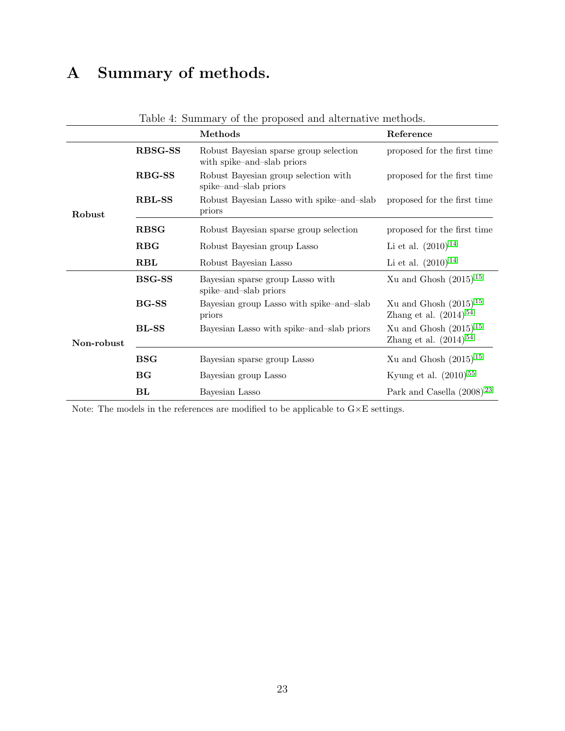# A Summary of methods.

|            |                | Methods                                                              | Reference                                                |
|------------|----------------|----------------------------------------------------------------------|----------------------------------------------------------|
|            | <b>RBSG-SS</b> | Robust Bayesian sparse group selection<br>with spike-and-slab priors | proposed for the first time                              |
|            | <b>RBG-SS</b>  | Robust Bayesian group selection with<br>spike-and-slab priors        | proposed for the first time                              |
| Robust     | <b>RBL-SS</b>  | Robust Bayesian Lasso with spike-and-slab<br>priors                  | proposed for the first time                              |
|            | <b>RBSG</b>    | Robust Bayesian sparse group selection                               | proposed for the first time                              |
|            | <b>RBG</b>     | Robust Bayesian group Lasso                                          | Li et al. $(2010)^{14}$                                  |
|            | <b>RBL</b>     | Robust Bayesian Lasso                                                | Li et al. $(2010)^{14}$                                  |
|            | <b>BSG-SS</b>  | Bayesian sparse group Lasso with<br>spike-and-slab priors            | Xu and Ghosh $(2015)^{15}$                               |
|            | <b>BG-SS</b>   | Bayesian group Lasso with spike-and-slab<br>priors                   | Xu and Ghosh $(2015)^{15}$<br>Zhang et al. $(2014)^{54}$ |
| Non-robust | <b>BL-SS</b>   | Bayesian Lasso with spike-and-slab priors                            | Xu and Ghosh $(2015)^{15}$<br>Zhang et al. $(2014)^{54}$ |
|            | <b>BSG</b>     | Bayesian sparse group Lasso                                          | Xu and Ghosh $(2015)^{15}$                               |
|            | BG             | Bayesian group Lasso                                                 | Kyung et al. $(2010)^{55}$                               |
|            | BL             | Bayesian Lasso                                                       | Park and Casella $(2008)^{23}$                           |

<span id="page-22-0"></span>Table 4: Summary of the proposed and alternative methods.

Note: The models in the references are modified to be applicable to  $\texttt{G}\times \texttt{E}$  settings.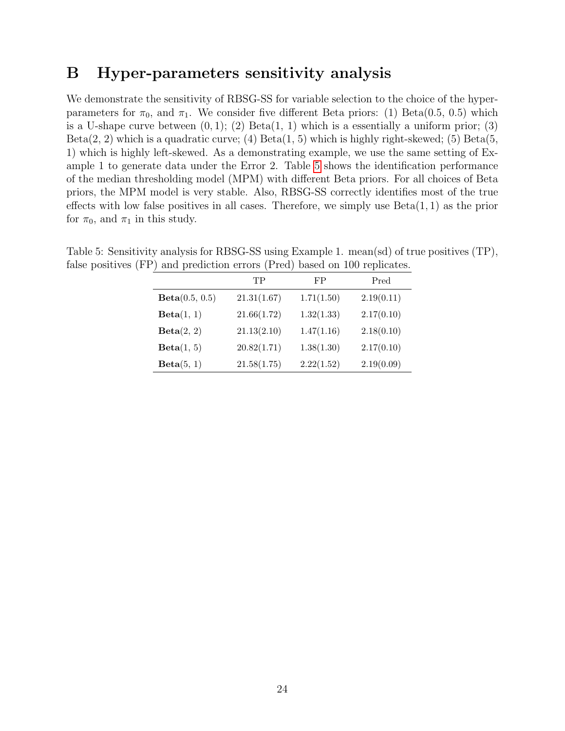## B Hyper-parameters sensitivity analysis

We demonstrate the sensitivity of RBSG-SS for variable selection to the choice of the hyperparameters for  $\pi_0$ , and  $\pi_1$ . We consider five different Beta priors: (1) Beta(0.5, 0.5) which is a U-shape curve between  $(0, 1)$ ;  $(2)$  Beta $(1, 1)$  which is a essentially a uniform prior;  $(3)$  $Beta(2, 2)$  which is a quadratic curve; (4)  $Beta(1, 5)$  which is highly right-skewed; (5)  $Beta(5, 5)$ 1) which is highly left-skewed. As a demonstrating example, we use the same setting of Example 1 to generate data under the Error 2. Table [5](#page-23-0) shows the identification performance of the median thresholding model (MPM) with different Beta priors. For all choices of Beta priors, the MPM model is very stable. Also, RBSG-SS correctly identifies most of the true effects with low false positives in all cases. Therefore, we simply use  $Beta(1, 1)$  as the prior for  $\pi_0$ , and  $\pi_1$  in this study.

|                | TP          | FP         | Pred       |
|----------------|-------------|------------|------------|
| Beta(0.5, 0.5) | 21.31(1.67) | 1.71(1.50) | 2.19(0.11) |
| Beta(1, 1)     | 21.66(1.72) | 1.32(1.33) | 2.17(0.10) |
| Beta(2, 2)     | 21.13(2.10) | 1.47(1.16) | 2.18(0.10) |
| Beta(1, 5)     | 20.82(1.71) | 1.38(1.30) | 2.17(0.10) |
| Beta(5, 1)     | 21.58(1.75) | 2.22(1.52) | 2.19(0.09) |

<span id="page-23-0"></span>Table 5: Sensitivity analysis for RBSG-SS using Example 1. mean(sd) of true positives (TP), false positives (FP) and prediction errors (Pred) based on 100 replicates.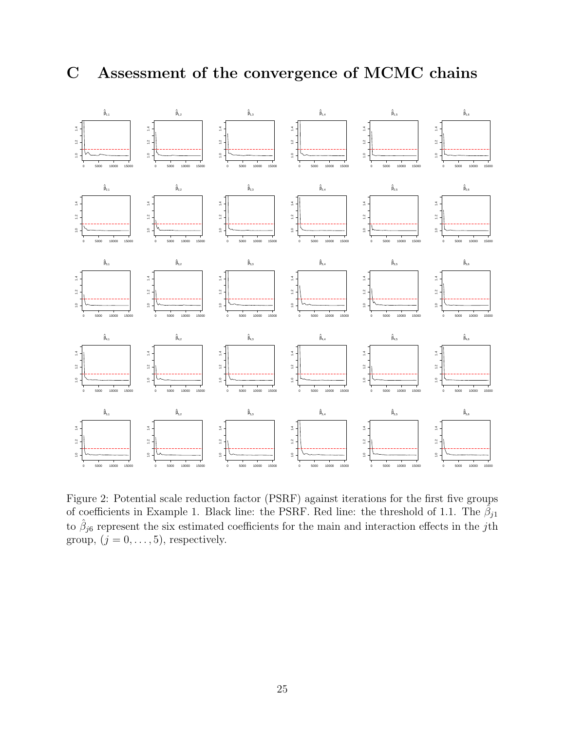# C Assessment of the convergence of MCMC chains



<span id="page-24-0"></span>Figure 2: Potential scale reduction factor (PSRF) against iterations for the first five groups of coefficients in Example 1. Black line: the PSRF. Red line: the threshold of 1.1. The  $\hat{\beta}_{j1}$ to  $\hat{\beta}_{j6}$  represent the six estimated coefficients for the main and interaction effects in the j<sup>th</sup> group,  $(j = 0, \ldots, 5)$ , respectively.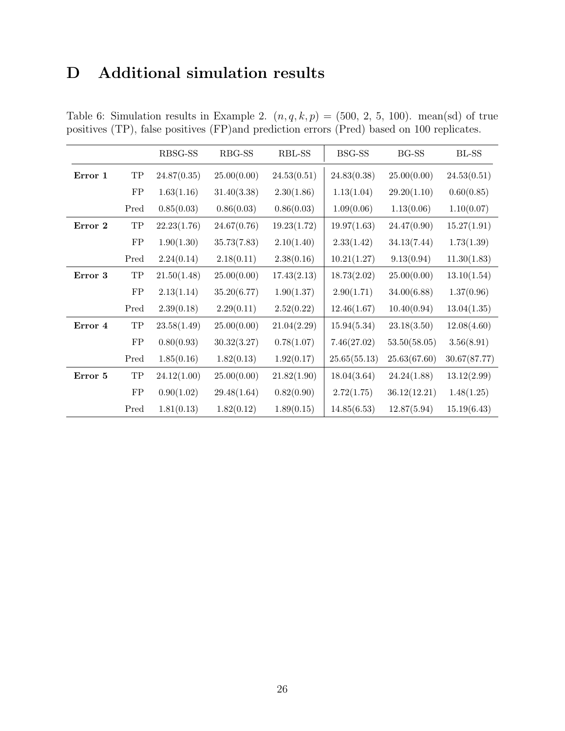# D Additional simulation results

|         |                  | RBSG-SS     | RBG-SS      | RBL-SS      | BSG-SS       | BG-SS        | BL-SS        |
|---------|------------------|-------------|-------------|-------------|--------------|--------------|--------------|
| Error 1 | ${\rm TP}$       | 24.87(0.35) | 25.00(0.00) | 24.53(0.51) | 24.83(0.38)  | 25.00(0.00)  | 24.53(0.51)  |
|         | ${\rm FP}$       | 1.63(1.16)  | 31.40(3.38) | 2.30(1.86)  | 1.13(1.04)   | 29.20(1.10)  | 0.60(0.85)   |
|         | Pred             | 0.85(0.03)  | 0.86(0.03)  | 0.86(0.03)  | 1.09(0.06)   | 1.13(0.06)   | 1.10(0.07)   |
| Error 2 | $_{\mathrm{TP}}$ | 22.23(1.76) | 24.67(0.76) | 19.23(1.72) | 19.97(1.63)  | 24.47(0.90)  | 15.27(1.91)  |
|         | ${\rm FP}$       | 1.90(1.30)  | 35.73(7.83) | 2.10(1.40)  | 2.33(1.42)   | 34.13(7.44)  | 1.73(1.39)   |
|         | Pred             | 2.24(0.14)  | 2.18(0.11)  | 2.38(0.16)  | 10.21(1.27)  | 9.13(0.94)   | 11.30(1.83)  |
| Error 3 | $_{\mathrm{TP}}$ | 21.50(1.48) | 25.00(0.00) | 17.43(2.13) | 18.73(2.02)  | 25.00(0.00)  | 13.10(1.54)  |
|         | ${\rm FP}$       | 2.13(1.14)  | 35.20(6.77) | 1.90(1.37)  | 2.90(1.71)   | 34.00(6.88)  | 1.37(0.96)   |
|         | Pred             | 2.39(0.18)  | 2.29(0.11)  | 2.52(0.22)  | 12.46(1.67)  | 10.40(0.94)  | 13.04(1.35)  |
| Error 4 | ${\rm TP}$       | 23.58(1.49) | 25.00(0.00) | 21.04(2.29) | 15.94(5.34)  | 23.18(3.50)  | 12.08(4.60)  |
|         | FP               | 0.80(0.93)  | 30.32(3.27) | 0.78(1.07)  | 7.46(27.02)  | 53.50(58.05) | 3.56(8.91)   |
|         | Pred             | 1.85(0.16)  | 1.82(0.13)  | 1.92(0.17)  | 25.65(55.13) | 25.63(67.60) | 30.67(87.77) |
| Error 5 | ${\rm TP}$       | 24.12(1.00) | 25.00(0.00) | 21.82(1.90) | 18.04(3.64)  | 24.24(1.88)  | 13.12(2.99)  |
|         | ${\rm FP}$       | 0.90(1.02)  | 29.48(1.64) | 0.82(0.90)  | 2.72(1.75)   | 36.12(12.21) | 1.48(1.25)   |
|         | Pred             | 1.81(0.13)  | 1.82(0.12)  | 1.89(0.15)  | 14.85(6.53)  | 12.87(5.94)  | 15.19(6.43)  |

<span id="page-25-0"></span>Table 6: Simulation results in Example 2.  $(n, q, k, p) = (500, 2, 5, 100)$ . mean(sd) of true positives (TP), false positives (FP)and prediction errors (Pred) based on 100 replicates.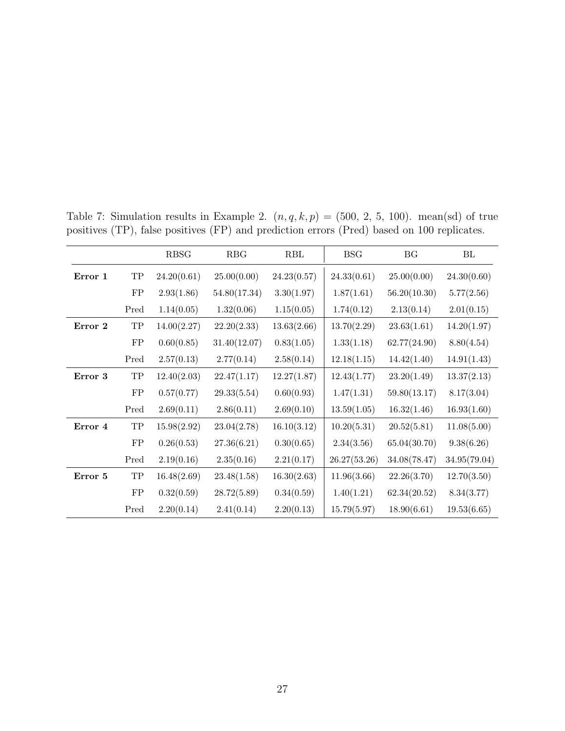|         |            | <b>RBSG</b> | RBG          | RBL         | <b>BSG</b>   | BG           | BL           |
|---------|------------|-------------|--------------|-------------|--------------|--------------|--------------|
| Error 1 | ${\rm TP}$ | 24.20(0.61) | 25.00(0.00)  | 24.23(0.57) | 24.33(0.61)  | 25.00(0.00)  | 24.30(0.60)  |
|         | FP         | 2.93(1.86)  | 54.80(17.34) | 3.30(1.97)  | 1.87(1.61)   | 56.20(10.30) | 5.77(2.56)   |
|         | Pred       | 1.14(0.05)  | 1.32(0.06)   | 1.15(0.05)  | 1.74(0.12)   | 2.13(0.14)   | 2.01(0.15)   |
| Error 2 | TP         | 14.00(2.27) | 22.20(2.33)  | 13.63(2.66) | 13.70(2.29)  | 23.63(1.61)  | 14.20(1.97)  |
|         | ${\rm FP}$ | 0.60(0.85)  | 31.40(12.07) | 0.83(1.05)  | 1.33(1.18)   | 62.77(24.90) | 8.80(4.54)   |
|         | Pred       | 2.57(0.13)  | 2.77(0.14)   | 2.58(0.14)  | 12.18(1.15)  | 14.42(1.40)  | 14.91(1.43)  |
| Error 3 | ${\rm TP}$ | 12.40(2.03) | 22.47(1.17)  | 12.27(1.87) | 12.43(1.77)  | 23.20(1.49)  | 13.37(2.13)  |
|         | ${\rm FP}$ | 0.57(0.77)  | 29.33(5.54)  | 0.60(0.93)  | 1.47(1.31)   | 59.80(13.17) | 8.17(3.04)   |
|         | Pred       | 2.69(0.11)  | 2.86(0.11)   | 2.69(0.10)  | 13.59(1.05)  | 16.32(1.46)  | 16.93(1.60)  |
| Error 4 | ${\rm TP}$ | 15.98(2.92) | 23.04(2.78)  | 16.10(3.12) | 10.20(5.31)  | 20.52(5.81)  | 11.08(5.00)  |
|         | ${\rm FP}$ | 0.26(0.53)  | 27.36(6.21)  | 0.30(0.65)  | 2.34(3.56)   | 65.04(30.70) | 9.38(6.26)   |
|         | Pred       | 2.19(0.16)  | 2.35(0.16)   | 2.21(0.17)  | 26.27(53.26) | 34.08(78.47) | 34.95(79.04) |
| Error 5 | ${\rm TP}$ | 16.48(2.69) | 23.48(1.58)  | 16.30(2.63) | 11.96(3.66)  | 22.26(3.70)  | 12.70(3.50)  |
|         | ${\rm FP}$ | 0.32(0.59)  | 28.72(5.89)  | 0.34(0.59)  | 1.40(1.21)   | 62.34(20.52) | 8.34(3.77)   |
|         | Pred       | 2.20(0.14)  | 2.41(0.14)   | 2.20(0.13)  | 15.79(5.97)  | 18.90(6.61)  | 19.53(6.65)  |

<span id="page-26-0"></span>Table 7: Simulation results in Example 2.  $(n, q, k, p) = (500, 2, 5, 100)$ . mean(sd) of true positives (TP), false positives (FP) and prediction errors (Pred) based on 100 replicates.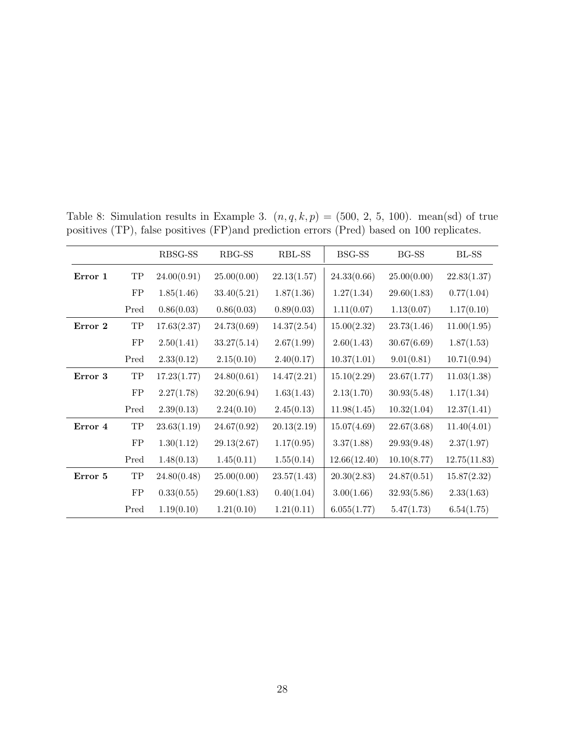|         |                     | RBSG-SS     | RBG-SS      | RBL-SS      | BSG-SS       | <b>BG-SS</b> | $BL-SS$      |
|---------|---------------------|-------------|-------------|-------------|--------------|--------------|--------------|
| Error 1 | ${\rm TP}$          | 24.00(0.91) | 25.00(0.00) | 22.13(1.57) | 24.33(0.66)  | 25.00(0.00)  | 22.83(1.37)  |
|         | FP                  | 1.85(1.46)  | 33.40(5.21) | 1.87(1.36)  | 1.27(1.34)   | 29.60(1.83)  | 0.77(1.04)   |
|         | Pred                | 0.86(0.03)  | 0.86(0.03)  | 0.89(0.03)  | 1.11(0.07)   | 1.13(0.07)   | 1.17(0.10)   |
| Error 2 | ${\rm TP}$          | 17.63(2.37) | 24.73(0.69) | 14.37(2.54) | 15.00(2.32)  | 23.73(1.46)  | 11.00(1.95)  |
|         | FP                  | 2.50(1.41)  | 33.27(5.14) | 2.67(1.99)  | 2.60(1.43)   | 30.67(6.69)  | 1.87(1.53)   |
|         | Pred                | 2.33(0.12)  | 2.15(0.10)  | 2.40(0.17)  | 10.37(1.01)  | 9.01(0.81)   | 10.71(0.94)  |
| Error 3 | $\operatorname{TP}$ | 17.23(1.77) | 24.80(0.61) | 14.47(2.21) | 15.10(2.29)  | 23.67(1.77)  | 11.03(1.38)  |
|         | ${\rm FP}$          | 2.27(1.78)  | 32.20(6.94) | 1.63(1.43)  | 2.13(1.70)   | 30.93(5.48)  | 1.17(1.34)   |
|         | Pred                | 2.39(0.13)  | 2.24(0.10)  | 2.45(0.13)  | 11.98(1.45)  | 10.32(1.04)  | 12.37(1.41)  |
| Error 4 | ${\rm TP}$          | 23.63(1.19) | 24.67(0.92) | 20.13(2.19) | 15.07(4.69)  | 22.67(3.68)  | 11.40(4.01)  |
|         | ${\rm FP}$          | 1.30(1.12)  | 29.13(2.67) | 1.17(0.95)  | 3.37(1.88)   | 29.93(9.48)  | 2.37(1.97)   |
|         | Pred                | 1.48(0.13)  | 1.45(0.11)  | 1.55(0.14)  | 12.66(12.40) | 10.10(8.77)  | 12.75(11.83) |
| Error 5 | ${\rm TP}$          | 24.80(0.48) | 25.00(0.00) | 23.57(1.43) | 20.30(2.83)  | 24.87(0.51)  | 15.87(2.32)  |
|         | ${\rm FP}$          | 0.33(0.55)  | 29.60(1.83) | 0.40(1.04)  | 3.00(1.66)   | 32.93(5.86)  | 2.33(1.63)   |
|         | Pred                | 1.19(0.10)  | 1.21(0.10)  | 1.21(0.11)  | 6.055(1.77)  | 5.47(1.73)   | 6.54(1.75)   |

<span id="page-27-0"></span>Table 8: Simulation results in Example 3.  $(n, q, k, p) = (500, 2, 5, 100)$ . mean(sd) of true positives (TP), false positives (FP)and prediction errors (Pred) based on 100 replicates.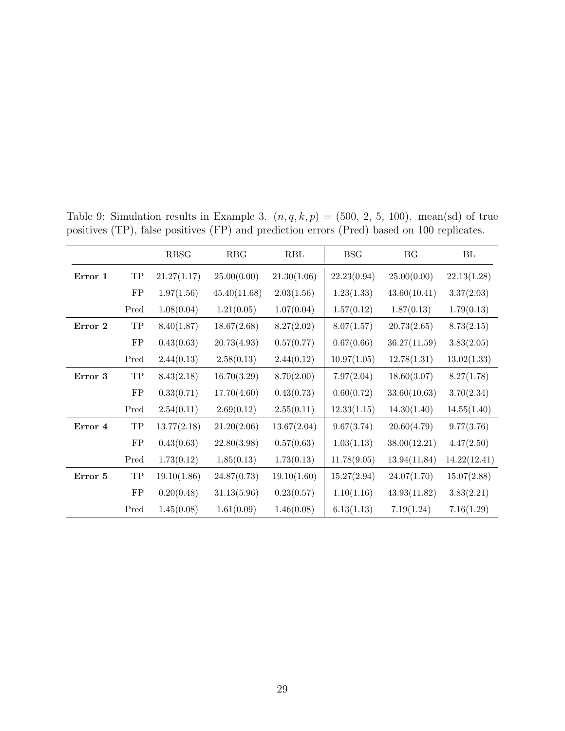|         |            | <b>RBSG</b> | RBG          | RBL         | <b>BSG</b>  | BG           | BL           |
|---------|------------|-------------|--------------|-------------|-------------|--------------|--------------|
| Error 1 | ${\rm TP}$ | 21.27(1.17) | 25.00(0.00)  | 21.30(1.06) | 22.23(0.94) | 25.00(0.00)  | 22.13(1.28)  |
|         | ${\rm FP}$ | 1.97(1.56)  | 45.40(11.68) | 2.03(1.56)  | 1.23(1.33)  | 43.60(10.41) | 3.37(2.03)   |
|         | Pred       | 1.08(0.04)  | 1.21(0.05)   | 1.07(0.04)  | 1.57(0.12)  | 1.87(0.13)   | 1.79(0.13)   |
| Error 2 | ${\rm TP}$ | 8.40(1.87)  | 18.67(2.68)  | 8.27(2.02)  | 8.07(1.57)  | 20.73(2.65)  | 8.73(2.15)   |
|         | FP         | 0.43(0.63)  | 20.73(4.93)  | 0.57(0.77)  | 0.67(0.66)  | 36.27(11.59) | 3.83(2.05)   |
|         | Pred       | 2.44(0.13)  | 2.58(0.13)   | 2.44(0.12)  | 10.97(1.05) | 12.78(1.31)  | 13.02(1.33)  |
| Error 3 | ${\rm TP}$ | 8.43(2.18)  | 16.70(3.29)  | 8.70(2.00)  | 7.97(2.04)  | 18.60(3.07)  | 8.27(1.78)   |
|         | ${\rm FP}$ | 0.33(0.71)  | 17.70(4.60)  | 0.43(0.73)  | 0.60(0.72)  | 33.60(10.63) | 3.70(2.34)   |
|         | Pred       | 2.54(0.11)  | 2.69(0.12)   | 2.55(0.11)  | 12.33(1.15) | 14.30(1.40)  | 14.55(1.40)  |
| Error 4 | ${\rm TP}$ | 13.77(2.18) | 21.20(2.06)  | 13.67(2.04) | 9.67(3.74)  | 20.60(4.79)  | 9.77(3.76)   |
|         | ${\rm FP}$ | 0.43(0.63)  | 22.80(3.98)  | 0.57(0.63)  | 1.03(1.13)  | 38.00(12.21) | 4.47(2.50)   |
|         | Pred       | 1.73(0.12)  | 1.85(0.13)   | 1.73(0.13)  | 11.78(9.05) | 13.94(11.84) | 14.22(12.41) |
| Error 5 | ${\rm TP}$ | 19.10(1.86) | 24.87(0.73)  | 19.10(1.60) | 15.27(2.94) | 24.07(1.70)  | 15.07(2.88)  |
|         | FP         | 0.20(0.48)  | 31.13(5.96)  | 0.23(0.57)  | 1.10(1.16)  | 43.93(11.82) | 3.83(2.21)   |
|         | Pred       | 1.45(0.08)  | 1.61(0.09)   | 1.46(0.08)  | 6.13(1.13)  | 7.19(1.24)   | 7.16(1.29)   |

<span id="page-28-0"></span>Table 9: Simulation results in Example 3.  $(n, q, k, p) = (500, 2, 5, 100)$ . mean(sd) of true positives (TP), false positives (FP) and prediction errors (Pred) based on 100 replicates.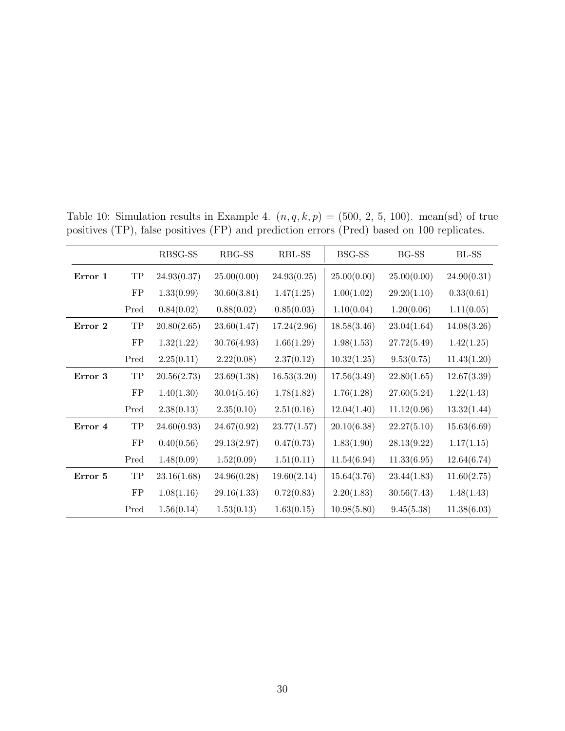|         |            | RBSG-SS     | RBG-SS      | RBL-SS      | BSG-SS      | BG-SS       | $BL-SS$     |
|---------|------------|-------------|-------------|-------------|-------------|-------------|-------------|
| Error 1 | ${\rm TP}$ | 24.93(0.37) | 25.00(0.00) | 24.93(0.25) | 25.00(0.00) | 25.00(0.00) | 24.90(0.31) |
|         | ${\rm FP}$ | 1.33(0.99)  | 30.60(3.84) | 1.47(1.25)  | 1.00(1.02)  | 29.20(1.10) | 0.33(0.61)  |
|         | Pred       | 0.84(0.02)  | 0.88(0.02)  | 0.85(0.03)  | 1.10(0.04)  | 1.20(0.06)  | 1.11(0.05)  |
| Error 2 | ${\rm TP}$ | 20.80(2.65) | 23.60(1.47) | 17.24(2.96) | 18.58(3.46) | 23.04(1.64) | 14.08(3.26) |
|         | FP         | 1.32(1.22)  | 30.76(4.93) | 1.66(1.29)  | 1.98(1.53)  | 27.72(5.49) | 1.42(1.25)  |
|         | Pred       | 2.25(0.11)  | 2.22(0.08)  | 2.37(0.12)  | 10.32(1.25) | 9.53(0.75)  | 11.43(1.20) |
| Error 3 | ${\rm TP}$ | 20.56(2.73) | 23.69(1.38) | 16.53(3.20) | 17.56(3.49) | 22.80(1.65) | 12.67(3.39) |
|         | ${\rm FP}$ | 1.40(1.30)  | 30.04(5.46) | 1.78(1.82)  | 1.76(1.28)  | 27.60(5.24) | 1.22(1.43)  |
|         | Pred       | 2.38(0.13)  | 2.35(0.10)  | 2.51(0.16)  | 12.04(1.40) | 11.12(0.96) | 13.32(1.44) |
| Error 4 | ${\rm TP}$ | 24.60(0.93) | 24.67(0.92) | 23.77(1.57) | 20.10(6.38) | 22.27(5.10) | 15.63(6.69) |
|         | ${\rm FP}$ | 0.40(0.56)  | 29.13(2.97) | 0.47(0.73)  | 1.83(1.90)  | 28.13(9.22) | 1.17(1.15)  |
|         | Pred       | 1.48(0.09)  | 1.52(0.09)  | 1.51(0.11)  | 11.54(6.94) | 11.33(6.95) | 12.64(6.74) |
| Error 5 | ${\rm TP}$ | 23.16(1.68) | 24.96(0.28) | 19.60(2.14) | 15.64(3.76) | 23.44(1.83) | 11.60(2.75) |
|         | ${\rm FP}$ | 1.08(1.16)  | 29.16(1.33) | 0.72(0.83)  | 2.20(1.83)  | 30.56(7.43) | 1.48(1.43)  |
|         | Pred       | 1.56(0.14)  | 1.53(0.13)  | 1.63(0.15)  | 10.98(5.80) | 9.45(5.38)  | 11.38(6.03) |

<span id="page-29-0"></span>Table 10: Simulation results in Example 4.  $(n, q, k, p) = (500, 2, 5, 100)$ . mean(sd) of true positives (TP), false positives (FP) and prediction errors (Pred) based on 100 replicates.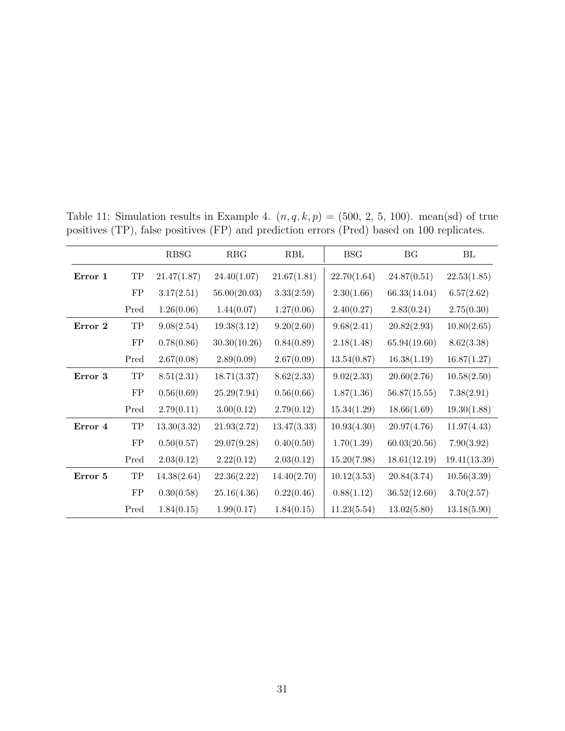|         |            | <b>RBSG</b> | RBG          | RBL         | <b>BSG</b>  | BG           | BL           |
|---------|------------|-------------|--------------|-------------|-------------|--------------|--------------|
| Error 1 | ${\rm TP}$ | 21.47(1.87) | 24.40(1.07)  | 21.67(1.81) | 22.70(1.64) | 24.87(0.51)  | 22.53(1.85)  |
|         | FP         | 3.17(2.51)  | 56.00(20.03) | 3.33(2.59)  | 2.30(1.66)  | 66.33(14.04) | 6.57(2.62)   |
|         | Pred       | 1.26(0.06)  | 1.44(0.07)   | 1.27(0.06)  | 2.40(0.27)  | 2.83(0.24)   | 2.75(0.30)   |
| Error 2 | TP         | 9.08(2.54)  | 19.38(3.12)  | 9.20(2.60)  | 9.68(2.41)  | 20.82(2.93)  | 10.80(2.65)  |
|         | ${\rm FP}$ | 0.78(0.86)  | 30.30(10.26) | 0.84(0.89)  | 2.18(1.48)  | 65.94(19.60) | 8.62(3.38)   |
|         | Pred       | 2.67(0.08)  | 2.89(0.09)   | 2.67(0.09)  | 13.54(0.87) | 16.38(1.19)  | 16.87(1.27)  |
| Error 3 | ${\rm TP}$ | 8.51(2.31)  | 18.71(3.37)  | 8.62(2.33)  | 9.02(2.33)  | 20.60(2.76)  | 10.58(2.50)  |
|         | FP         | 0.56(0.69)  | 25.29(7.94)  | 0.56(0.66)  | 1.87(1.36)  | 56.87(15.55) | 7.38(2.91)   |
|         | Pred       | 2.79(0.11)  | 3.00(0.12)   | 2.79(0.12)  | 15.34(1.29) | 18.66(1.69)  | 19.30(1.88)  |
| Error 4 | ${\rm TP}$ | 13.30(3.32) | 21.93(2.72)  | 13.47(3.33) | 10.93(4.30) | 20.97(4.76)  | 11.97(4.43)  |
|         | FP         | 0.50(0.57)  | 29.07(9.28)  | 0.40(0.50)  | 1.70(1.39)  | 60.03(20.56) | 7.90(3.92)   |
|         | Pred       | 2.03(0.12)  | 2.22(0.12)   | 2.03(0.12)  | 15.20(7.98) | 18.61(12.19) | 19.41(13.39) |
| Error 5 | ${\rm TP}$ | 14.38(2.64) | 22.36(2.22)  | 14.40(2.70) | 10.12(3.53) | 20.84(3.74)  | 10.56(3.39)  |
|         | ${\rm FP}$ | 0.30(0.58)  | 25.16(4.36)  | 0.22(0.46)  | 0.88(1.12)  | 36.52(12.60) | 3.70(2.57)   |
|         | Pred       | 1.84(0.15)  | 1.99(0.17)   | 1.84(0.15)  | 11.23(5.54) | 13.02(5.80)  | 13.18(5.90)  |

<span id="page-30-0"></span>Table 11: Simulation results in Example 4.  $(n, q, k, p) = (500, 2, 5, 100)$ . mean(sd) of true positives (TP), false positives (FP) and prediction errors (Pred) based on 100 replicates.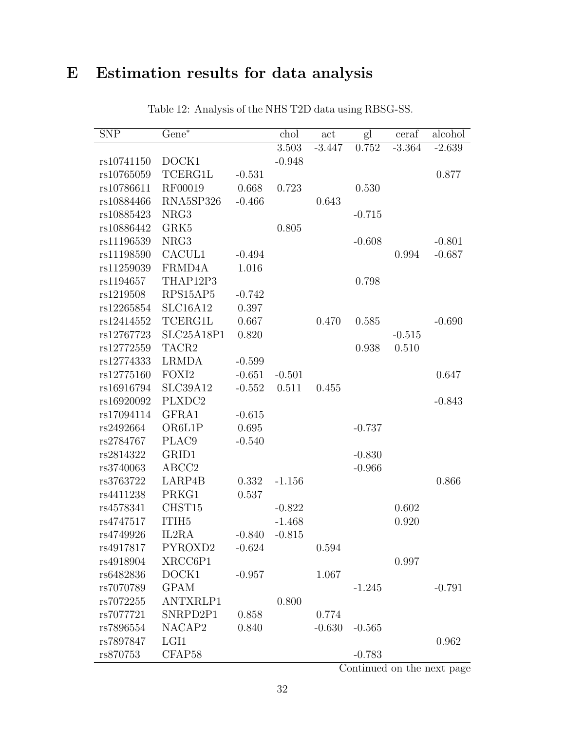# <span id="page-31-0"></span>E Estimation results for data analysis

| <b>SNP</b> | $Gene*$           |          | chol     | act      | gl       | ceraf    | alcohol  |
|------------|-------------------|----------|----------|----------|----------|----------|----------|
|            |                   |          | 3.503    | $-3.447$ | 0.752    | $-3.364$ | $-2.639$ |
| rs10741150 | DOCK1             |          | $-0.948$ |          |          |          |          |
| rs10765059 | TCERG1L           | $-0.531$ |          |          |          |          | 0.877    |
| rs10786611 | RF00019           | 0.668    | 0.723    |          | 0.530    |          |          |
| rs10884466 | RNA5SP326         | $-0.466$ |          | 0.643    |          |          |          |
| rs10885423 | NRG3              |          |          |          | $-0.715$ |          |          |
| rs10886442 | GRK5              |          | 0.805    |          |          |          |          |
| rs11196539 | NRG3              |          |          |          | $-0.608$ |          | $-0.801$ |
| rs11198590 | CACUL1            | $-0.494$ |          |          |          | 0.994    | $-0.687$ |
| rs11259039 | FRMD4A            | 1.016    |          |          |          |          |          |
| rs1194657  | THAP12P3          |          |          |          | 0.798    |          |          |
| rs1219508  | RPS15AP5          | $-0.742$ |          |          |          |          |          |
| rs12265854 | SLC16A12          | 0.397    |          |          |          |          |          |
| rs12414552 | <b>TCERG1L</b>    | 0.667    |          | 0.470    | 0.585    |          | $-0.690$ |
| rs12767723 | SLC25A18P1        | 0.820    |          |          |          | $-0.515$ |          |
| rs12772559 | TACR2             |          |          |          | 0.938    | 0.510    |          |
| rs12774333 | <b>LRMDA</b>      | $-0.599$ |          |          |          |          |          |
| rs12775160 | FOXI2             | $-0.651$ | $-0.501$ |          |          |          | 0.647    |
| rs16916794 | SLC39A12          | $-0.552$ | 0.511    | 0.455    |          |          |          |
| rs16920092 | PLXDC2            |          |          |          |          |          | $-0.843$ |
| rs17094114 | GFRA1             | $-0.615$ |          |          |          |          |          |
| rs2492664  | OR6L1P            | 0.695    |          |          | $-0.737$ |          |          |
| rs2784767  | PLAC <sub>9</sub> | $-0.540$ |          |          |          |          |          |
| rs2814322  | GRID1             |          |          |          | $-0.830$ |          |          |
| rs3740063  | ABCC <sub>2</sub> |          |          |          | $-0.966$ |          |          |
| rs3763722  | LARP4B            | 0.332    | $-1.156$ |          |          |          | 0.866    |
| rs4411238  | PRKG1             | 0.537    |          |          |          |          |          |
| rs4578341  | CHST15            |          | $-0.822$ |          |          | 0.602    |          |
| rs4747517  | ITIH <sub>5</sub> |          | $-1.468$ |          |          | 0.920    |          |
| rs4749926  | IL2RA             | $-0.840$ | $-0.815$ |          |          |          |          |
| rs4917817  | PYROXD2           | $-0.624$ |          | 0.594    |          |          |          |
| rs4918904  | XRCC6P1           |          |          |          |          | 0.997    |          |
| rs6482836  | DOCK1             | $-0.957$ |          | 1.067    |          |          |          |
| rs7070789  | <b>GPAM</b>       |          |          |          | $-1.245$ |          | $-0.791$ |
| rs7072255  | ANTXRLP1          |          | 0.800    |          |          |          |          |
| rs7077721  | SNRPD2P1          | 0.858    |          | 0.774    |          |          |          |
| rs7896554  | NACAP2            | 0.840    |          | $-0.630$ | $-0.565$ |          |          |
| rs7897847  | LGI1              |          |          |          |          |          | 0.962    |
| rs870753   | CFAP58            |          |          |          | $-0.783$ |          |          |

Table 12: Analysis of the NHS T2D data using RBSG-SS.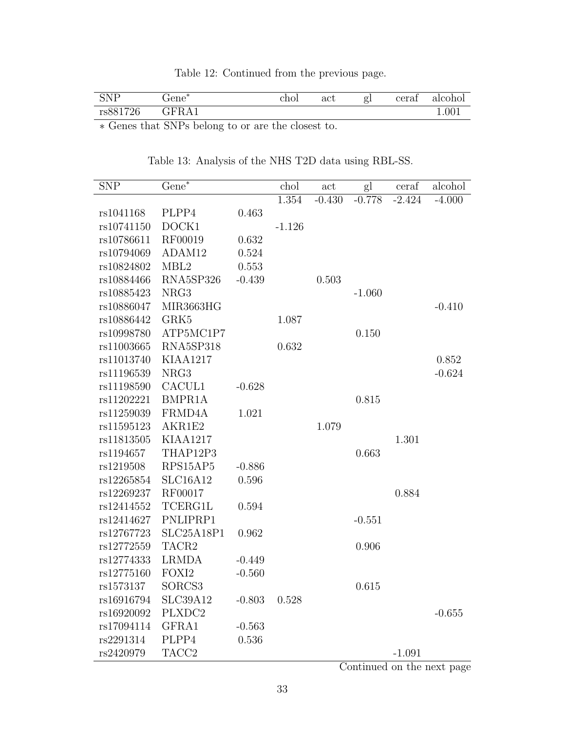| Table 12: Continued from the previous page. |
|---------------------------------------------|
|---------------------------------------------|

| <b>SNP</b><br><b>NTAT</b> | ste.<br>Fene                  | chol | $\operatorname{act}$ | gl | cerat | alcohol |
|---------------------------|-------------------------------|------|----------------------|----|-------|---------|
| rs881726                  | А<br><b>T</b><br>$\mathbf{L}$ |      |                      |    |       | 1.001   |

<span id="page-32-0"></span>∗ Genes that SNPs belong to or are the closest to.

| <b>SNP</b> | $Gene^*$          |          | chol     | act      | gl       | ceraf    | alcohol  |
|------------|-------------------|----------|----------|----------|----------|----------|----------|
|            |                   |          | 1.354    | $-0.430$ | $-0.778$ | $-2.424$ | $-4.000$ |
| rs1041168  | PLPP4             | 0.463    |          |          |          |          |          |
| rs10741150 | DOCK1             |          | $-1.126$ |          |          |          |          |
| rs10786611 | RF00019           | 0.632    |          |          |          |          |          |
| rs10794069 | ADAM12            | 0.524    |          |          |          |          |          |
| rs10824802 | MBL <sub>2</sub>  | 0.553    |          |          |          |          |          |
| rs10884466 | RNA5SP326         | $-0.439$ |          | 0.503    |          |          |          |
| rs10885423 | NRG3              |          |          |          | $-1.060$ |          |          |
| rs10886047 | MIR3663HG         |          |          |          |          |          | $-0.410$ |
| rs10886442 | GRK5              |          | 1.087    |          |          |          |          |
| rs10998780 | ATP5MC1P7         |          |          |          | 0.150    |          |          |
| rs11003665 | RNA5SP318         |          | 0.632    |          |          |          |          |
| rs11013740 | <b>KIAA1217</b>   |          |          |          |          |          | 0.852    |
| rs11196539 | NRG3              |          |          |          |          |          | $-0.624$ |
| rs11198590 | CACUL1            | $-0.628$ |          |          |          |          |          |
| rs11202221 | BMPR1A            |          |          |          | 0.815    |          |          |
| rs11259039 | FRMD4A            | 1.021    |          |          |          |          |          |
| rs11595123 | AKR1E2            |          |          | 1.079    |          |          |          |
| rs11813505 | <b>KIAA1217</b>   |          |          |          |          | 1.301    |          |
| rs1194657  | THAP12P3          |          |          |          | 0.663    |          |          |
| rs1219508  | RPS15AP5          | $-0.886$ |          |          |          |          |          |
| rs12265854 | SLC16A12          | 0.596    |          |          |          |          |          |
| rs12269237 | RF00017           |          |          |          |          | 0.884    |          |
| rs12414552 | TCERG1L           | 0.594    |          |          |          |          |          |
| rs12414627 | PNLIPRP1          |          |          |          | $-0.551$ |          |          |
| rs12767723 | SLC25A18P1        | 0.962    |          |          |          |          |          |
| rs12772559 | TACR2             |          |          |          | 0.906    |          |          |
| rs12774333 | <b>LRMDA</b>      | $-0.449$ |          |          |          |          |          |
| rs12775160 | FOXI2             | $-0.560$ |          |          |          |          |          |
| rs1573137  | SORCS3            |          |          |          | 0.615    |          |          |
| rs16916794 | SLC39A12          | $-0.803$ | 0.528    |          |          |          |          |
| rs16920092 | PLXDC2            |          |          |          |          |          | $-0.655$ |
| rs17094114 | GFRA1             | $-0.563$ |          |          |          |          |          |
| rs2291314  | PLPP4             | 0.536    |          |          |          |          |          |
| rs2420979  | TACC <sub>2</sub> |          |          |          |          | $-1.091$ |          |

Table 13: Analysis of the NHS T2D data using RBL-SS.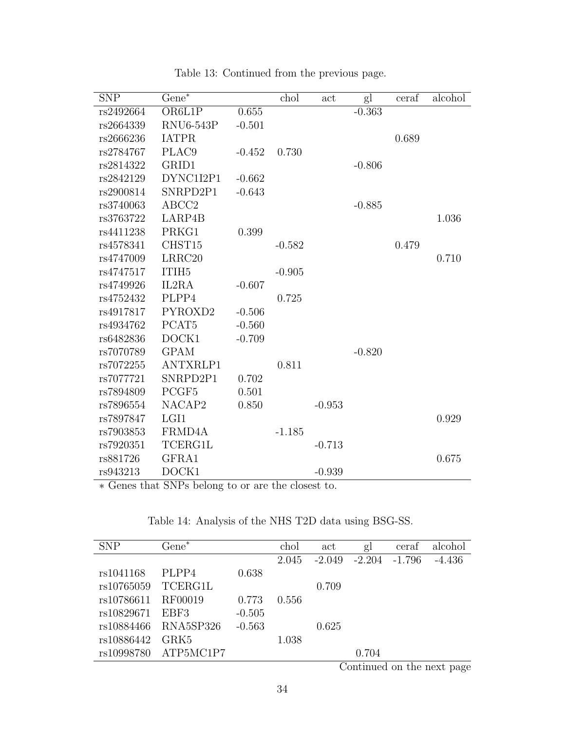| <b>SNP</b> | $Gene^*$           |          | chol     | act      | gl       | ceraf | alcohol |
|------------|--------------------|----------|----------|----------|----------|-------|---------|
| rs2492664  | OR6L1P             | 0.655    |          |          | $-0.363$ |       |         |
| rs2664339  | <b>RNU6-543P</b>   | $-0.501$ |          |          |          |       |         |
| rs2666236  | <b>IATPR</b>       |          |          |          |          | 0.689 |         |
| rs2784767  | PLAC9              | $-0.452$ | 0.730    |          |          |       |         |
| rs2814322  | GRID1              |          |          |          | $-0.806$ |       |         |
| rs2842129  | DYNC1I2P1          | $-0.662$ |          |          |          |       |         |
| rs2900814  | SNRPD2P1           | $-0.643$ |          |          |          |       |         |
| rs3740063  | ABCC2              |          |          |          | $-0.885$ |       |         |
| rs3763722  | LARP4B             |          |          |          |          |       | 1.036   |
| rs4411238  | PRKG1              | 0.399    |          |          |          |       |         |
| rs4578341  | CHST15             |          | $-0.582$ |          |          | 0.479 |         |
| rs4747009  | LRRC <sub>20</sub> |          |          |          |          |       | 0.710   |
| rs4747517  | ITIH <sub>5</sub>  |          | $-0.905$ |          |          |       |         |
| rs4749926  | IL2RA              | $-0.607$ |          |          |          |       |         |
| rs4752432  | PLPP4              |          | 0.725    |          |          |       |         |
| rs4917817  | PYROXD2            | $-0.506$ |          |          |          |       |         |
| rs4934762  | PCAT <sub>5</sub>  | $-0.560$ |          |          |          |       |         |
| rs6482836  | DOCK1              | $-0.709$ |          |          |          |       |         |
| rs7070789  | <b>GPAM</b>        |          |          |          | $-0.820$ |       |         |
| rs7072255  | ANTXRLP1           |          | 0.811    |          |          |       |         |
| rs7077721  | SNRPD2P1           | 0.702    |          |          |          |       |         |
| rs7894809  | PCGF <sub>5</sub>  | 0.501    |          |          |          |       |         |
| rs7896554  | NACAP2             | 0.850    |          | $-0.953$ |          |       |         |
| rs7897847  | LGI1               |          |          |          |          |       | 0.929   |
| rs7903853  | FRMD4A             |          | $-1.185$ |          |          |       |         |
| rs7920351  | <b>TCERG1L</b>     |          |          | $-0.713$ |          |       |         |
| rs881726   | GFRA1              |          |          |          |          |       | 0.675   |
| rs943213   | DOCK1              |          |          | $-0.939$ |          |       |         |

Table 13: Continued from the previous page.

<span id="page-33-0"></span>∗ Genes that SNPs belong to or are the closest to.

|  | Table 14: Analysis of the NHS T2D data using BSG-SS. |  |  |  |  |
|--|------------------------------------------------------|--|--|--|--|
|  |                                                      |  |  |  |  |

| <b>SNP</b> | $Gene^*$  |          | chol  | act      | gl                            | ceraf    | alcohol  |
|------------|-----------|----------|-------|----------|-------------------------------|----------|----------|
|            |           |          | 2.045 | $-2.049$ | $-2.204$                      | $-1.796$ | $-4.436$ |
| rs1041168  | PLPP4     | 0.638    |       |          |                               |          |          |
| rs10765059 | TCERG1L   |          |       | 0.709    |                               |          |          |
| rs10786611 | RF00019   | 0.773    | 0.556 |          |                               |          |          |
| rs10829671 | EBF3      | $-0.505$ |       |          |                               |          |          |
| rs10884466 | RNA5SP326 | $-0.563$ |       | 0.625    |                               |          |          |
| rs10886442 | GRK5      |          | 1.038 |          |                               |          |          |
| rs10998780 | ATP5MC1P7 |          |       |          | 0.704                         |          |          |
|            |           |          |       |          | $\sim$ $\sim$<br>$\mathbf{1}$ | - 1      |          |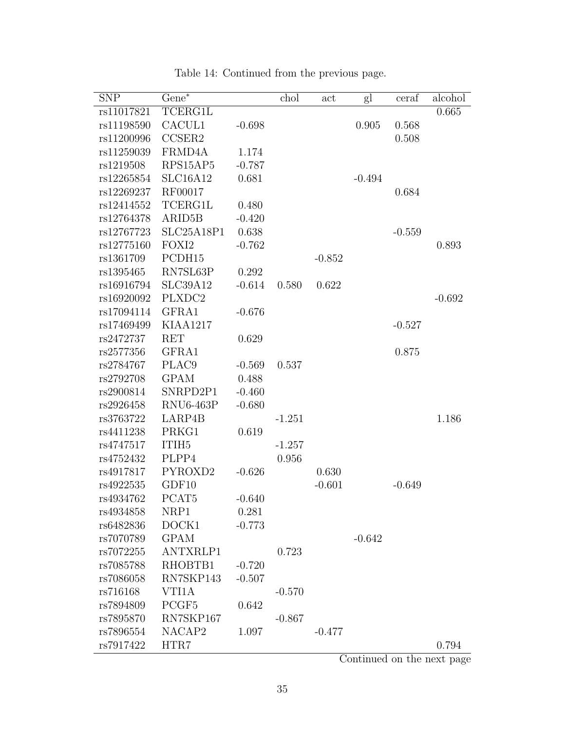| <b>SNP</b> | $Gene^*$            |          | chol     | act      | gl       | ceraf    | alcohol  |
|------------|---------------------|----------|----------|----------|----------|----------|----------|
| rs11017821 | TCERG1L             |          |          |          |          |          | 0.665    |
| rs11198590 | CACUL1              | $-0.698$ |          |          | 0.905    | 0.568    |          |
| rs11200996 | CCSER2              |          |          |          |          | 0.508    |          |
| rs11259039 | FRMD4A              | 1.174    |          |          |          |          |          |
| rs1219508  | RPS15AP5            | $-0.787$ |          |          |          |          |          |
| rs12265854 | SLC16A12            | 0.681    |          |          | $-0.494$ |          |          |
| rs12269237 | RF00017             |          |          |          |          | 0.684    |          |
| rs12414552 | <b>TCERG1L</b>      | 0.480    |          |          |          |          |          |
| rs12764378 | ARID <sub>5</sub> B | $-0.420$ |          |          |          |          |          |
| rs12767723 | SLC25A18P1          | 0.638    |          |          |          | $-0.559$ |          |
| rs12775160 | FOXI <sub>2</sub>   | $-0.762$ |          |          |          |          | 0.893    |
| rs1361709  | PCDH15              |          |          | $-0.852$ |          |          |          |
| rs1395465  | RN7SL63P            | 0.292    |          |          |          |          |          |
| rs16916794 | <b>SLC39A12</b>     | $-0.614$ | 0.580    | 0.622    |          |          |          |
| rs16920092 | PLXDC2              |          |          |          |          |          | $-0.692$ |
| rs17094114 | GFRA1               | $-0.676$ |          |          |          |          |          |
| rs17469499 | <b>KIAA1217</b>     |          |          |          |          | $-0.527$ |          |
| rs2472737  | <b>RET</b>          | 0.629    |          |          |          |          |          |
| rs2577356  | GFRA1               |          |          |          |          | 0.875    |          |
| rs2784767  | PLAC <sub>9</sub>   | $-0.569$ | 0.537    |          |          |          |          |
| rs2792708  | <b>GPAM</b>         | 0.488    |          |          |          |          |          |
| rs2900814  | SNRPD2P1            | $-0.460$ |          |          |          |          |          |
| rs2926458  | <b>RNU6-463P</b>    | $-0.680$ |          |          |          |          |          |
| rs3763722  | LARP4B              |          | $-1.251$ |          |          |          | 1.186    |
| rs4411238  | PRKG1               | 0.619    |          |          |          |          |          |
| rs4747517  | ITIH <sub>5</sub>   |          | $-1.257$ |          |          |          |          |
| rs4752432  | PLPP4               |          | 0.956    |          |          |          |          |
| rs4917817  | PYROXD2             | $-0.626$ |          | 0.630    |          |          |          |
| rs4922535  | GDF10               |          |          | $-0.601$ |          | $-0.649$ |          |
| rs4934762  | PCAT <sub>5</sub>   | $-0.640$ |          |          |          |          |          |
| rs4934858  | NRP1                | 0.281    |          |          |          |          |          |
| rs6482836  | DOCK1               | $-0.773$ |          |          |          |          |          |
| rs7070789  | <b>GPAM</b>         |          |          |          | $-0.642$ |          |          |
| rs7072255  | ANTXRLP1            |          | 0.723    |          |          |          |          |
| rs7085788  | RHOBTB1             | $-0.720$ |          |          |          |          |          |
| rs7086058  | RN7SKP143           | $-0.507$ |          |          |          |          |          |
| rs716168   | VTI1A               |          | $-0.570$ |          |          |          |          |
| rs7894809  | PCGF <sub>5</sub>   | 0.642    |          |          |          |          |          |
| rs7895870  | RN7SKP167           |          | $-0.867$ |          |          |          |          |
| rs7896554  | NACAP2              | 1.097    |          | $-0.477$ |          |          |          |
| rs7917422  | HTR7                |          |          |          |          |          | 0.794    |

Table 14: Continued from the previous page.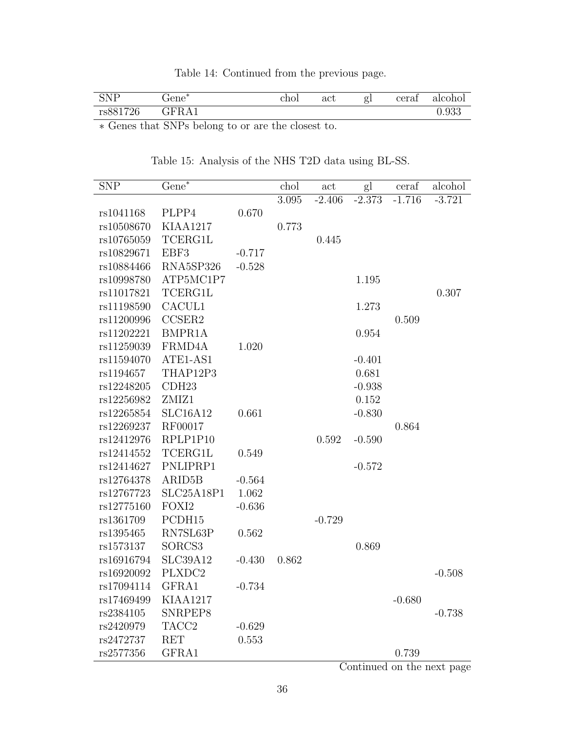Table 14: Continued from the previous page.

| SND<br><b>DIAT</b> | -sta<br>Fene                                   | chol | $\operatorname{act}$ | σ<br>51 | cerat | alcohol |
|--------------------|------------------------------------------------|------|----------------------|---------|-------|---------|
| rs881726           | -<br>Д<br>ш.<br>$\mathbf{r}$ is<br><b>ULLL</b> |      |                      |         |       | 0.933   |

<span id="page-35-0"></span>∗ Genes that SNPs belong to or are the closest to.

| <b>SNP</b> | $Gene^*$            |          | chol  | act      | gl       | ceraf    | alcohol  |
|------------|---------------------|----------|-------|----------|----------|----------|----------|
|            |                     |          | 3.095 | $-2.406$ | $-2.373$ | $-1.716$ | $-3.721$ |
| rs1041168  | PLPP4               | 0.670    |       |          |          |          |          |
| rs10508670 | <b>KIAA1217</b>     |          | 0.773 |          |          |          |          |
| rs10765059 | <b>TCERG1L</b>      |          |       | 0.445    |          |          |          |
| rs10829671 | EBF3                | $-0.717$ |       |          |          |          |          |
| rs10884466 | RNA5SP326           | $-0.528$ |       |          |          |          |          |
| rs10998780 | ATP5MC1P7           |          |       |          | 1.195    |          |          |
| rs11017821 | TCERG1L             |          |       |          |          |          | 0.307    |
| rs11198590 | CACUL1              |          |       |          | 1.273    |          |          |
| rs11200996 | CCSER2              |          |       |          |          | 0.509    |          |
| rs11202221 | BMPR1A              |          |       |          | 0.954    |          |          |
| rs11259039 | FRMD4A              | 1.020    |       |          |          |          |          |
| rs11594070 | ATE1-AS1            |          |       |          | $-0.401$ |          |          |
| rs1194657  | THAP12P3            |          |       |          | 0.681    |          |          |
| rs12248205 | CDH23               |          |       |          | $-0.938$ |          |          |
| rs12256982 | ZMIZ1               |          |       |          | 0.152    |          |          |
| rs12265854 | SLC16A12            | 0.661    |       |          | $-0.830$ |          |          |
| rs12269237 | RF00017             |          |       |          |          | 0.864    |          |
| rs12412976 | RPLP1P10            |          |       | 0.592    | $-0.590$ |          |          |
| rs12414552 | TCERG1L             | 0.549    |       |          |          |          |          |
| rs12414627 | PNLIPRP1            |          |       |          | $-0.572$ |          |          |
| rs12764378 | ARID <sub>5</sub> B | $-0.564$ |       |          |          |          |          |
| rs12767723 | SLC25A18P1          | 1.062    |       |          |          |          |          |
| rs12775160 | FOXI2               | $-0.636$ |       |          |          |          |          |
| rs1361709  | PCDH15              |          |       | $-0.729$ |          |          |          |
| rs1395465  | RN7SL63P            | 0.562    |       |          |          |          |          |
| rs1573137  | SORCS3              |          |       |          | 0.869    |          |          |
| rs16916794 | <b>SLC39A12</b>     | $-0.430$ | 0.862 |          |          |          |          |
| rs16920092 | PLXDC2              |          |       |          |          |          | $-0.508$ |
| rs17094114 | GFRA1               | $-0.734$ |       |          |          |          |          |
| rs17469499 | <b>KIAA1217</b>     |          |       |          |          | $-0.680$ |          |
| rs2384105  | SNRPEP8             |          |       |          |          |          | $-0.738$ |
| rs2420979  | TACC <sub>2</sub>   | $-0.629$ |       |          |          |          |          |
| rs2472737  | <b>RET</b>          | 0.553    |       |          |          |          |          |
| rs2577356  | GFRA1               |          |       |          |          | 0.739    |          |

Table 15: Analysis of the NHS T2D data using BL-SS.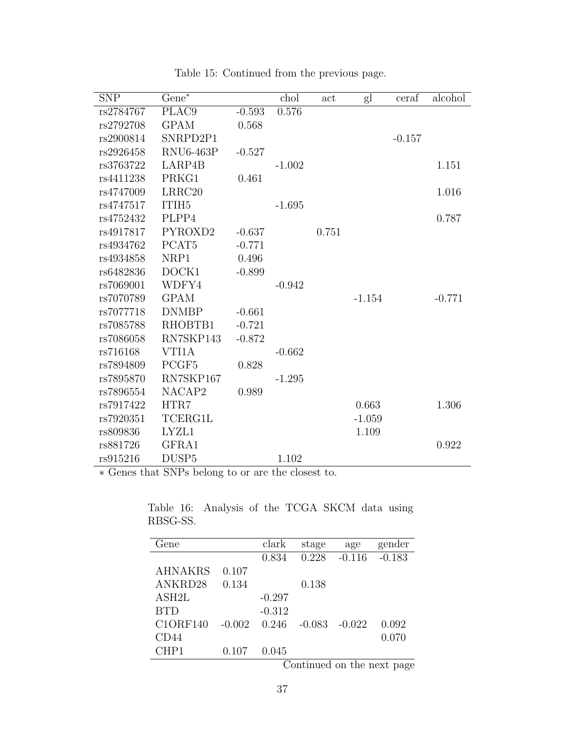| <b>SNP</b> | $Gene^*$          |          | chol     | act   | gl       | ceraf    | alcohol  |
|------------|-------------------|----------|----------|-------|----------|----------|----------|
| rs2784767  | PLAC9             | $-0.593$ | 0.576    |       |          |          |          |
| rs2792708  | <b>GPAM</b>       | 0.568    |          |       |          |          |          |
| rs2900814  | SNRPD2P1          |          |          |       |          | $-0.157$ |          |
| rs2926458  | RNU6-463P         | $-0.527$ |          |       |          |          |          |
| rs3763722  | LARP4B            |          | $-1.002$ |       |          |          | 1.151    |
| rs4411238  | PRKG1             | 0.461    |          |       |          |          |          |
| rs4747009  | LRRC20            |          |          |       |          |          | 1.016    |
| rs4747517  | ITIH <sub>5</sub> |          | $-1.695$ |       |          |          |          |
| rs4752432  | PLPP4             |          |          |       |          |          | 0.787    |
| rs4917817  | PYROXD2           | $-0.637$ |          | 0.751 |          |          |          |
| rs4934762  | PCAT <sub>5</sub> | $-0.771$ |          |       |          |          |          |
| rs4934858  | NRP1              | 0.496    |          |       |          |          |          |
| rs6482836  | DOCK1             | $-0.899$ |          |       |          |          |          |
| rs7069001  | WDFY4             |          | $-0.942$ |       |          |          |          |
| rs7070789  | <b>GPAM</b>       |          |          |       | $-1.154$ |          | $-0.771$ |
| rs7077718  | <b>DNMBP</b>      | $-0.661$ |          |       |          |          |          |
| rs7085788  | RHOBTB1           | $-0.721$ |          |       |          |          |          |
| rs7086058  | RN7SKP143         | $-0.872$ |          |       |          |          |          |
| rs716168   | VTI1A             |          | $-0.662$ |       |          |          |          |
| rs7894809  | PCGF5             | 0.828    |          |       |          |          |          |
| rs7895870  | RN7SKP167         |          | $-1.295$ |       |          |          |          |
| rs7896554  | NACAP2            | 0.989    |          |       |          |          |          |
| rs7917422  | HTR7              |          |          |       | 0.663    |          | 1.306    |
| rs7920351  | TCERG1L           |          |          |       | $-1.059$ |          |          |
| rs809836   | LYZL1             |          |          |       | 1.109    |          |          |
| rs881726   | GFRA1             |          |          |       |          |          | 0.922    |
| rs915216   | DUSP <sub>5</sub> |          | 1.102    |       |          |          |          |

Table 15: Continued from the previous page.

<span id="page-36-0"></span>∗ Genes that SNPs belong to or are the closest to.

| Fene            |          | clark    | stage    | age      | gender                                                                                        |
|-----------------|----------|----------|----------|----------|-----------------------------------------------------------------------------------------------|
|                 |          | 0.834    | 0.228    | $-0.116$ | $-0.183$                                                                                      |
| <b>AHNAKRS</b>  | 0.107    |          |          |          |                                                                                               |
| ANKRD28         | 0.134    |          | 0.138    |          |                                                                                               |
| ASH2L           |          | $-0.297$ |          |          |                                                                                               |
| <b>BTD</b>      |          | $-0.312$ |          |          |                                                                                               |
| <b>C1ORF140</b> | $-0.002$ | 0.246    | $-0.083$ | $-0.022$ | 0.092                                                                                         |
| CD44            |          |          |          |          | 0.070                                                                                         |
| CHP1            | 0.107    | 0.045    |          |          |                                                                                               |
|                 |          |          |          |          | $O2$ at $\frac{1}{2}$ and $\frac{1}{2}$ are $\frac{1}{2}$ and $\frac{1}{2}$ are $\frac{1}{2}$ |

Table 16: Analysis of the TCGA SKCM data using RBSG-SS.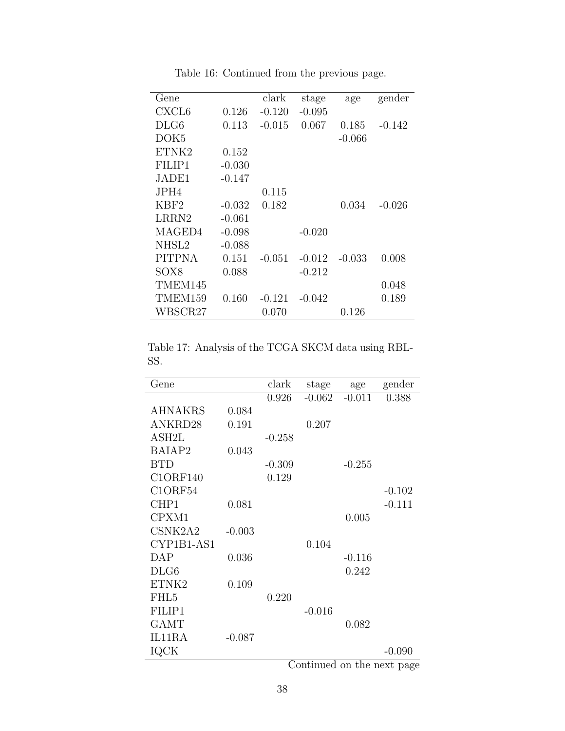| Gene              |          | clark    | stage    | age      | gender   |
|-------------------|----------|----------|----------|----------|----------|
| CXCL <sub>6</sub> | 0.126    | $-0.120$ | $-0.095$ |          |          |
| DLG6              | 0.113    | $-0.015$ | 0.067    | 0.185    | $-0.142$ |
| DOK <sub>5</sub>  |          |          |          | $-0.066$ |          |
| ETNK2             | 0.152    |          |          |          |          |
| FILIP1            | $-0.030$ |          |          |          |          |
| JADE1             | -0.147   |          |          |          |          |
| JPH4              |          | 0.115    |          |          |          |
| KBF2              | $-0.032$ | 0.182    |          | 0.034    | $-0.026$ |
| LRRN2             | $-0.061$ |          |          |          |          |
| MAGED4            | $-0.098$ |          | $-0.020$ |          |          |
| NHSL2             | $-0.088$ |          |          |          |          |
| <b>PITPNA</b>     | 0.151    | $-0.051$ | $-0.012$ | $-0.033$ | 0.008    |
| SOX <sub>8</sub>  | 0.088    |          | $-0.212$ |          |          |
| TMEM145           |          |          |          |          | 0.048    |
| TMEM159           | 0.160    | $-0.121$ | $-0.042$ |          | 0.189    |
| WBSCR27           |          | 0.070    |          | 0.126    |          |

Table 16: Continued from the previous page.

<span id="page-37-0"></span>Table 17: Analysis of the TCGA SKCM data using RBL-SS.

|          | clark    | stage    | age                | gender                                                                                               |
|----------|----------|----------|--------------------|------------------------------------------------------------------------------------------------------|
|          | 0.926    | $-0.062$ | $-0.011$           | 0.388                                                                                                |
| 0.084    |          |          |                    |                                                                                                      |
| 0.191    |          | 0.207    |                    |                                                                                                      |
|          | $-0.258$ |          |                    |                                                                                                      |
| 0.043    |          |          |                    |                                                                                                      |
|          | $-0.309$ |          | $-0.255$           |                                                                                                      |
|          | 0.129    |          |                    |                                                                                                      |
|          |          |          |                    | $-0.102$                                                                                             |
| 0.081    |          |          |                    | $-0.111$                                                                                             |
|          |          |          | 0.005              |                                                                                                      |
| $-0.003$ |          |          |                    |                                                                                                      |
|          |          | 0.104    |                    |                                                                                                      |
| 0.036    |          |          | $-0.116$           |                                                                                                      |
|          |          |          | 0.242              |                                                                                                      |
| 0.109    |          |          |                    |                                                                                                      |
|          | 0.220    |          |                    |                                                                                                      |
|          |          | $-0.016$ |                    |                                                                                                      |
|          |          |          | 0.082              |                                                                                                      |
| $-0.087$ |          |          |                    |                                                                                                      |
|          |          |          |                    | $-0.090$                                                                                             |
|          |          |          | $\bigcap$ $\bot$ : | المعالم من المعاملة المعاملة المعاملة المعاملة المعاملة المعاملة المعاملة المعاملة المعاملة المعاملة |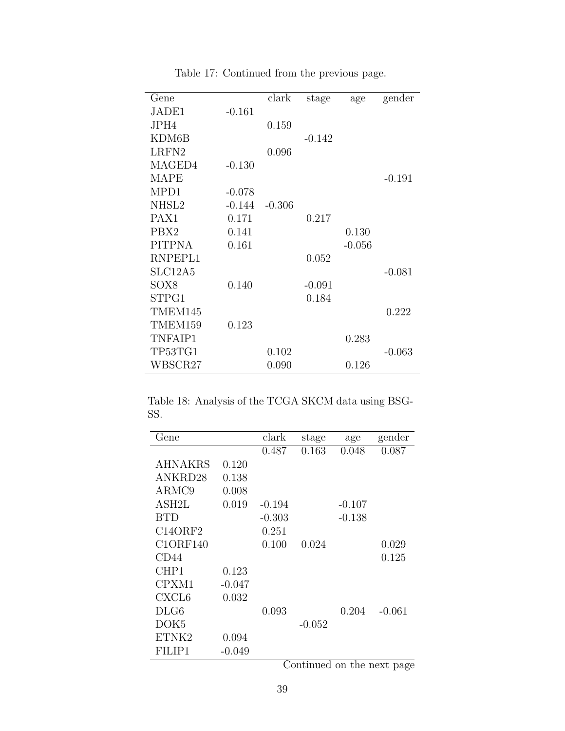| Gene             |          | clark    | stage    | age      | gender   |
|------------------|----------|----------|----------|----------|----------|
| JADE1            | $-0.161$ |          |          |          |          |
| JPH4             |          | 0.159    |          |          |          |
| KDM6B            |          |          | $-0.142$ |          |          |
| LRFN2            |          | 0.096    |          |          |          |
| MAGED4           | $-0.130$ |          |          |          |          |
| <b>MAPE</b>      |          |          |          |          | $-0.191$ |
| MPD1             | $-0.078$ |          |          |          |          |
| NHSL2            | $-0.144$ | $-0.306$ |          |          |          |
| PAX <sub>1</sub> | 0.171    |          | 0.217    |          |          |
| PBX <sub>2</sub> | 0.141    |          |          | 0.130    |          |
| <b>PITPNA</b>    | 0.161    |          |          | $-0.056$ |          |
| RNPEPL1          |          |          | 0.052    |          |          |
| SLC12A5          |          |          |          |          | $-0.081$ |
| SOX8             | 0.140    |          | $-0.091$ |          |          |
| STPG1            |          |          | 0.184    |          |          |
| TMEM145          |          |          |          |          | 0.222    |
| TMEM159          | 0.123    |          |          |          |          |
| TNFAIP1          |          |          |          | 0.283    |          |
| TP53TG1          |          | 0.102    |          |          | $-0.063$ |
| WBSCR27          |          | 0.090    |          | 0.126    |          |

Table 17: Continued from the previous page.

<span id="page-38-0"></span>Table 18: Analysis of the TCGA SKCM data using BSG-SS.

| Gene              |          | clark    | stage                   | age            | gender   |
|-------------------|----------|----------|-------------------------|----------------|----------|
|                   |          | 0.487    | 0.163                   | 0.048          | 0.087    |
| <b>AHNAKRS</b>    | 0.120    |          |                         |                |          |
| ANKRD28           | 0.138    |          |                         |                |          |
| ARMC9             | 0.008    |          |                         |                |          |
| ASH2L             | 0.019    | $-0.194$ |                         | $-0.107$       |          |
| <b>BTD</b>        |          | $-0.303$ |                         | $-0.138$       |          |
| C14ORF2           |          | 0.251    |                         |                |          |
| <b>C1ORF140</b>   |          | 0.100    | 0.024                   |                | 0.029    |
| CD44              |          |          |                         |                | 0.125    |
| CHP1              | 0.123    |          |                         |                |          |
| CPXM1             | $-0.047$ |          |                         |                |          |
| CXCL <sub>6</sub> | 0.032    |          |                         |                |          |
| DLG6              |          | 0.093    |                         | 0.204          | $-0.061$ |
| DOK5              |          |          | $-0.052$                |                |          |
| ETNK2             | 0.094    |          |                         |                |          |
| FILIP1            | $-0.049$ |          |                         |                |          |
|                   |          | $\sim$   | $\cdot$<br>$\mathbf{L}$ | $\blacksquare$ | $\sim$   |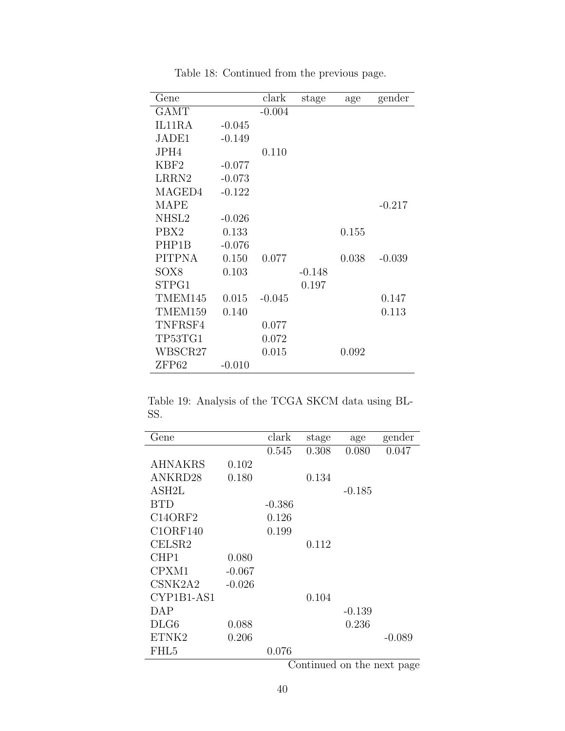| Gene             |          | clark    | stage    | age   | gender   |
|------------------|----------|----------|----------|-------|----------|
| <b>GAMT</b>      |          | $-0.004$ |          |       |          |
| IL11RA           | $-0.045$ |          |          |       |          |
| JADE1            | $-0.149$ |          |          |       |          |
| JPH4             |          | 0.110    |          |       |          |
| KBF <sub>2</sub> | $-0.077$ |          |          |       |          |
| $\rm LRRN2$      | $-0.073$ |          |          |       |          |
| MAGED4           | $-0.122$ |          |          |       |          |
| <b>MAPE</b>      |          |          |          |       | $-0.217$ |
| NHSL2            | $-0.026$ |          |          |       |          |
| PBX2             | 0.133    |          |          | 0.155 |          |
| PHP1B            | $-0.076$ |          |          |       |          |
| <b>PITPNA</b>    | 0.150    | 0.077    |          | 0.038 | $-0.039$ |
| SOX8             | 0.103    |          | $-0.148$ |       |          |
| STPG1            |          |          | 0.197    |       |          |
| TMEM145          | 0.015    | $-0.045$ |          |       | 0.147    |
| TMEM159          | 0.140    |          |          |       | 0.113    |
| TNFRSF4          |          | 0.077    |          |       |          |
| TP53TG1          |          | 0.072    |          |       |          |
| WBSCR27          |          | 0.015    |          | 0.092 |          |
| ZFP62            | $-0.010$ |          |          |       |          |

Table 18: Continued from the previous page.

<span id="page-39-0"></span>Table 19: Analysis of the TCGA SKCM data using BL-SS.

| Gene               |          | clark    | stage | age      | gender                     |
|--------------------|----------|----------|-------|----------|----------------------------|
|                    |          | 0.545    | 0.308 | 0.080    | 0.047                      |
| <b>AHNAKRS</b>     | 0.102    |          |       |          |                            |
| ANKRD28            | 0.180    |          | 0.134 |          |                            |
| ASH <sub>2</sub> L |          |          |       | $-0.185$ |                            |
| <b>BTD</b>         |          | $-0.386$ |       |          |                            |
| C14ORF2            |          | 0.126    |       |          |                            |
| C1ORF140           |          | 0.199    |       |          |                            |
| CELSR2             |          |          | 0.112 |          |                            |
| CHP1               | 0.080    |          |       |          |                            |
| CPXM1              | $-0.067$ |          |       |          |                            |
| CSNK2A2            | $-0.026$ |          |       |          |                            |
| CYP1B1-AS1         |          |          | 0.104 |          |                            |
| DAP                |          |          |       | $-0.139$ |                            |
| DLG6               | 0.088    |          |       | 0.236    |                            |
| ETNK2              | 0.206    |          |       |          | $-0.089$                   |
| FHL <sub>5</sub>   |          | 0.076    |       |          |                            |
|                    |          |          |       |          | Continued on the next page |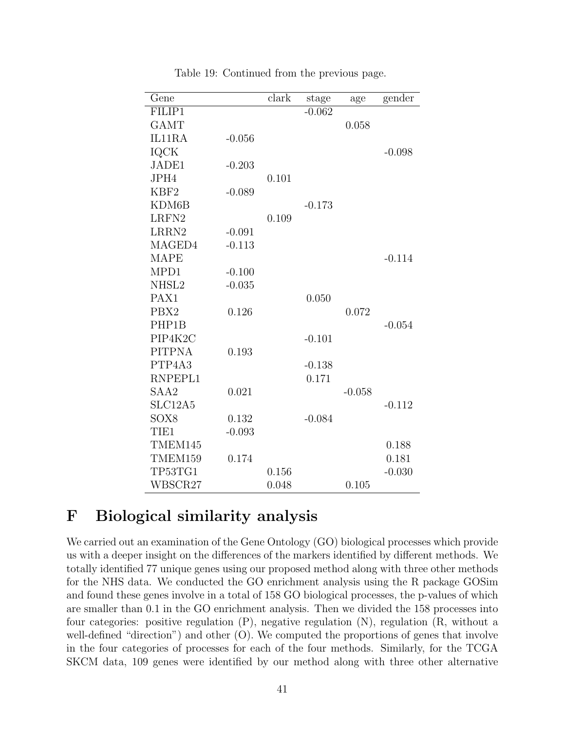| Gene             |          | clark | stage    | age      | gender   |
|------------------|----------|-------|----------|----------|----------|
| FILIP1           |          |       | $-0.062$ |          |          |
| <b>GAMT</b>      |          |       |          | 0.058    |          |
| IL11RA           | $-0.056$ |       |          |          |          |
| <b>IQCK</b>      |          |       |          |          | $-0.098$ |
| JADE1            | $-0.203$ |       |          |          |          |
| JPH4             |          | 0.101 |          |          |          |
| KBF <sub>2</sub> | $-0.089$ |       |          |          |          |
| KDM6B            |          |       | $-0.173$ |          |          |
| LRFN2            |          | 0.109 |          |          |          |
| LRRN2            | $-0.091$ |       |          |          |          |
| MAGED4           | $-0.113$ |       |          |          |          |
| <b>MAPE</b>      |          |       |          |          | $-0.114$ |
| MPD1             | $-0.100$ |       |          |          |          |
| NHSL2            | $-0.035$ |       |          |          |          |
| PAX1             |          |       | 0.050    |          |          |
| PBX2             | 0.126    |       |          | 0.072    |          |
| PHP1B            |          |       |          |          | $-0.054$ |
| PIP4K2C          |          |       | $-0.101$ |          |          |
| <b>PITPNA</b>    | 0.193    |       |          |          |          |
| PTP4A3           |          |       | $-0.138$ |          |          |
| RNPEPL1          |          |       | 0.171    |          |          |
| SAA2             | 0.021    |       |          | $-0.058$ |          |
| SLC12A5          |          |       |          |          | $-0.112$ |
| SOX8             | 0.132    |       | $-0.084$ |          |          |
| TIE1             | $-0.093$ |       |          |          |          |
| TMEM145          |          |       |          |          | 0.188    |
| TMEM159          | 0.174    |       |          |          | 0.181    |
| TP53TG1          |          | 0.156 |          |          | $-0.030$ |
| WBSCR27          |          | 0.048 |          | 0.105    |          |

Table 19: Continued from the previous page.

## F Biological similarity analysis

We carried out an examination of the Gene Ontology (GO) biological processes which provide us with a deeper insight on the differences of the markers identified by different methods. We totally identified 77 unique genes using our proposed method along with three other methods for the NHS data. We conducted the GO enrichment analysis using the R package GOSim and found these genes involve in a total of 158 GO biological processes, the p-values of which are smaller than 0.1 in the GO enrichment analysis. Then we divided the 158 processes into four categories: positive regulation (P), negative regulation (N), regulation (R, without a well-defined "direction") and other (O). We computed the proportions of genes that involve in the four categories of processes for each of the four methods. Similarly, for the TCGA SKCM data, 109 genes were identified by our method along with three other alternative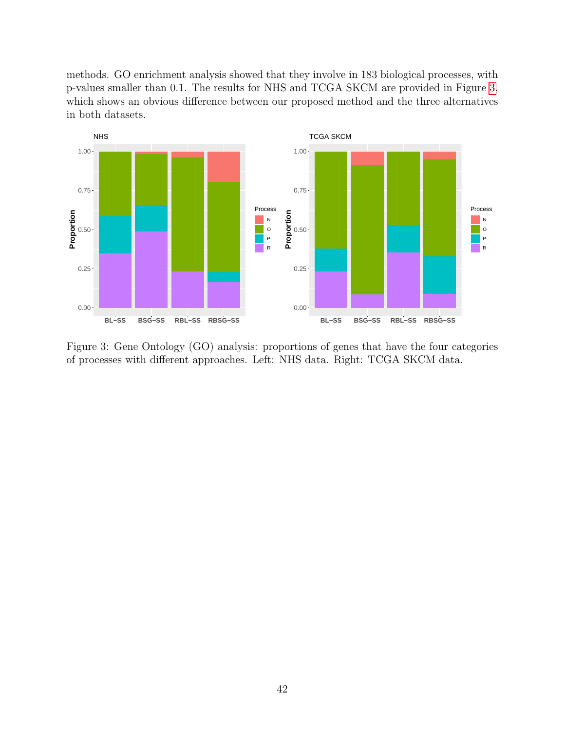methods. GO enrichment analysis showed that they involve in 183 biological processes, with p-values smaller than 0.1. The results for NHS and TCGA SKCM are provided in Figure [3,](#page-41-0) which shows an obvious difference between our proposed method and the three alternatives in both datasets.



<span id="page-41-0"></span>Figure 3: Gene Ontology (GO) analysis: proportions of genes that have the four categories of processes with different approaches. Left: NHS data. Right: TCGA SKCM data.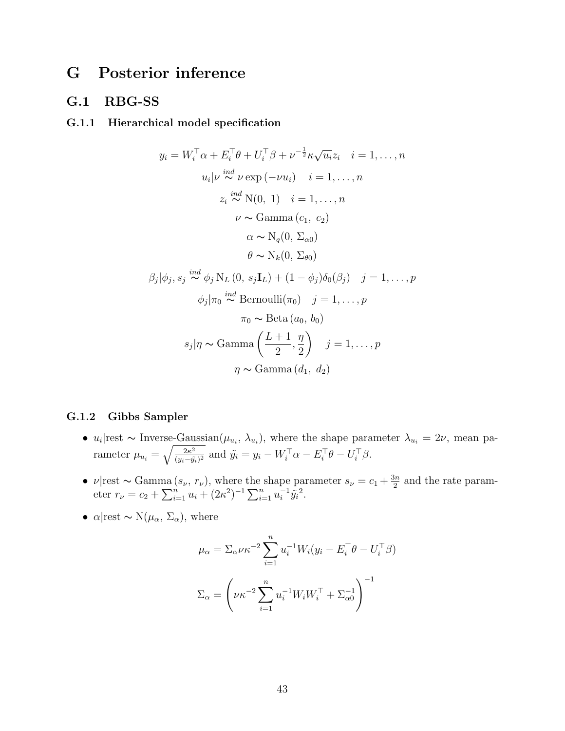## G Posterior inference

### G.1 RBG-SS

#### G.1.1 Hierarchical model specification

$$
y_i = W_i^{\top} \alpha + E_i^{\top} \theta + U_i^{\top} \beta + \nu^{-\frac{1}{2}} \kappa \sqrt{u_i} z_i \quad i = 1, ..., n
$$
  
\n
$$
u_i | \nu \stackrel{ind}{\sim} \nu \exp(-\nu u_i) \quad i = 1, ..., n
$$
  
\n
$$
z_i \stackrel{ind}{\sim} N(0, 1) \quad i = 1, ..., n
$$
  
\n
$$
\nu \sim \text{Gamma}(c_1, c_2)
$$
  
\n
$$
\alpha \sim N_q(0, \Sigma_{\alpha 0})
$$
  
\n
$$
\theta \sim N_k(0, \Sigma_{\theta 0})
$$
  
\n
$$
\beta_j | \phi_j, s_j \stackrel{ind}{\sim} \phi_j N_L(0, s_j \mathbf{I}_L) + (1 - \phi_j) \delta_0(\beta_j) \quad j = 1, ..., p
$$
  
\n
$$
\phi_j | \pi_0 \stackrel{ind}{\sim} \text{Bernoulli}(\pi_0) \quad j = 1, ..., p
$$
  
\n
$$
\pi_0 \sim \text{Beta}(a_0, b_0)
$$
  
\n
$$
s_j | \eta \sim \text{Gamma}(d_1, d_2)
$$

#### G.1.2 Gibbs Sampler

- $u_i$ |rest ~ Inverse-Gaussian $(\mu_{u_i}, \lambda_{u_i})$ , where the shape parameter  $\lambda_{u_i} = 2\nu$ , mean parameter  $\mu_{u_i} = \sqrt{\frac{2\kappa^2}{(u_i - \tilde{u}_i)^2}}$  $\frac{2\kappa^2}{(y_i-\tilde{y}_i)^2}$  and  $\tilde{y}_i = y_i - W_i^{\top} \alpha - E_i^{\top} \theta - U_i^{\top} \beta$ .
- $\nu$ |rest ~ Gamma  $(s_{\nu}, r_{\nu})$ , where the shape parameter  $s_{\nu} = c_1 + \frac{3n}{2}$  $\frac{3n}{2}$  and the rate parameter  $r_{\nu} = c_2 + \sum_{i=1}^{n} u_i + (2\kappa^2)^{-1} \sum_{i=1}^{n} u_i^{-1}$  $^{-1}_{i}\tilde{y}_{i}^{2}.$
- $\alpha$ |rest ~ N( $\mu_{\alpha}$ ,  $\Sigma_{\alpha}$ ), where

$$
\mu_{\alpha} = \sum_{\alpha} \nu \kappa^{-2} \sum_{i=1}^{n} u_i^{-1} W_i (y_i - E_i^{\top} \theta - U_i^{\top} \beta)
$$

$$
\Sigma_{\alpha} = \left(\nu \kappa^{-2} \sum_{i=1}^{n} u_i^{-1} W_i W_i^{\top} + \Sigma_{\alpha 0}^{-1}\right)^{-1}
$$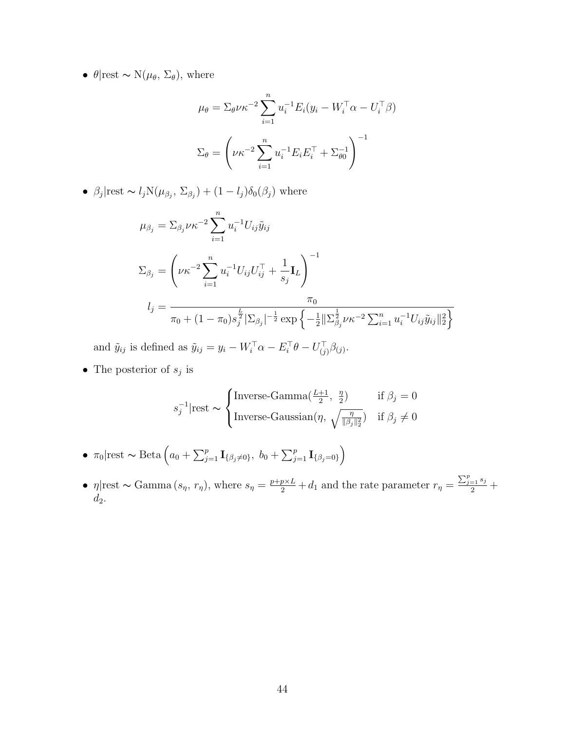•  $\theta$ |rest ~ N( $\mu_{\theta}$ ,  $\Sigma_{\theta}$ ), where

$$
\mu_{\theta} = \sum_{\theta} \nu \kappa^{-2} \sum_{i=1}^{n} u_i^{-1} E_i (y_i - W_i^{\top} \alpha - U_i^{\top} \beta)
$$

$$
\Sigma_{\theta} = \left( \nu \kappa^{-2} \sum_{i=1}^{n} u_i^{-1} E_i E_i^{\top} + \Sigma_{\theta 0}^{-1} \right)^{-1}
$$

•  $\beta_j$ |rest ~  $l_j N(\mu_{\beta_j}, \Sigma_{\beta_j}) + (1 - l_j) \delta_0(\beta_j)$  where

$$
\mu_{\beta_j} = \sum_{\beta_j} \nu \kappa^{-2} \sum_{i=1}^n u_i^{-1} U_{ij} \tilde{y}_{ij}
$$
  
\n
$$
\Sigma_{\beta_j} = \left( \nu \kappa^{-2} \sum_{i=1}^n u_i^{-1} U_{ij} U_{ij}^\top + \frac{1}{s_j} \mathbf{I}_L \right)^{-1}
$$
  
\n
$$
l_j = \frac{\pi_0}{\pi_0 + (1 - \pi_0) s_j^{\frac{L}{2}} |\Sigma_{\beta_j}|^{-\frac{1}{2}} \exp \left\{ -\frac{1}{2} ||\Sigma_{\beta_j}^{\frac{1}{2}} \nu \kappa^{-2} \sum_{i=1}^n u_i^{-1} U_{ij} \tilde{y}_{ij} ||_2^2 \right\}}
$$

and  $\tilde{y}_{ij}$  is defined as  $\tilde{y}_{ij} = y_i - W_i^{\top} \alpha - E_i^{\top} \theta - U_{(j)}^{\top} \beta_{(j)}$ .

• The posterior of  $s_j$  is

$$
s_j^{-1}|\text{rest} \sim \begin{cases} \text{Inverse-Gamma}(\frac{L+1}{2}, \frac{\eta}{2}) & \text{if } \beta_j = 0\\ \text{Inverse-Gaussian}(\eta, \sqrt{\frac{\eta}{\|\beta_j\|_2^2}}) & \text{if } \beta_j \neq 0 \end{cases}
$$

- $\pi_0$ |rest ~ Beta  $\left(a_0 + \sum_{j=1}^p \mathbf{I}_{\{\beta_j \neq 0\}}, b_0 + \sum_{j=1}^p \mathbf{I}_{\{\beta_j = 0\}}\right)$
- $\eta$ |rest ~ Gamma  $(s_{\eta}, r_{\eta})$ , where  $s_{\eta} = \frac{p+p\times L}{2} + d_1$  and the rate parameter  $r_{\eta} = \frac{\sum_{j=1}^{p} s_j}{2} + d_1$  $d_2$ .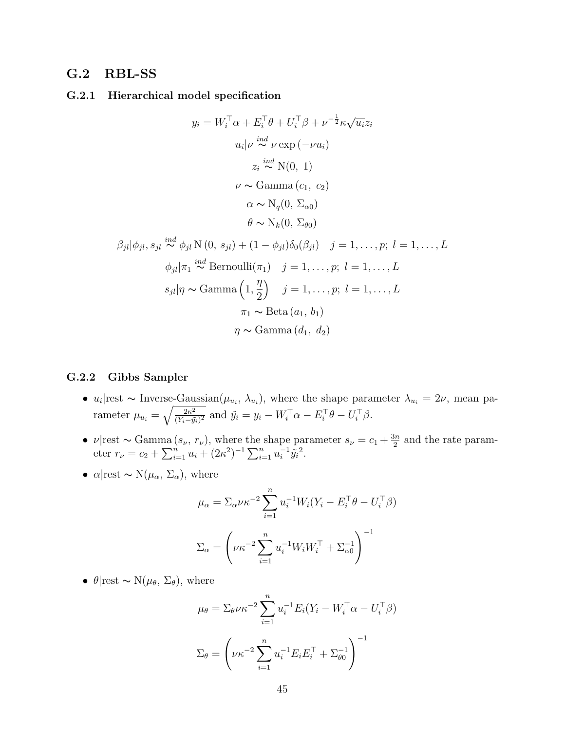### G.2 RBL-SS

#### G.2.1 Hierarchical model specification

$$
y_i = W_i^{\top} \alpha + E_i^{\top} \theta + U_i^{\top} \beta + \nu^{-\frac{1}{2}} \kappa \sqrt{u_i} z_i
$$
  
\n
$$
u_i | \nu \stackrel{ind}{\sim} \nu \exp(-\nu u_i)
$$
  
\n
$$
z_i \stackrel{ind}{\sim} \mathcal{N}(0, 1)
$$
  
\n
$$
\nu \sim \text{Gamma}(c_1, c_2)
$$
  
\n
$$
\alpha \sim \mathcal{N}_q(0, \Sigma_{\alpha 0})
$$
  
\n
$$
\theta \sim \mathcal{N}_k(0, \Sigma_{\theta 0})
$$
  
\n
$$
\beta_{jl} |\phi_{jl}, s_{jl} \stackrel{ind}{\sim} \phi_{jl} \mathcal{N}(0, s_{jl}) + (1 - \phi_{jl}) \delta_0(\beta_{jl}) \quad j = 1, ..., p; \quad l = 1, ..., L
$$
  
\n
$$
\phi_{jl} |\pi_1 \stackrel{ind}{\sim} \text{Bernoulli}(\pi_1) \quad j = 1, ..., p; \quad l = 1, ..., L
$$
  
\n
$$
s_{jl} |\eta \sim \text{Gamma}\left(1, \frac{\eta}{2}\right) \quad j = 1, ..., p; \quad l = 1, ..., L
$$
  
\n
$$
\pi_1 \sim \text{Beta}(a_1, b_1)
$$

#### G.2.2 Gibbs Sampler

•  $u_i$ |rest ~ Inverse-Gaussian $(\mu_{u_i}, \lambda_{u_i})$ , where the shape parameter  $\lambda_{u_i} = 2\nu$ , mean parameter  $\mu_{u_i} = \sqrt{\frac{2\kappa^2}{(Y_i - \hat{u})^2}}$  $\frac{2\kappa^2}{(Y_i-\tilde{y_i})^2}$  and  $\tilde{y_i} = y_i - W_i^{\top} \alpha - E_i^{\top} \theta - U_i^{\top} \beta$ .

 $\eta \sim \text{Gamma}(d_1, d_2)$ 

- $\nu$ |rest ~ Gamma  $(s_{\nu}, r_{\nu})$ , where the shape parameter  $s_{\nu} = c_1 + \frac{3n}{2}$  $\frac{3n}{2}$  and the rate parameter  $r_{\nu} = c_2 + \sum_{i=1}^{n} u_i + (2\kappa^2)^{-1} \sum_{i=1}^{n} u_i^{-1}$  $^{-1}_{i}\tilde{y}_{i}^{2}.$
- $\alpha$ |rest ~ N( $\mu_{\alpha}$ ,  $\Sigma_{\alpha}$ ), where

$$
\mu_{\alpha} = \sum_{\alpha} \nu \kappa^{-2} \sum_{i=1}^{n} u_i^{-1} W_i (Y_i - E_i^{\top} \theta - U_i^{\top} \beta)
$$

$$
\Sigma_{\alpha} = \left(\nu \kappa^{-2} \sum_{i=1}^{n} u_i^{-1} W_i W_i^{\top} + \Sigma_{\alpha 0}^{-1}\right)^{-1}
$$

•  $\theta$ |rest ~ N( $\mu_{\theta}$ ,  $\Sigma_{\theta}$ ), where

$$
\mu_{\theta} = \sum_{\theta} \nu \kappa^{-2} \sum_{i=1}^{n} u_i^{-1} E_i (Y_i - W_i^{\top} \alpha - U_i^{\top} \beta)
$$

$$
\Sigma_{\theta} = \left(\nu \kappa^{-2} \sum_{i=1}^{n} u_i^{-1} E_i E_i^{\top} + \Sigma_{\theta 0}^{-1}\right)^{-1}
$$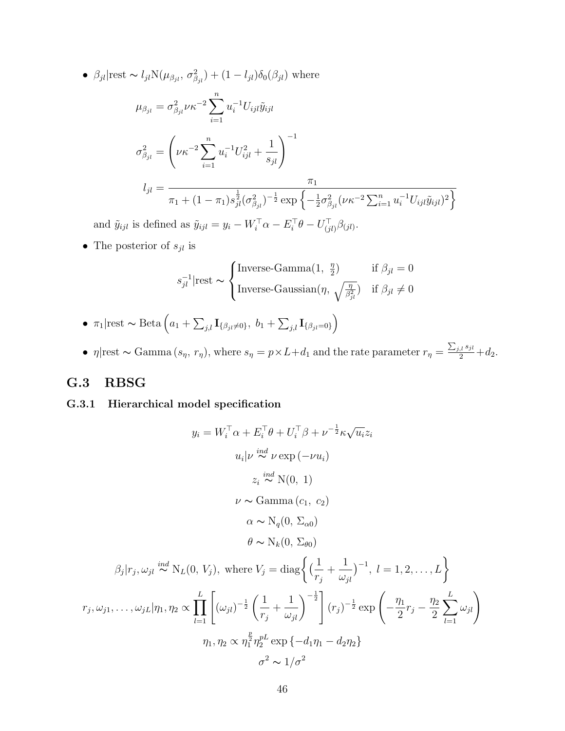•  $\beta_{jl}$ |rest ~  $l_{jl}N(\mu_{\beta_{jl}}, \sigma_{\beta_{jl}}^2) + (1 - l_{jl})\delta_0(\beta_{jl})$  where

$$
\mu_{\beta_{jl}} = \sigma_{\beta_{jl}}^2 \nu \kappa^{-2} \sum_{i=1}^n u_i^{-1} U_{ijl} \tilde{y}_{ijl}
$$
\n
$$
\sigma_{\beta_{jl}}^2 = \left( \nu \kappa^{-2} \sum_{i=1}^n u_i^{-1} U_{ijl}^2 + \frac{1}{s_{jl}} \right)^{-1}
$$
\n
$$
l_{jl} = \frac{\pi_1}{\pi_1 + (1 - \pi_1) s_{jl}^{\frac{1}{2}} (\sigma_{\beta_{jl}}^2)^{-\frac{1}{2}} \exp\left\{-\frac{1}{2} \sigma_{\beta_{jl}}^2 (\nu \kappa^{-2} \sum_{i=1}^n u_i^{-1} U_{ijl} \tilde{y}_{ijl})^2\right\}}
$$
\n
$$
l \approx 1 - l \mathcal{L} = \mathcal{L} = \mathbf{V} \mathbf{V} \mathbf{V} \mathbf{V} \mathbf{V} \mathbf{V} \mathbf{V} \mathbf{V} \mathbf{V} \mathbf{V} \mathbf{V} \mathbf{V} \mathbf{V} \mathbf{V} \mathbf{V} \mathbf{V} \mathbf{V} \mathbf{V} \mathbf{V} \mathbf{V} \mathbf{V} \mathbf{V} \mathbf{V} \mathbf{V} \mathbf{V} \mathbf{V} \mathbf{V} \mathbf{V} \mathbf{V} \mathbf{V} \mathbf{V} \mathbf{V} \mathbf{V} \mathbf{V} \mathbf{V} \mathbf{V} \mathbf{V} \mathbf{V} \mathbf{V} \mathbf{V} \mathbf{V} \mathbf{V} \mathbf{V} \mathbf{V} \mathbf{V} \mathbf{V} \mathbf{V} \mathbf{V} \mathbf{V} \mathbf{V} \mathbf{V} \mathbf{V} \mathbf{V} \mathbf{V} \mathbf{V} \mathbf{V} \mathbf{V} \mathbf{V} \mathbf{V} \mathbf{V} \mathbf{V} \mathbf{V} \mathbf{V} \mathbf{V} \mathbf{V} \mathbf{V} \mathbf{V} \mathbf{V} \mathbf{V} \mathbf{V} \mathbf{V} \mathbf{V} \mathbf{V} \mathbf{V} \mathbf{V} \mathbf{V} \mathbf{V} \mathbf{V} \mathbf{V} \mathbf{
$$

and  $\tilde{y}_{ijl}$  is defined as  $\tilde{y}_{ijl} = y_i - W_i^{\top} \alpha - E_i^{\top} \theta - U_{(jl)}^{\top} \beta_{(jl)}$ .

• The posterior of  $s_{jl}$  is

$$
s_{jl}^{-1}|\text{rest} \sim \begin{cases} \text{Inverse-Gamma}(1, \frac{\eta}{2}) & \text{if } \beta_{jl} = 0\\ \text{Inverse-Gaussian}(\eta, \sqrt{\frac{\eta}{\beta_{jl}^2}}) & \text{if } \beta_{jl} \neq 0 \end{cases}
$$

- $\pi_1$ |rest ~ Beta  $\left(a_1 + \sum_{j,l} \mathbf{I}_{\{\beta_{jl}\neq 0\}}, b_1 + \sum_{j,l} \mathbf{I}_{\{\beta_{jl}=0\}}\right)$
- $\eta$ |rest ~ Gamma  $(s_{\eta}, r_{\eta})$ , where  $s_{\eta} = p \times L + d_1$  and the rate parameter  $r_{\eta} = \frac{\sum_{j,l} s_{jl}}{2} + d_2$ .

## G.3 RBSG

### G.3.1 Hierarchical model specification

$$
y_i = W_i^{\top} \alpha + E_i^{\top} \theta + U_i^{\top} \beta + \nu^{-\frac{1}{2}} \kappa \sqrt{u_i} z_i
$$
  
\n
$$
u_i | \nu \stackrel{ind}{\sim} \nu \exp(-\nu u_i)
$$
  
\n
$$
z_i \stackrel{ind}{\sim} N(0, 1)
$$
  
\n
$$
\nu \sim \text{Gamma}(c_1, c_2)
$$
  
\n
$$
\alpha \sim N_q(0, \Sigma_{\alpha 0})
$$
  
\n
$$
\theta \sim N_k(0, \Sigma_{\theta 0})
$$
  
\n
$$
\beta_j |r_j, \omega_{jl} \stackrel{ind}{\sim} N_L(0, V_j), \text{ where } V_j = \text{diag}\left\{ \left(\frac{1}{r_j} + \frac{1}{\omega_{jl}}\right)^{-1}, l = 1, 2, ..., L \right\}
$$
  
\n
$$
r_j, \omega_{j1}, \dots, \omega_{jL} | \eta_1, \eta_2 \propto \prod_{l=1}^L \left[ (\omega_{jl})^{-\frac{1}{2}} \left(\frac{1}{r_j} + \frac{1}{\omega_{jl}}\right)^{-\frac{1}{2}} \right] (r_j)^{-\frac{1}{2}} \exp\left(-\frac{\eta_1}{2}r_j - \frac{\eta_2}{2} \sum_{l=1}^L \omega_{jl}\right)
$$
  
\n
$$
\eta_1, \eta_2 \propto \eta_1^{\frac{p}{2}} \eta_2^{\nu L} \exp\{-d_1 \eta_1 - d_2 \eta_2\}
$$
  
\n
$$
\sigma^2 \sim 1/\sigma^2
$$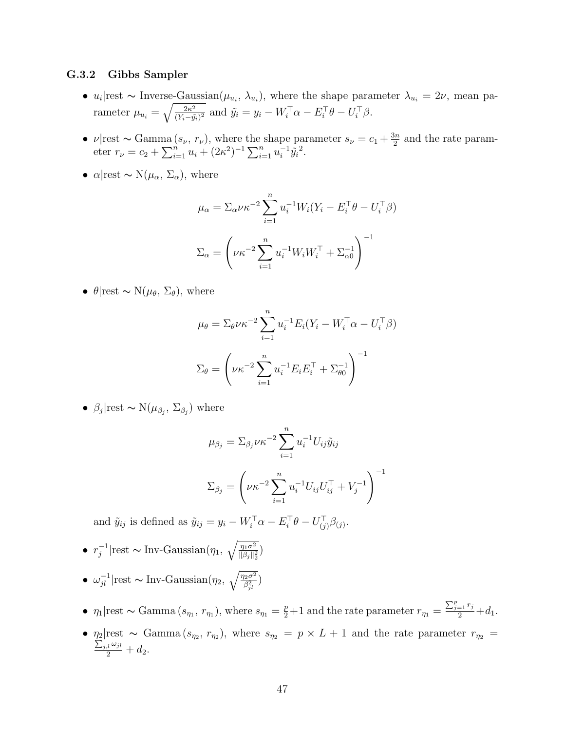#### G.3.2 Gibbs Sampler

- $u_i$ |rest ~ Inverse-Gaussian $(\mu_{u_i}, \lambda_{u_i})$ , where the shape parameter  $\lambda_{u_i} = 2\nu$ , mean parameter  $\mu_{u_i} = \sqrt{\frac{2\kappa^2}{(Y_i - \hat{u})^2}}$  $\frac{2\kappa^2}{(Y_i-\tilde{y_i})^2}$  and  $\tilde{y_i} = y_i - W_i^{\top} \alpha - E_i^{\top} \theta - U_i^{\top} \beta$ .
- $\nu$ |rest ~ Gamma  $(s_{\nu}, r_{\nu})$ , where the shape parameter  $s_{\nu} = c_1 + \frac{3n}{2}$  $\frac{3n}{2}$  and the rate parameter  $r_{\nu} = c_2 + \sum_{i=1}^{n} u_i + (2\kappa^2)^{-1} \sum_{i=1}^{n} u_i^{-1}$  $^{-1}_{i}\tilde{y}_{i}^{2}.$
- $\alpha$ |rest ~ N( $\mu_{\alpha}$ ,  $\Sigma_{\alpha}$ ), where

$$
\mu_{\alpha} = \sum_{\alpha} \nu \kappa^{-2} \sum_{i=1}^{n} u_i^{-1} W_i (Y_i - E_i^{\top} \theta - U_i^{\top} \beta)
$$

$$
\Sigma_{\alpha} = \left( \nu \kappa^{-2} \sum_{i=1}^{n} u_i^{-1} W_i W_i^{\top} + \Sigma_{\alpha 0}^{-1} \right)^{-1}
$$

•  $\theta$ |rest ~ N( $\mu_{\theta}$ ,  $\Sigma_{\theta}$ ), where

$$
\mu_{\theta} = \sum_{\theta} \nu \kappa^{-2} \sum_{i=1}^{n} u_i^{-1} E_i (Y_i - W_i^{\top} \alpha - U_i^{\top} \beta)
$$

$$
\Sigma_{\theta} = \left(\nu \kappa^{-2} \sum_{i=1}^{n} u_i^{-1} E_i E_i^{\top} + \Sigma_{\theta 0}^{-1}\right)^{-1}
$$

•  $\beta_j$ |rest ~ N $(\mu_{\beta_j}, \Sigma_{\beta_j})$  where

$$
\mu_{\beta_j} = \sum_{\beta_j} \nu \kappa^{-2} \sum_{i=1}^n u_i^{-1} U_{ij} \tilde{y}_{ij}
$$

$$
\sum_{\beta_j} = \left( \nu \kappa^{-2} \sum_{i=1}^n u_i^{-1} U_{ij} U_{ij}^\top + V_j^{-1} \right)^{-1}
$$

and  $\tilde{y}_{ij}$  is defined as  $\tilde{y}_{ij} = y_i - W_i^{\top} \alpha - E_i^{\top} \theta - U_{(j)}^{\top} \beta_{(j)}$ .

- $\bullet$   $r_i^{-1}$  $j^{-1}$ |rest ~ Inv-Gaussian(η<sub>1</sub>,  $\sqrt{\frac{\eta_1 \sigma^2}{\|\beta_i\|_2^2}}$  $\frac{\eta_1\sigma^2}{\|\beta_j\|_2^2}$
- $\omega_{jl}^{-1}$ |rest ~ Inv-Gaussian $(\eta_2, \sqrt{\frac{\eta_2 \sigma^2}{\beta_{jl}^2}})$
- $\eta_1$ |rest ~ Gamma  $(s_{\eta_1}, r_{\eta_1})$ , where  $s_{\eta_1} = \frac{p}{2} + 1$  and the rate parameter  $r_{\eta_1} = \frac{\sum_{j=1}^p r_j}{2} + d_1$ .
- $\eta_2$ |rest ~ Gamma  $(s_{\eta_2}, r_{\eta_2})$ , where  $s_{\eta_2} = p \times L + 1$  and the rate parameter  $r_{\eta_2} = \sum_{i,j,\omega_{i,j}} r_{i,j}$  $\frac{d}{2} \frac{\omega_{jl}}{2} + d_2.$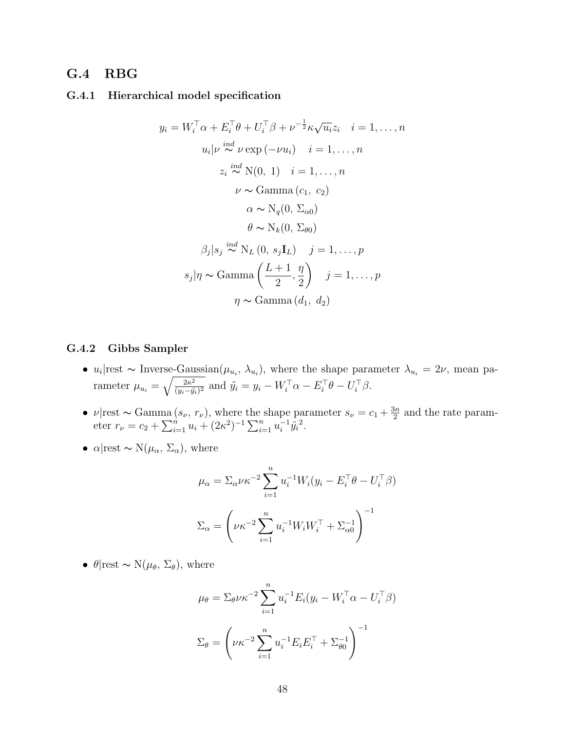### G.4 RBG

#### G.4.1 Hierarchical model specification

$$
y_i = W_i^{\top} \alpha + E_i^{\top} \theta + U_i^{\top} \beta + \nu^{-\frac{1}{2}} \kappa \sqrt{u_i} z_i \quad i = 1, ..., n
$$
  
\n
$$
u_i | \nu \stackrel{ind}{\sim} \nu \exp(-\nu u_i) \quad i = 1, ..., n
$$
  
\n
$$
z_i \stackrel{ind}{\sim} \mathcal{N}(0, 1) \quad i = 1, ..., n
$$
  
\n
$$
\nu \sim \text{Gamma}(c_1, c_2)
$$
  
\n
$$
\alpha \sim \mathcal{N}_q(0, \Sigma_{\alpha 0})
$$
  
\n
$$
\theta \sim \mathcal{N}_k(0, \Sigma_{\theta 0})
$$
  
\n
$$
\beta_j | s_j \stackrel{ind}{\sim} \mathcal{N}_L(0, s_j \mathbf{I}_L) \quad j = 1, ..., p
$$
  
\n
$$
s_j | \eta \sim \text{Gamma}\left(\frac{L+1}{2}, \frac{\eta}{2}\right) \quad j = 1, ..., p
$$
  
\n
$$
\eta \sim \text{Gamma}(d_1, d_2)
$$

#### G.4.2 Gibbs Sampler

- $u_i$ |rest ~ Inverse-Gaussian $(\mu_{u_i}, \lambda_{u_i})$ , where the shape parameter  $\lambda_{u_i} = 2\nu$ , mean parameter  $\mu_{u_i} = \sqrt{\frac{2\kappa^2}{(u_i - \tilde{u}_i)^2}}$  $\frac{2\kappa^2}{(y_i-\tilde{y}_i)^2}$  and  $\tilde{y}_i = y_i - W_i^{\top} \alpha - E_i^{\top} \theta - U_i^{\top} \beta$ .
- $\nu$ |rest ~ Gamma  $(s_{\nu}, r_{\nu})$ , where the shape parameter  $s_{\nu} = c_1 + \frac{3n}{2}$  $\frac{3n}{2}$  and the rate parameter  $r_{\nu} = c_2 + \sum_{i=1}^{n} u_i + (2\kappa^2)^{-1} \sum_{i=1}^{n} u_i^{-1}$  $^{-1}_{i}\tilde{y}_{i}^{2}.$
- $\alpha$ |rest ~ N( $\mu_{\alpha}$ ,  $\Sigma_{\alpha}$ ), where

$$
\mu_{\alpha} = \sum_{\alpha} \nu \kappa^{-2} \sum_{i=1}^{n} u_i^{-1} W_i (y_i - E_i^{\top} \theta - U_i^{\top} \beta)
$$

$$
\Sigma_{\alpha} = \left(\nu \kappa^{-2} \sum_{i=1}^{n} u_i^{-1} W_i W_i^{\top} + \Sigma_{\alpha 0}^{-1}\right)^{-1}
$$

•  $\theta$ |rest ~ N( $\mu_{\theta}$ ,  $\Sigma_{\theta}$ ), where

$$
\mu_{\theta} = \sum_{\theta} \nu \kappa^{-2} \sum_{i=1}^{n} u_i^{-1} E_i (y_i - W_i^{\top} \alpha - U_i^{\top} \beta)
$$

$$
\Sigma_{\theta} = \left( \nu \kappa^{-2} \sum_{i=1}^{n} u_i^{-1} E_i E_i^{\top} + \Sigma_{\theta 0}^{-1} \right)^{-1}
$$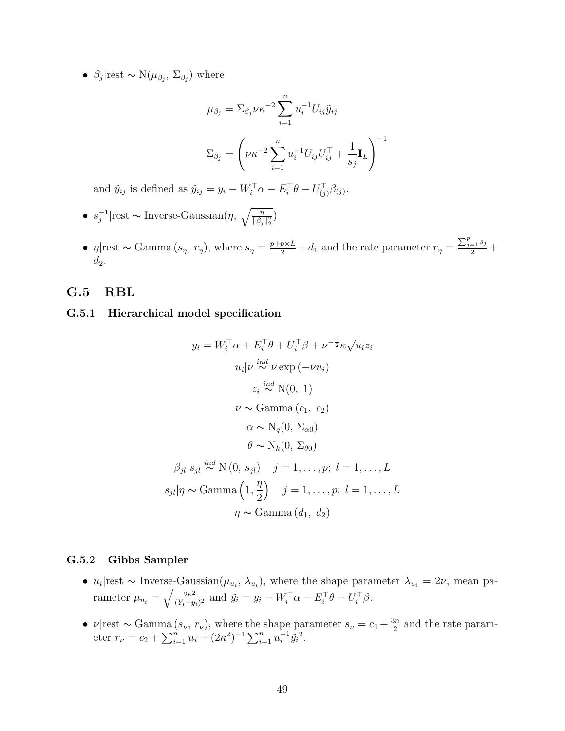•  $\beta_j$ |rest ~ N $(\mu_{\beta_j}, \Sigma_{\beta_j})$  where

$$
\mu_{\beta_j} = \sum_{\beta_j} \nu \kappa^{-2} \sum_{i=1}^n u_i^{-1} U_{ij} \tilde{y}_{ij}
$$

$$
\Sigma_{\beta_j} = \left(\nu \kappa^{-2} \sum_{i=1}^n u_i^{-1} U_{ij} U_{ij}^\top + \frac{1}{s_j} \mathbf{I}_L\right)^{-1}
$$

and  $\tilde{y}_{ij}$  is defined as  $\tilde{y}_{ij} = y_i - W_i^{\top} \alpha - E_i^{\top} \theta - U_{(j)}^{\top} \beta_{(j)}$ .

- $\bullet \ \ s_i^{-1}$  $j^{-1}$ |rest ∼ Inverse-Gaussian(η,  $\sqrt{\frac{\eta}{\|\beta_j\|_2^2}}$ )
- $\eta$ |rest ~ Gamma  $(s_{\eta}, r_{\eta})$ , where  $s_{\eta} = \frac{p+p\times L}{2} + d_1$  and the rate parameter  $r_{\eta} = \frac{\sum_{j=1}^{p} s_j}{2} + d_1$  $d_2$ .

### G.5 RBL

#### G.5.1 Hierarchical model specification

$$
y_i = W_i^{\top} \alpha + E_i^{\top} \theta + U_i^{\top} \beta + \nu^{-\frac{1}{2}} \kappa \sqrt{u_i} z_i
$$
  
\n
$$
u_i | \nu \stackrel{ind}{\sim} \nu \exp(-\nu u_i)
$$
  
\n
$$
z_i \stackrel{ind}{\sim} \mathcal{N}(0, 1)
$$
  
\n
$$
\nu \sim \text{Gamma}(c_1, c_2)
$$
  
\n
$$
\alpha \sim \mathcal{N}_q(0, \Sigma_{\alpha 0})
$$
  
\n
$$
\theta \sim \mathcal{N}_k(0, \Sigma_{\theta 0})
$$
  
\n
$$
\beta_{jl} | s_{jl} \stackrel{ind}{\sim} \mathcal{N}(0, s_{jl}) \quad j = 1, ..., p; \ l = 1, ..., L
$$
  
\n
$$
s_{jl} | \eta \sim \text{Gamma}(1, \frac{\eta}{2}) \quad j = 1, ..., p; \ l = 1, ..., L
$$
  
\n
$$
\eta \sim \text{Gamma}(d_1, d_2)
$$

#### G.5.2 Gibbs Sampler

- $u_i$ |rest ~ Inverse-Gaussian $(\mu_{u_i}, \lambda_{u_i})$ , where the shape parameter  $\lambda_{u_i} = 2\nu$ , mean parameter  $\mu_{u_i} = \sqrt{\frac{2\kappa^2}{(Y_i - \hat{u})^2}}$  $\frac{2\kappa^2}{(Y_i-\tilde{y_i})^2}$  and  $\tilde{y_i} = y_i - W_i^{\top} \alpha - E_i^{\top} \theta - U_i^{\top} \beta$ .
- $\nu$ |rest ~ Gamma  $(s_{\nu}, r_{\nu})$ , where the shape parameter  $s_{\nu} = c_1 + \frac{3n}{2}$  $\frac{3n}{2}$  and the rate parameter  $r_{\nu} = c_2 + \sum_{i=1}^{n} u_i + (2\kappa^2)^{-1} \sum_{i=1}^{n} u_i^{-1}$  $^{-1}_{i}\tilde{y}_{i}^{2}.$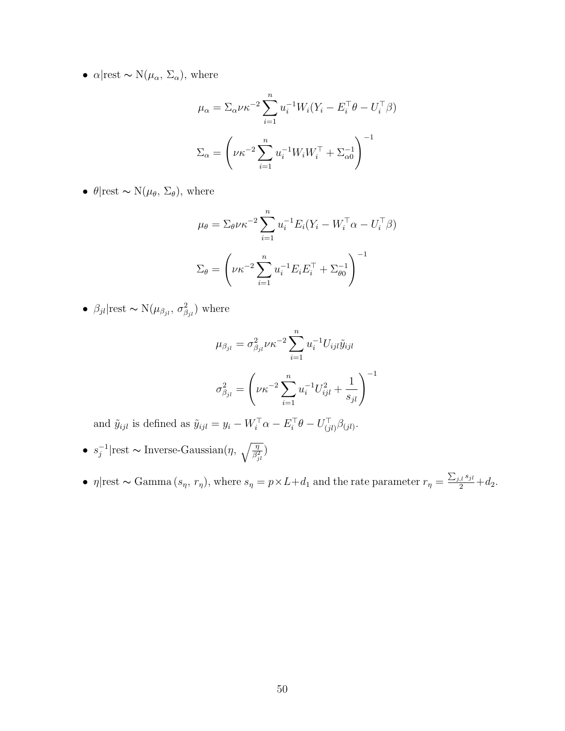•  $\alpha$ |rest ~ N( $\mu_{\alpha}$ ,  $\Sigma_{\alpha}$ ), where

$$
\mu_{\alpha} = \sum_{\alpha} \nu \kappa^{-2} \sum_{i=1}^{n} u_i^{-1} W_i (Y_i - E_i^{\top} \theta - U_i^{\top} \beta)
$$

$$
\Sigma_{\alpha} = \left(\nu \kappa^{-2} \sum_{i=1}^{n} u_i^{-1} W_i W_i^{\top} + \Sigma_{\alpha 0}^{-1}\right)^{-1}
$$

•  $\theta$ |rest ~ N( $\mu_{\theta}$ ,  $\Sigma_{\theta}$ ), where

$$
\mu_{\theta} = \sum_{\theta} \nu \kappa^{-2} \sum_{i=1}^{n} u_i^{-1} E_i (Y_i - W_i^{\top} \alpha - U_i^{\top} \beta)
$$

$$
\Sigma_{\theta} = \left(\nu \kappa^{-2} \sum_{i=1}^{n} u_i^{-1} E_i E_i^{\top} + \Sigma_{\theta 0}^{-1}\right)^{-1}
$$

•  $\beta_{jl}$ |rest ~ N $(\mu_{\beta_{jl}}, \sigma_{\beta_{jl}}^2)$  where

$$
\mu_{\beta_{jl}} = \sigma_{\beta_{jl}}^2 \nu \kappa^{-2} \sum_{i=1}^n u_i^{-1} U_{ijl} \tilde{y}_{ijl}
$$

$$
\sigma_{\beta_{jl}}^2 = \left(\nu \kappa^{-2} \sum_{i=1}^n u_i^{-1} U_{ijl}^2 + \frac{1}{s_{jl}}\right)^{-1}
$$

and  $\tilde{y}_{ijl}$  is defined as  $\tilde{y}_{ijl} = y_i - W_i^{\top} \alpha - E_i^{\top} \theta - U_{(jl)}^{\top} \beta_{(jl)}$ .

- $\bullet \ \ s_i^{-1}$  $j^{-1}$ |rest ∼ Inverse-Gaussian(η,  $\sqrt{\frac{\eta}{\beta_{jl}^2}}$ )
- $\eta$ |rest ~ Gamma  $(s_{\eta}, r_{\eta})$ , where  $s_{\eta} = p \times L + d_1$  and the rate parameter  $r_{\eta} = \frac{\sum_{j,l} s_{jl}}{2} + d_2$ .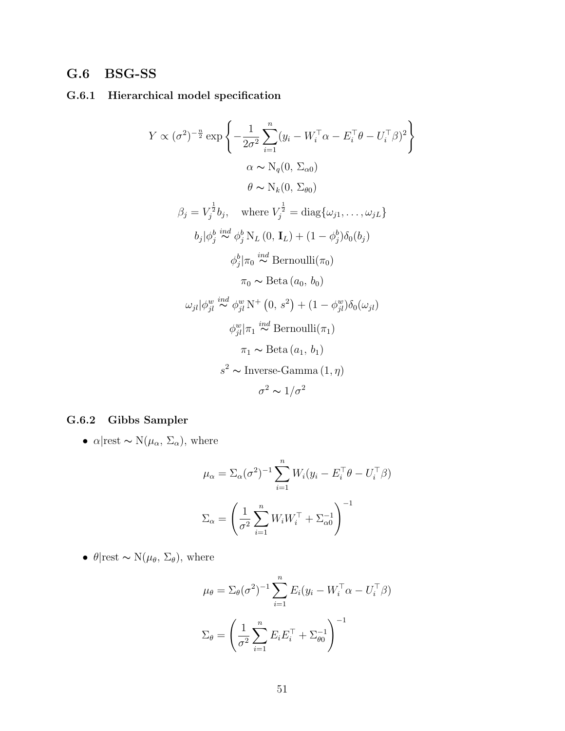## G.6 BSG-SS

### G.6.1 Hierarchical model specification

$$
Y \propto (\sigma^2)^{-\frac{n}{2}} \exp \left\{ -\frac{1}{2\sigma^2} \sum_{i=1}^n (y_i - W_i^\top \alpha - E_i^\top \theta - U_i^\top \beta)^2 \right\}
$$
  
\n
$$
\alpha \sim N_q(0, \Sigma_{\alpha 0})
$$
  
\n
$$
\theta \sim N_k(0, \Sigma_{\theta 0})
$$
  
\n
$$
\beta_j = V_j^{\frac{1}{2}} b_j, \quad \text{where } V_j^{\frac{1}{2}} = \text{diag}\{\omega_{j1}, \dots, \omega_{jL}\}
$$
  
\n
$$
b_j |\phi_j^b \stackrel{ind}{\sim} \phi_j^b N_L(0, \mathbf{I}_L) + (1 - \phi_j^b) \delta_0(b_j)
$$
  
\n
$$
\phi_j^b |\pi_0 \stackrel{ind}{\sim} \text{Bernoulli}(\pi_0)
$$
  
\n
$$
\pi_0 \sim \text{Beta}(a_0, b_0)
$$
  
\n
$$
\omega_{jl} |\phi_{jl}^w \stackrel{ind}{\sim} \phi_{jl}^w N^+(0, s^2) + (1 - \phi_{jl}^w) \delta_0(\omega_{jl})
$$
  
\n
$$
\phi_{jl}^w |\pi_1 \stackrel{ind}{\sim} \text{Bernoulli}(\pi_1)
$$
  
\n
$$
\pi_1 \sim \text{Beta}(a_1, b_1)
$$
  
\n
$$
s^2 \sim \text{Inverse-Gamma}(1, \eta)
$$
  
\n
$$
\sigma^2 \sim 1/\sigma^2
$$

### G.6.2 Gibbs Sampler

•  $\alpha$ |rest ~ N( $\mu_{\alpha}$ ,  $\Sigma_{\alpha}$ ), where

$$
\mu_{\alpha} = \Sigma_{\alpha}(\sigma^2)^{-1} \sum_{i=1}^{n} W_i (y_i - E_i^{\top} \theta - U_i^{\top} \beta)
$$

$$
\Sigma_{\alpha} = \left(\frac{1}{\sigma^2} \sum_{i=1}^{n} W_i W_i^{\top} + \Sigma_{\alpha 0}^{-1}\right)^{-1}
$$

•  $\theta$ |rest ~ N( $\mu_{\theta}$ ,  $\Sigma_{\theta}$ ), where

$$
\mu_{\theta} = \Sigma_{\theta}(\sigma^2)^{-1} \sum_{i=1}^{n} E_i (y_i - W_i^{\top} \alpha - U_i^{\top} \beta)
$$

$$
\Sigma_{\theta} = \left(\frac{1}{\sigma^2} \sum_{i=1}^{n} E_i E_i^{\top} + \Sigma_{\theta 0}^{-1}\right)^{-1}
$$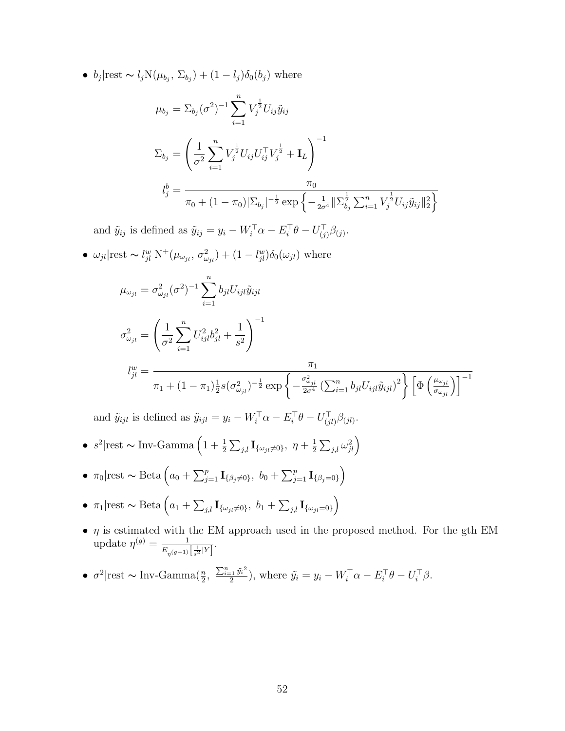•  $b_j$ |rest ~  $l_j N(\mu_{b_j}, \Sigma_{b_j}) + (1 - l_j) \delta_0(b_j)$  where

$$
\mu_{b_j} = \sum_{b_j} (\sigma^2)^{-1} \sum_{i=1}^n V_j^{\frac{1}{2}} U_{ij} \tilde{y}_{ij}
$$
  

$$
\Sigma_{b_j} = \left(\frac{1}{\sigma^2} \sum_{i=1}^n V_j^{\frac{1}{2}} U_{ij} U_{ij}^\top V_j^{\frac{1}{2}} + \mathbf{I}_L\right)^{-1}
$$
  

$$
l_j^b = \frac{\pi_0}{\pi_0 + (1 - \pi_0) |\Sigma_{b_j}|^{-\frac{1}{2}} \exp\left\{-\frac{1}{2\sigma^4} ||\Sigma_{b_j}^{\frac{1}{2}} \sum_{i=1}^n V_j^{\frac{1}{2}} U_{ij} \tilde{y}_{ij}||_2^2\right\}}
$$

and  $\tilde{y}_{ij}$  is defined as  $\tilde{y}_{ij} = y_i - W_i^{\top} \alpha - E_i^{\top} \theta - U_{(j)}^{\top} \beta_{(j)}$ .

•  $\omega_{jl}$ |rest ~  $l_{jl}^w N^+(\mu_{\omega_{jl}}, \sigma_{\omega_{jl}}^2) + (1 - l_{jl}^w)\delta_0(\omega_{jl})$  where

$$
\mu_{\omega_{jl}} = \sigma_{\omega_{jl}}^2 (\sigma^2)^{-1} \sum_{i=1}^n b_{jl} U_{ijl} \tilde{y}_{ijl}
$$
  

$$
\sigma_{\omega_{jl}}^2 = \left(\frac{1}{\sigma^2} \sum_{i=1}^n U_{ijl}^2 b_{jl}^2 + \frac{1}{s^2}\right)^{-1}
$$
  

$$
l_{jl}^w = \frac{\pi_1}{\pi_1 + (1 - \pi_1) \frac{1}{2} s (\sigma_{\omega_{jl}}^2)^{-\frac{1}{2}} \exp\left\{-\frac{\sigma_{\omega_{jl}}^2}{2\sigma^4} \left(\sum_{i=1}^n b_{jl} U_{ijl} \tilde{y}_{ijl}\right)^2\right\} \left[\Phi\left(\frac{\mu_{\omega_{jl}}}{\sigma_{\omega_{jl}}}\right)\right]^{-1}
$$

and  $\tilde{y}_{ijl}$  is defined as  $\tilde{y}_{ijl} = y_i - W_i^{\top} \alpha - E_i^{\top} \theta - U_{(jl)}^{\top} \beta_{(jl)}$ .

- $s^2$ |rest ~ Inv-Gamma  $\left(1+\frac{1}{2}\sum_{j,l}\mathbf{I}_{\{\omega_{jl}\neq 0\}},\ \eta+\frac{1}{2}\right)$  $\frac{1}{2}\sum_{j,l} \omega_{jl}^2\Big)$
- $\pi_0$ |rest ~ Beta  $\left(a_0 + \sum_{j=1}^p \mathbf{I}_{\{\beta_j \neq 0\}}, b_0 + \sum_{j=1}^p \mathbf{I}_{\{\beta_j = 0\}}\right)$
- $\pi_1$ |rest ~ Beta  $\left(a_1 + \sum_{j,l} \mathbf{I}_{\{\omega_{jl}\neq 0\}}, b_1 + \sum_{j,l} \mathbf{I}_{\{\omega_{jl}=0\}}\right)$
- $\eta$  is estimated with the EM approach used in the proposed method. For the gth EM update  $\eta^{(g)} = \frac{1}{E}$  $\frac{1}{E_{\eta}(g-1)\left[\frac{1}{s^2}|Y\right]}.$
- $\sigma^2$ |rest ~ Inv-Gamma( $\frac{n}{2}$ ,  $\frac{\sum_{i=1}^{n} \tilde{y_i}^2}{2}$  $\frac{z_1 y_i^2}{2}$ , where  $\tilde{y}_i = y_i - W_i^{\top} \alpha - E_i^{\top} \theta - U_i^{\top} \beta$ .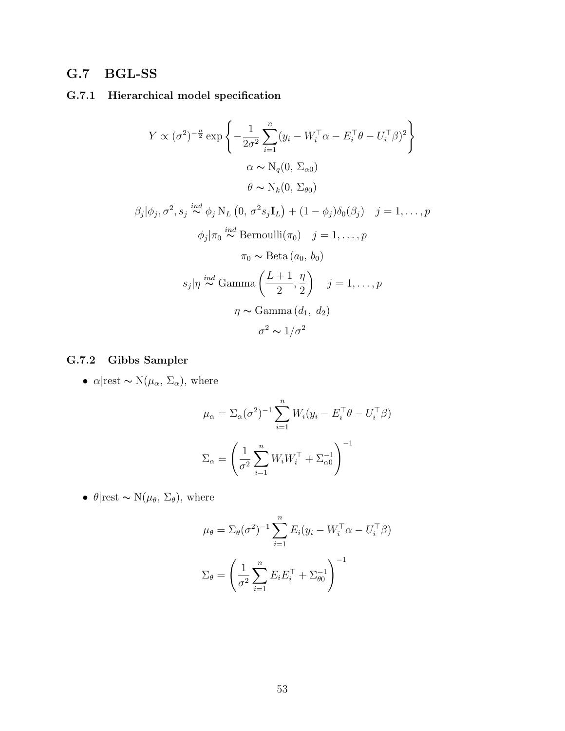## G.7 BGL-SS

### G.7.1 Hierarchical model specification

$$
Y \propto (\sigma^2)^{-\frac{n}{2}} \exp\left\{-\frac{1}{2\sigma^2} \sum_{i=1}^n (y_i - W_i^\top \alpha - E_i^\top \theta - U_i^\top \beta)^2\right\}
$$
  
\n
$$
\alpha \sim N_q(0, \Sigma_{\alpha 0})
$$
  
\n
$$
\theta \sim N_k(0, \Sigma_{\theta 0})
$$
  
\n
$$
\beta_j|\phi_j, \sigma^2, s_j \stackrel{ind}{\sim} \phi_j N_L(0, \sigma^2 s_j \mathbf{I}_L) + (1 - \phi_j)\delta_0(\beta_j) \quad j = 1, ..., p
$$
  
\n
$$
\phi_j|\pi_0 \stackrel{ind}{\sim} \text{Bernoulli}(\pi_0) \quad j = 1, ..., p
$$
  
\n
$$
\pi_0 \sim \text{Beta}(a_0, b_0)
$$
  
\n
$$
s_j|\eta \stackrel{ind}{\sim} \text{Gamma}\left(\frac{L+1}{2}, \frac{\eta}{2}\right) \quad j = 1, ..., p
$$
  
\n
$$
\eta \sim \text{Gamma}(d_1, d_2)
$$
  
\n
$$
\sigma^2 \sim 1/\sigma^2
$$

### G.7.2 Gibbs Sampler

•  $\alpha$ |rest ~ N( $\mu_{\alpha}$ ,  $\Sigma_{\alpha}$ ), where

$$
\mu_{\alpha} = \Sigma_{\alpha}(\sigma^2)^{-1} \sum_{i=1}^{n} W_i (y_i - E_i^{\top} \theta - U_i^{\top} \beta)
$$

$$
\Sigma_{\alpha} = \left(\frac{1}{\sigma^2} \sum_{i=1}^{n} W_i W_i^{\top} + \Sigma_{\alpha 0}^{-1}\right)^{-1}
$$

•  $\theta$ |rest ~ N( $\mu_{\theta}$ ,  $\Sigma_{\theta}$ ), where

$$
\mu_{\theta} = \Sigma_{\theta}(\sigma^2)^{-1} \sum_{i=1}^{n} E_i (y_i - W_i^{\top} \alpha - U_i^{\top} \beta)
$$

$$
\Sigma_{\theta} = \left(\frac{1}{\sigma^2} \sum_{i=1}^{n} E_i E_i^{\top} + \Sigma_{\theta 0}^{-1}\right)^{-1}
$$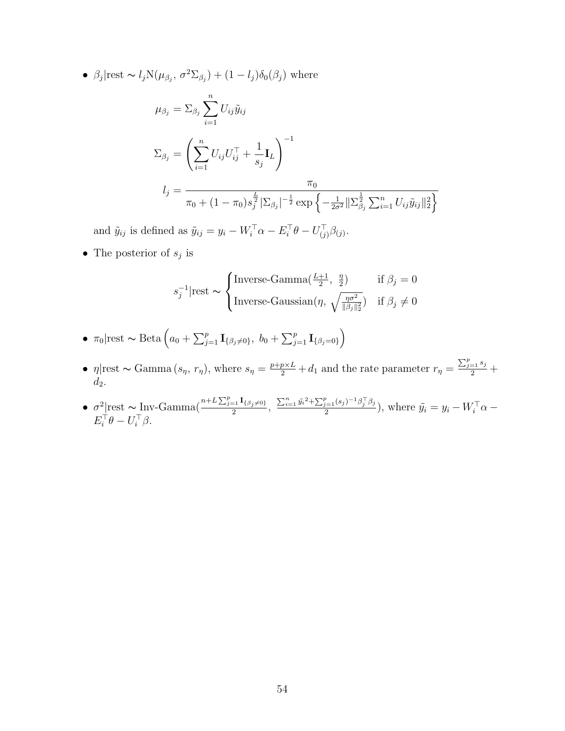•  $\beta_j$ |rest ~  $l_j N(\mu_{\beta_j}, \sigma^2 \Sigma_{\beta_j}) + (1 - l_j) \delta_0(\beta_j)$  where

$$
\mu_{\beta_j} = \sum_{\beta_j} \sum_{i=1}^n U_{ij} \tilde{y}_{ij}
$$
  

$$
\Sigma_{\beta_j} = \left( \sum_{i=1}^n U_{ij} U_{ij}^\top + \frac{1}{s_j} \mathbf{I}_L \right)^{-1}
$$
  

$$
l_j = \frac{\pi_0}{\pi_0 + (1 - \pi_0) s_j^{\frac{L}{2}} |\Sigma_{\beta_j}|^{-\frac{1}{2}} \exp \left\{ -\frac{1}{2\sigma^2} ||\Sigma_{\beta_j}^{\frac{1}{2}} \sum_{i=1}^n U_{ij} \tilde{y}_{ij}||_2^2 \right\}}
$$

and  $\tilde{y}_{ij}$  is defined as  $\tilde{y}_{ij} = y_i - W_i^{\top} \alpha - E_i^{\top} \theta - U_{(j)}^{\top} \beta_{(j)}$ .

• The posterior of  $s_j$  is

$$
s_j^{-1}|\text{rest} \sim \begin{cases} \text{Inverse-Gamma}(\frac{L+1}{2}, \frac{\eta}{2}) & \text{if } \beta_j = 0\\ \text{Inverse-Gaussian}(\eta, \sqrt{\frac{\eta \sigma^2}{\|\beta_j\|_2^2}}) & \text{if } \beta_j \neq 0 \end{cases}
$$

- $\pi_0$ |rest ~ Beta  $\left(a_0 + \sum_{j=1}^p \mathbf{I}_{\{\beta_j \neq 0\}}, b_0 + \sum_{j=1}^p \mathbf{I}_{\{\beta_j = 0\}}\right)$
- $\eta$ |rest ~ Gamma  $(s_{\eta}, r_{\eta})$ , where  $s_{\eta} = \frac{p+p\times L}{2} + d_1$  and the rate parameter  $r_{\eta} = \frac{\sum_{j=1}^{p} s_j}{2} + d_1$  $d_2$ .
- $\sigma^2$ |rest ~ Inv-Gamma $\left(\frac{n+L\sum_{j=1}^p I_{\{\beta_j\neq 0\}}}{2}\right)$  $\frac{\sum_{i=1}^{n} \tilde{y}_i^2 + \sum_{j=1}^{p} (s_j)^{-1} \beta_j^{\top} \beta_j}{2}$  $\frac{y_{i=1}(s_j)-p_j(p_j)}{2}$ , where  $\tilde{y}_i = y_i - W_i^{\top} \alpha E_i^{\top} \theta - U_i^{\top} \beta.$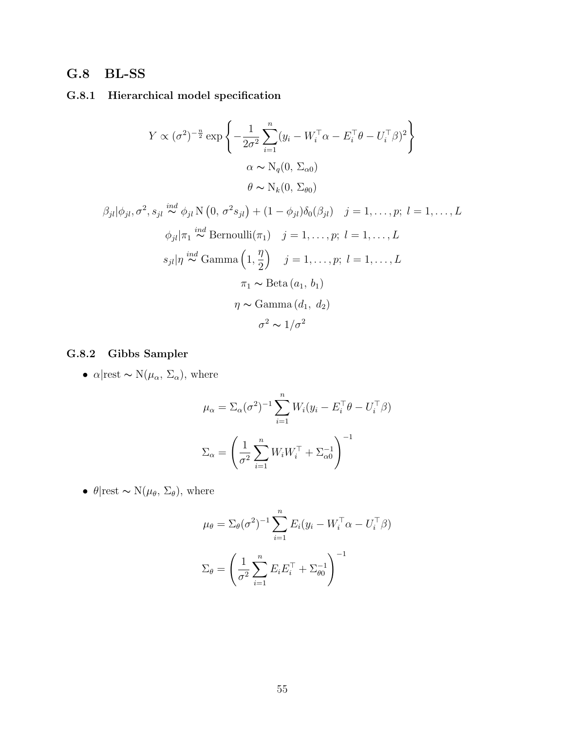## G.8 BL-SS

## G.8.1 Hierarchical model specification

$$
Y \propto (\sigma^2)^{-\frac{n}{2}} \exp\left\{-\frac{1}{2\sigma^2} \sum_{i=1}^n (y_i - W_i^\top \alpha - E_i^\top \theta - U_i^\top \beta)^2\right\}
$$

$$
\alpha \sim N_q(0, \Sigma_{\alpha 0})
$$

$$
\theta \sim N_k(0, \Sigma_{\theta 0})
$$

$$
\beta_{jl}|\phi_{jl}, \sigma^2, s_{jl} \stackrel{ind}{\sim} \phi_{jl} \mathcal{N}\left(0, \sigma^2 s_{jl}\right) + (1 - \phi_{jl})\delta_0(\beta_{jl}) \quad j = 1, \dots, p; \ l = 1, \dots, L
$$
  

$$
\phi_{jl}|\pi_1 \stackrel{ind}{\sim} \text{Bernoulli}(\pi_1) \quad j = 1, \dots, p; \ l = 1, \dots, L
$$
  

$$
s_{jl}|\eta \stackrel{ind}{\sim} \text{Gamma}\left(1, \frac{\eta}{2}\right) \quad j = 1, \dots, p; \ l = 1, \dots, L
$$
  

$$
\pi_1 \sim \text{Beta}\left(a_1, b_1\right)
$$
  

$$
\eta \sim \text{Gamma}\left(d_1, d_2\right)
$$
  

$$
\sigma^2 \sim 1/\sigma^2
$$

## G.8.2 Gibbs Sampler

•  $\alpha$ |rest ~ N( $\mu_{\alpha}$ ,  $\Sigma_{\alpha}$ ), where

$$
\mu_{\alpha} = \Sigma_{\alpha}(\sigma^2)^{-1} \sum_{i=1}^{n} W_i (y_i - E_i^{\top} \theta - U_i^{\top} \beta)
$$

$$
\Sigma_{\alpha} = \left(\frac{1}{\sigma^2} \sum_{i=1}^{n} W_i W_i^{\top} + \Sigma_{\alpha 0}^{-1}\right)^{-1}
$$

•  $\theta$ |rest ~ N( $\mu_{\theta}$ ,  $\Sigma_{\theta}$ ), where

$$
\mu_{\theta} = \Sigma_{\theta}(\sigma^2)^{-1} \sum_{i=1}^{n} E_i (y_i - W_i^{\top} \alpha - U_i^{\top} \beta)
$$

$$
\Sigma_{\theta} = \left(\frac{1}{\sigma^2} \sum_{i=1}^{n} E_i E_i^{\top} + \Sigma_{\theta 0}^{-1}\right)^{-1}
$$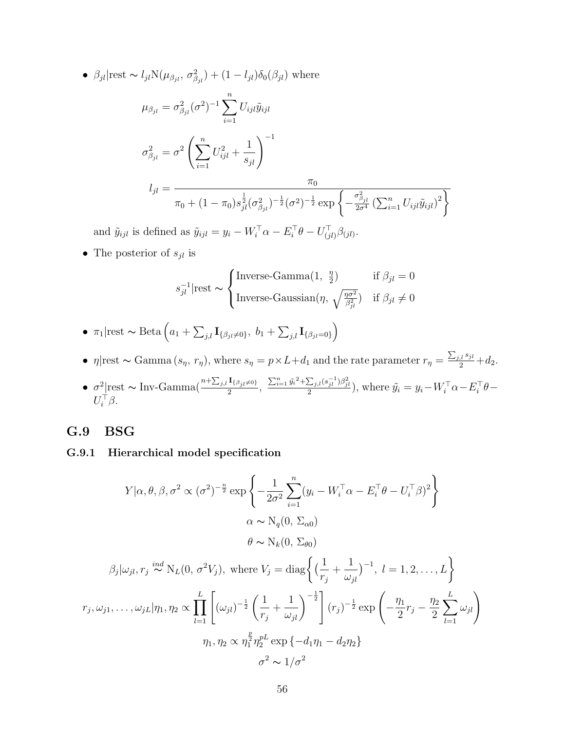•  $\beta_{jl}$ |rest ~  $l_{jl}N(\mu_{\beta_{jl}}, \sigma_{\beta_{jl}}^2) + (1 - l_{jl})\delta_0(\beta_{jl})$  where

$$
\mu_{\beta_{jl}} = \sigma_{\beta_{jl}}^2 (\sigma^2)^{-1} \sum_{i=1}^n U_{ijl} \tilde{y}_{ijl}
$$
  

$$
\sigma_{\beta_{jl}}^2 = \sigma^2 \left( \sum_{i=1}^n U_{ijl}^2 + \frac{1}{s_{jl}} \right)^{-1}
$$
  

$$
l_{jl} = \frac{\pi_0}{\pi_0 + (1 - \pi_0) s_{jl}^{\frac{1}{2}} (\sigma_{\beta_{jl}}^2)^{-\frac{1}{2}} (\sigma^2)^{-\frac{1}{2}} \exp \left\{ -\frac{\sigma_{\beta_{jl}}^2}{2\sigma^4} \left( \sum_{i=1}^n U_{ijl} \tilde{y}_{ijl} \right)^2 \right\}
$$

and  $\tilde{y}_{ijl}$  is defined as  $\tilde{y}_{ijl} = y_i - W_i^{\top} \alpha - E_i^{\top} \theta - U_{(jl)}^{\top} \beta_{(jl)}$ .

• The posterior of  $s_{jl}$  is

$$
s_{jl}^{-1}|\text{rest} \sim \begin{cases} \text{Inverse-Gamma}(1, \frac{\eta}{2}) & \text{if } \beta_{jl} = 0\\ \text{Inverse-Gaussian}(\eta, \sqrt{\frac{\eta \sigma^2}{\beta_{jl}^2}}) & \text{if } \beta_{jl} \neq 0 \end{cases}
$$

- $\pi_1$ |rest ~ Beta  $\left(a_1 + \sum_{j,l} \mathbf{I}_{\{\beta_{jl}\neq 0\}}, b_1 + \sum_{j,l} \mathbf{I}_{\{\beta_{jl}=0\}}\right)$
- $\eta$ |rest ~ Gamma  $(s_{\eta}, r_{\eta})$ , where  $s_{\eta} = p \times L + d_1$  and the rate parameter  $r_{\eta} = \frac{\sum_{j,l} s_{jl}}{2} + d_2$ .
- $\sigma^2$ |rest ~ Inv-Gamma( $\frac{n+\sum_{j,l} \mathbf{I}_{\{\beta_{jl}\neq 0\}}}{2}$  $\frac{\mathbf{I}_{\{\beta_{jl}\neq0\}}}{2}, \frac{\sum_{i=1}^n \tilde{y_i}^2 + \sum_{j,l} (s_{jl}^{-1}) \beta_{jl}^2}{2}$ , where  $\tilde{y_i} = y_i - W_i^{\top} \alpha - E_i^{\top} \theta - E_i^{\top} \alpha$  $U_i^{\top} \beta$ .

#### G.9 BSG

#### G.9.1 Hierarchical model specification

$$
Y|\alpha, \theta, \beta, \sigma^2 \propto (\sigma^2)^{-\frac{n}{2}} \exp\left\{-\frac{1}{2\sigma^2} \sum_{i=1}^n (y_i - W_i^\top \alpha - E_i^\top \theta - U_i^\top \beta)^2\right\}
$$

$$
\alpha \sim N_q(0, \Sigma_{\alpha 0})
$$

$$
\theta \sim N_k(0, \Sigma_{\theta 0})
$$

$$
\beta_j|\omega_{jl}, r_j \stackrel{ind}{\sim} N_L(0, \sigma^2 V_j), \text{ where } V_j = \text{diag}\left\{\left(\frac{1}{r_j} + \frac{1}{\omega_{jl}}\right)^{-1}, l = 1, 2, ..., L\right\}
$$

$$
r_j, \omega_{j1}, \dots, \omega_{jL}|\eta_1, \eta_2 \propto \prod_{l=1}^L \left[ (\omega_{jl})^{-\frac{1}{2}} \left(\frac{1}{r_j} + \frac{1}{\omega_{jl}}\right)^{-\frac{1}{2}} \right] (r_j)^{-\frac{1}{2}} \exp\left(-\frac{\eta_1}{2}r_j - \frac{\eta_2}{2} \sum_{l=1}^L \omega_{jl}\right)
$$

$$
\eta_1, \eta_2 \propto \eta_1^{\frac{p}{2}} \eta_2^{pL} \exp\left\{-d_1 \eta_1 - d_2 \eta_2\right\}
$$

 $\sigma^2 \sim 1/\sigma^2$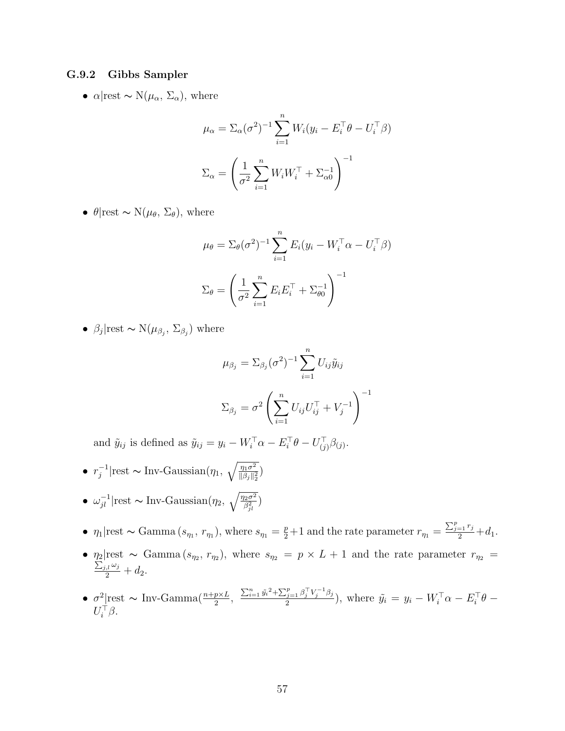#### G.9.2 Gibbs Sampler

•  $\alpha$ |rest ~ N( $\mu_{\alpha}$ ,  $\Sigma_{\alpha}$ ), where

$$
\mu_{\alpha} = \Sigma_{\alpha}(\sigma^2)^{-1} \sum_{i=1}^{n} W_i (y_i - E_i^{\top} \theta - U_i^{\top} \beta)
$$

$$
\Sigma_{\alpha} = \left(\frac{1}{\sigma^2} \sum_{i=1}^{n} W_i W_i^{\top} + \Sigma_{\alpha 0}^{-1}\right)^{-1}
$$

•  $\theta$ |rest ~ N( $\mu_{\theta}$ ,  $\Sigma_{\theta}$ ), where

$$
\mu_{\theta} = \sum_{\theta} (\sigma^2)^{-1} \sum_{i=1}^n E_i (y_i - W_i^{\top} \alpha - U_i^{\top} \beta)
$$

$$
\Sigma_{\theta} = \left(\frac{1}{\sigma^2} \sum_{i=1}^n E_i E_i^{\top} + \Sigma_{\theta 0}^{-1}\right)^{-1}
$$

•  $\beta_j$ |rest ~ N $(\mu_{\beta_j}, \Sigma_{\beta_j})$  where

$$
\mu_{\beta_j} = \sum_{\beta_j} (\sigma^2)^{-1} \sum_{i=1}^n U_{ij} \tilde{y}_{ij}
$$

$$
\sum_{\beta_j} = \sigma^2 \left( \sum_{i=1}^n U_{ij} U_{ij}^\top + V_j^{-1} \right)^{-1}
$$

and  $\tilde{y}_{ij}$  is defined as  $\tilde{y}_{ij} = y_i - W_i^{\top} \alpha - E_i^{\top} \theta - U_{(j)}^{\top} \beta_{(j)}$ .

\n- \n
$$
r_j^{-1}|\text{rest} \sim \text{Inv-Gaussian}(\eta_1, \sqrt{\frac{\eta_1 \sigma^2}{\|\beta_j\|_2^2}})
$$
\n
\n- \n $\omega_{jl}^{-1}|\text{rest} \sim \text{Inv-Gaussian}(\eta_2, \sqrt{\frac{\eta_2 \sigma^2}{\beta_{jl}^2}})$ \n
\n

- $\eta_1$ |rest ~ Gamma  $(s_{\eta_1}, r_{\eta_1})$ , where  $s_{\eta_1} = \frac{p}{2} + 1$  and the rate parameter  $r_{\eta_1} = \frac{\sum_{j=1}^p r_j}{2} + d_1$ .
- $\eta_2$ |rest ~ Gamma  $(s_{\eta_2}, r_{\eta_2})$ , where  $s_{\eta_2} = p \times L + 1$  and the rate parameter  $r_{\eta_2} = \sum_{i,j,\omega_i} a_{ij}$  $\frac{d}{2}j,l\frac{\omega_j}{2}+d_2.$
- $\sigma^2$  rest ~ Inv-Gamma( $\frac{n+p\times L}{2}$ ,  $\frac{\sum_{i=1}^{n} \tilde{y}_i^2 + \sum_{j=1}^{p} \beta_j^{\top} V_j^{-1} \beta_j}{2}$  $(\tilde{y}_i = 1 \frac{\rho_j}{\nu_j} \frac{\rho_j}{\rho_j}),$  where  $\tilde{y}_i = y_i - W_i^{\top} \alpha - E_i^{\top} \theta U_i^{\top} \beta$ .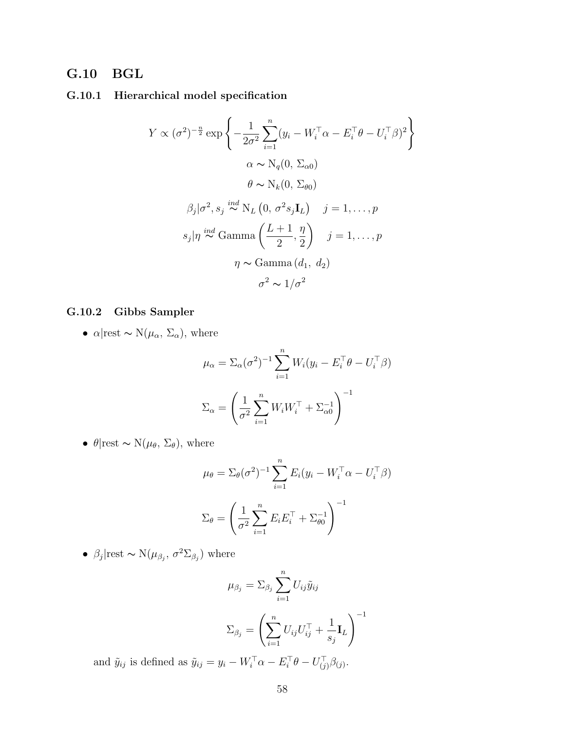## G.10 BGL

### G.10.1 Hierarchical model specification

$$
Y \propto (\sigma^2)^{-\frac{n}{2}} \exp \left\{ -\frac{1}{2\sigma^2} \sum_{i=1}^n (y_i - W_i^\top \alpha - E_i^\top \theta - U_i^\top \beta)^2 \right\}
$$
  

$$
\alpha \sim N_q(0, \Sigma_{\alpha 0})
$$
  

$$
\theta \sim N_k(0, \Sigma_{\theta 0})
$$
  

$$
\beta_j | \sigma^2, s_j \stackrel{ind}{\sim} N_L(0, \sigma^2 s_j \mathbf{I}_L) \quad j = 1, ..., p
$$
  

$$
s_j | \eta \stackrel{ind}{\sim} \text{Gamma}\left(\frac{L+1}{2}, \frac{\eta}{2}\right) \quad j = 1, ..., p
$$
  

$$
\eta \sim \text{Gamma}(d_1, d_2)
$$
  

$$
\sigma^2 \sim 1/\sigma^2
$$

## G.10.2 Gibbs Sampler

•  $\alpha$ |rest ~ N( $\mu_{\alpha}$ ,  $\Sigma_{\alpha}$ ), where

$$
\mu_{\alpha} = \Sigma_{\alpha}(\sigma^2)^{-1} \sum_{i=1}^{n} W_i (y_i - E_i^{\top} \theta - U_i^{\top} \beta)
$$

$$
\Sigma_{\alpha} = \left(\frac{1}{\sigma^2} \sum_{i=1}^{n} W_i W_i^{\top} + \Sigma_{\alpha 0}^{-1}\right)^{-1}
$$

•  $\theta$ |rest ~ N( $\mu_{\theta}$ ,  $\Sigma_{\theta}$ ), where

$$
\mu_{\theta} = \Sigma_{\theta}(\sigma^2)^{-1} \sum_{i=1}^{n} E_i (y_i - W_i^{\top} \alpha - U_i^{\top} \beta)
$$

$$
\Sigma_{\theta} = \left(\frac{1}{\sigma^2} \sum_{i=1}^{n} E_i E_i^{\top} + \Sigma_{\theta 0}^{-1}\right)^{-1}
$$

•  $\beta_j$ |rest ~ N $(\mu_{\beta_j}, \sigma^2 \Sigma_{\beta_j})$  where

$$
\mu_{\beta_j} = \sum_{\beta_j} \sum_{i=1}^n U_{ij} \tilde{y}_{ij}
$$

$$
\Sigma_{\beta_j} = \left( \sum_{i=1}^n U_{ij} U_{ij}^\top + \frac{1}{s_j} \mathbf{I}_L \right)^{-1}
$$

and  $\tilde{y}_{ij}$  is defined as  $\tilde{y}_{ij} = y_i - W_i^{\top} \alpha - E_i^{\top} \theta - U_{(j)}^{\top} \beta_{(j)}$ .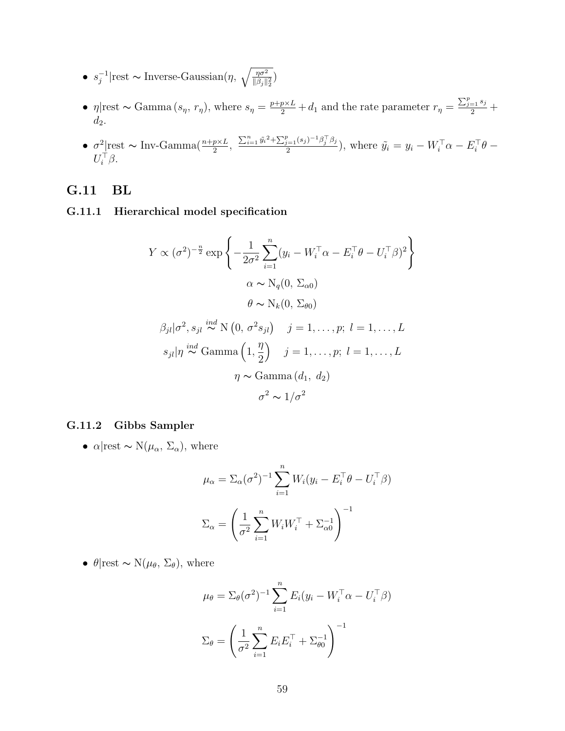- $\bullet \ \ s_i^{-1}$  $j^{-1}$ |rest ∼ Inverse-Gaussian(η,  $\sqrt{\frac{\eta \sigma^2}{\|\beta_j\|_2^2}}$ )
- $\eta$ |rest ~ Gamma  $(s_{\eta}, r_{\eta})$ , where  $s_{\eta} = \frac{p+p\times L}{2} + d_1$  and the rate parameter  $r_{\eta} = \frac{\sum_{j=1}^{p} s_j}{2} + d_1$  $d_2$ .
- $\sigma^2$ <sub>rest</sub> ~ Inv-Gamma $\left(\frac{n+p\times L}{2},\right.$   $\frac{\sum_{i=1}^n \tilde{y}_i^2 + \sum_{j=1}^p (s_j)^{-1} \beta_j^{\top} \beta_j}{2}$  $\frac{g_{i=1}(s_j)^{-1}\beta_j\beta_j}{2}$ , where  $\tilde{y}_i = y_i - W_i^{\top}\alpha - E_i^{\top}\theta - \alpha$  $U_i^{\top} \beta$ .

## G.11 BL

#### G.11.1 Hierarchical model specification

$$
Y \propto (\sigma^2)^{-\frac{n}{2}} \exp \left\{ -\frac{1}{2\sigma^2} \sum_{i=1}^n (y_i - W_i^\top \alpha - E_i^\top \theta - U_i^\top \beta)^2 \right\}
$$
  
\n
$$
\alpha \sim N_q(0, \Sigma_{\alpha 0})
$$
  
\n
$$
\theta \sim N_k(0, \Sigma_{\theta 0})
$$
  
\n
$$
\beta_{jl} |\sigma^2, s_{jl} \stackrel{ind}{\sim} N(0, \sigma^2 s_{jl}) \quad j = 1, ..., p; l = 1, ..., L
$$
  
\n
$$
s_{jl} |\eta \stackrel{ind}{\sim} \text{Gamma}\left(1, \frac{\eta}{2}\right) \quad j = 1, ..., p; l = 1, ..., L
$$
  
\n
$$
\eta \sim \text{Gamma}(d_1, d_2)
$$
  
\n
$$
\sigma^2 \sim 1/\sigma^2
$$

#### G.11.2 Gibbs Sampler

•  $\alpha$ |rest ~ N( $\mu_{\alpha}$ ,  $\Sigma_{\alpha}$ ), where

$$
\mu_{\alpha} = \Sigma_{\alpha}(\sigma^2)^{-1} \sum_{i=1}^{n} W_i (y_i - E_i^{\top} \theta - U_i^{\top} \beta)
$$

$$
\Sigma_{\alpha} = \left(\frac{1}{\sigma^2} \sum_{i=1}^{n} W_i W_i^{\top} + \Sigma_{\alpha 0}^{-1}\right)^{-1}
$$

•  $\theta$ |rest ~ N( $\mu_{\theta}$ ,  $\Sigma_{\theta}$ ), where

$$
\mu_{\theta} = \Sigma_{\theta}(\sigma^2)^{-1} \sum_{i=1}^{n} E_i (y_i - W_i^{\top} \alpha - U_i^{\top} \beta)
$$

$$
\Sigma_{\theta} = \left(\frac{1}{\sigma^2} \sum_{i=1}^{n} E_i E_i^{\top} + \Sigma_{\theta 0}^{-1}\right)^{-1}
$$